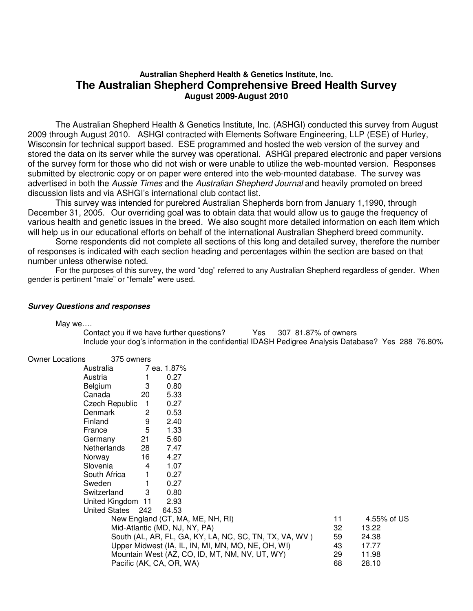## **Australian Shepherd Health & Genetics Institute, Inc. The Australian Shepherd Comprehensive Breed Health Survey August 2009-August 2010**

The Australian Shepherd Health & Genetics Institute, Inc. (ASHGI) conducted this survey from August 2009 through August 2010. ASHGI contracted with Elements Software Engineering, LLP (ESE) of Hurley, Wisconsin for technical support based. ESE programmed and hosted the web version of the survey and stored the data on its server while the survey was operational. ASHGI prepared electronic and paper versions of the survey form for those who did not wish or were unable to utilize the web-mounted version. Responses submitted by electronic copy or on paper were entered into the web-mounted database. The survey was advertised in both the Aussie Times and the Australian Shepherd Journal and heavily promoted on breed discussion lists and via ASHGI's international club contact list.

This survey was intended for purebred Australian Shepherds born from January 1,1990, through December 31, 2005. Our overriding goal was to obtain data that would allow us to gauge the frequency of various health and genetic issues in the breed. We also sought more detailed information on each item which will help us in our educational efforts on behalf of the international Australian Shepherd breed community.

Some respondents did not complete all sections of this long and detailed survey, therefore the number of responses is indicated with each section heading and percentages within the section are based on that number unless otherwise noted.

For the purposes of this survey, the word "dog" referred to any Australian Shepherd regardless of gender. When gender is pertinent "male" or "female" were used.

### **Survey Questions and responses**

#### May we….

Contact you if we have further questions? Yes 307 81.87% of owners Include your dog's information in the confidential IDASH Pedigree Analysis Database? Yes 288 76.80%

| Owner Locations | 375 owners        |    |                                                        |    |             |
|-----------------|-------------------|----|--------------------------------------------------------|----|-------------|
|                 | Australia         |    | 7 ea. 1.87%                                            |    |             |
|                 | Austria           |    | 0.27                                                   |    |             |
|                 | Belgium           | 3  | 0.80                                                   |    |             |
|                 | Canada            | 20 | 5.33                                                   |    |             |
|                 | Czech Republic    | 1. | 0.27                                                   |    |             |
|                 | Denmark           | 2  | 0.53                                                   |    |             |
|                 | Finland           | 9  | 2.40                                                   |    |             |
|                 | France            | 5  | 1.33                                                   |    |             |
|                 | Germany           | 21 | 5.60                                                   |    |             |
|                 | Netherlands       | 28 | 7.47                                                   |    |             |
|                 | Norway            | 16 | 4.27                                                   |    |             |
|                 | Slovenia          | 4  | 1.07                                                   |    |             |
|                 | South Africa      |    | 0.27                                                   |    |             |
|                 | Sweden            |    | 0.27                                                   |    |             |
|                 | Switzerland       | 3  | 0.80                                                   |    |             |
|                 | United Kingdom 11 |    | 2.93                                                   |    |             |
|                 | United States 242 |    | 64.53                                                  |    |             |
|                 |                   |    | New England (CT, MA, ME, NH, RI)                       | 11 | 4.55% of US |
|                 |                   |    | Mid-Atlantic (MD, NJ, NY, PA)                          | 32 | 13.22       |
|                 |                   |    | South (AL, AR, FL, GA, KY, LA, NC, SC, TN, TX, VA, WV) | 59 | 24.38       |
|                 |                   |    | Upper Midwest (IA, IL, IN, MI, MN, MO, NE, OH, WI)     | 43 | 17.77       |
|                 |                   |    | Mountain West (AZ, CO, ID, MT, NM, NV, UT, WY)         | 29 | 11.98       |
|                 |                   |    | Pacific (AK, CA, OR, WA)                               | 68 | 28.10       |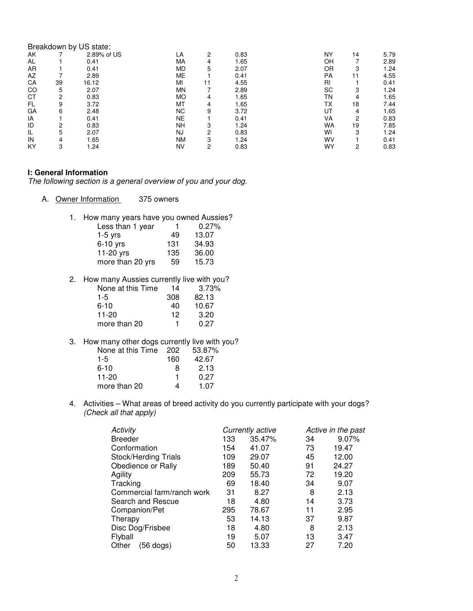|           |    | Breakdown by US state: |           |    |      |           |    |      |
|-----------|----|------------------------|-----------|----|------|-----------|----|------|
| AK        |    | 2.89% of US            | LA        | 2  | 0.83 | NY        | 14 | 5.79 |
| AL        |    | 0.41                   | MA        | 4  | 1.65 | OΗ        |    | 2.89 |
| AR        |    | 0.41                   | MD        | 5  | 2.07 | 0R        | 3  | 1.24 |
| AZ        |    | 2.89                   | ME        |    | 0.41 | PA        | 11 | 4.55 |
| CA        | 39 | 16.12                  | MI        | 11 | 4.55 | <b>RI</b> |    | 0.41 |
| CO        | 5  | 2.07                   | <b>MN</b> |    | 2.89 | <b>SC</b> | 3  | 1.24 |
| CT        | 2  | 0.83                   | MO        | 4  | 1.65 | ΤN        | 4  | 1.65 |
| <b>FL</b> | 9  | 3.72                   | MT        | 4  | 1.65 | <b>TX</b> | 18 | 7.44 |
| GA        | 6  | 2.48                   | <b>NC</b> | 9  | 3.72 | UT        | 4  | 1.65 |
| IA        |    | 0.41                   | <b>NE</b> |    | 0.41 | VA        | 2  | 0.83 |
| ID        | 2  | 0.83                   | <b>NH</b> | 3  | 1.24 | WA        | 19 | 7.85 |
| IL        | 5  | 2.07                   | NJ        | 2  | 0.83 | WI        | 3  | 1.24 |
| IN        | 4  | 1.65                   | <b>NM</b> | 3  | 1.24 | WV        |    | 0.41 |
| KY        | 3  | .24                    | <b>NV</b> | 2  | 0.83 | WY        | 2  | 0.83 |

### **I: General Information**

The following section is a general overview of you and your dog.

- A. Owner Information 375 owners
	- 1. How many years have you owned Aussies?

| Less than 1 year | 1   | 0.27% |
|------------------|-----|-------|
| $1-5$ yrs        | 49  | 13.07 |
| $6-10$ yrs       | 131 | 34.93 |
| 11-20 yrs        | 135 | 36.00 |
| more than 20 yrs | 59  | 15.73 |

2. How many Aussies currently live with you?

| None at this Time | 14  | 3.73% |
|-------------------|-----|-------|
| $1-5$             | 308 | 82.13 |
| $6 - 10$          | 40  | 10.67 |
| $11 - 20$         | 12  | 3.20  |
| more than 20      | 1   | በ 27  |

## 3. How many other dogs currently live with you?

| None at this Time | 202 | 53.87% |
|-------------------|-----|--------|
| $1-5$             | 160 | 42.67  |
| $6 - 10$          | 8   | 2.13   |
| $11 - 20$         | 1   | 0.27   |
| more than 20      | 4   | 1.07   |
|                   |     |        |

4. Activities – What areas of breed activity do you currently participate with your dogs? (Check all that apply)

| Activity                   |     | Currently active |    | Active in the past |
|----------------------------|-----|------------------|----|--------------------|
| <b>Breeder</b>             | 133 | 35.47%           | 34 | 9.07%              |
| Conformation               | 154 | 41.07            | 73 | 19.47              |
| Stock/Herding Trials       | 109 | 29.07            | 45 | 12.00              |
| Obedience or Rally         | 189 | 50.40            | 91 | 24.27              |
| Agility                    | 209 | 55.73            | 72 | 19.20              |
| Tracking                   | 69  | 18.40            | 34 | 9.07               |
| Commercial farm/ranch work | 31  | 8.27             | 8  | 2.13               |
| Search and Rescue          | 18  | 4.80             | 14 | 3.73               |
| Companion/Pet              | 295 | 78.67            | 11 | 2.95               |
| Therapy                    | 53  | 14.13            | 37 | 9.87               |
| Disc Dog/Frisbee           | 18  | 4.80             | 8  | 2.13               |
| Flyball                    | 19  | 5.07             | 13 | 3.47               |
| Other<br>$(56$ dogs)       | 50  | 13.33            | 27 | 7.20               |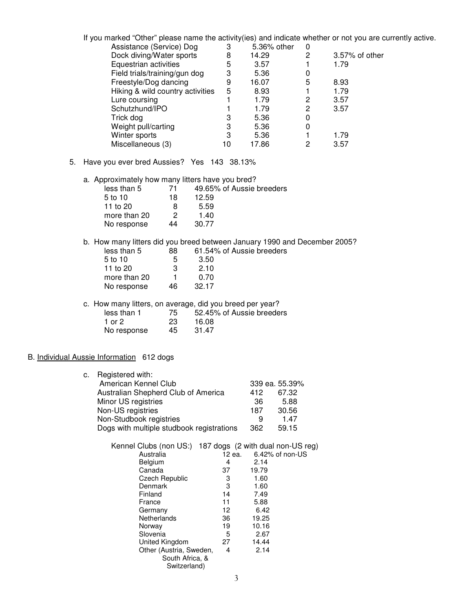If you marked "Other" please name the activity(ies) and indicate whether or not you are currently active.

| Assistance (Service) Dog         | 3 | 5.36% other | 0 |                |
|----------------------------------|---|-------------|---|----------------|
| Dock diving/Water sports         | 8 | 14.29       | 2 | 3.57% of other |
| Equestrian activities            | 5 | 3.57        |   | 1.79           |
| Field trials/training/gun dog    | 3 | 5.36        | 0 |                |
| Freestyle/Dog dancing            | 9 | 16.07       | 5 | 8.93           |
| Hiking & wild country activities | 5 | 8.93        |   | 1.79           |
| Lure coursing                    |   | 1.79        | 2 | 3.57           |
| Schutzhund/IPO                   |   | 1.79        | 2 | 3.57           |
| Trick dog                        | 3 | 5.36        | 0 |                |
| Weight pull/carting              | 3 | 5.36        | 0 |                |
| Winter sports                    | 3 | 5.36        |   | 1.79           |
| Miscellaneous (3)                |   | 17.86       | 2 | 3.57           |
|                                  |   |             |   |                |

- 5. Have you ever bred Aussies? Yes 143 38.13%
	- a. Approximately how many litters have you bred?

| less than 5  | 71 | 49.65% of Aussie breeders |
|--------------|----|---------------------------|
| $5$ to 10    | 18 | 12.59                     |
| 11 to 20     | 8  | 5.59                      |
| more than 20 | 2  | 1.40                      |
| No response  | 44 | 30.77                     |
|              |    |                           |

b. How many litters did you breed between January 1990 and December 2005?

| less than 5  | 88 | 61.54% of Aussie breeders |
|--------------|----|---------------------------|
| 5 to 10      | 5. | 3.50                      |
| 11 to $20$   | з  | 2.10                      |
| more than 20 |    | 0.70                      |
| No response  | 46 | 32.17                     |
|              |    |                           |

c. How many litters, on average, did you breed per year?<br>less than 1 75 52.45% of Aussie breede less than 1 75 52.45% of Aussie breeders<br>1 or 2 23 16.08 23 16.08<br>45 31.47 No response

#### B. Individual Aussie Information 612 dogs

| C. | Registered with: |  |
|----|------------------|--|
|    |                  |  |

| American Kennel Club                      |     | 339 ea. 55.39% |
|-------------------------------------------|-----|----------------|
| Australian Shepherd Club of America       | 412 | 67.32          |
| Minor US registries                       | 36  | 5.88           |
| Non-US registries                         | 187 | 30.56          |
| Non-Studbook registries                   | 9   | 147            |
| Dogs with multiple studbook registrations | 362 | 59.15          |
|                                           |     |                |

|                         | Kennel Clubs (non US:) 187 dogs (2 with dual non-US reg) |
|-------------------------|----------------------------------------------------------|
| Australia               | 6.42% of non-US<br>12 еа.                                |
| Belgium                 | 2.14<br>4                                                |
| Canada                  | 37<br>19.79                                              |
| <b>Czech Republic</b>   | 3<br>1.60                                                |
| Denmark                 | 3<br>1.60                                                |
| Finland                 | 7.49<br>14                                               |
| France                  | 11<br>5.88                                               |
| Germany                 | 12<br>6.42                                               |
| Netherlands             | 36<br>19.25                                              |
| Norway                  | 19<br>10.16                                              |
| Slovenia                | 5<br>2.67                                                |
| United Kingdom          | 14.44<br>27                                              |
| Other (Austria, Sweden, | 2.14<br>4                                                |
| South Africa, &         |                                                          |
| Switzerland)            |                                                          |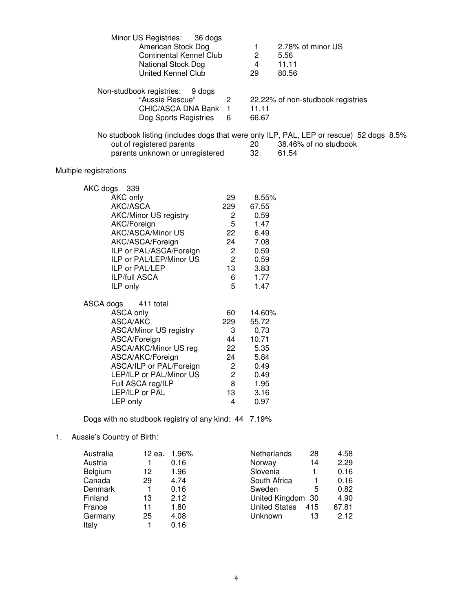| Minor US Registries:<br>36 dogs<br>American Stock Dog<br><b>Continental Kennel Club</b><br>National Stock Dog<br>United Kennel Club                                                                                                                                                                            |                                                                                               | 1<br>$\overline{c}$<br>$\overline{\mathbf{4}}$<br>29                                     | 2.78% of minor US<br>5.56<br>11.11<br>80.56                                                                               |
|----------------------------------------------------------------------------------------------------------------------------------------------------------------------------------------------------------------------------------------------------------------------------------------------------------------|-----------------------------------------------------------------------------------------------|------------------------------------------------------------------------------------------|---------------------------------------------------------------------------------------------------------------------------|
| Non-studbook registries:<br>9 dogs<br>"Aussie Rescue"<br>CHIC/ASCA DNA Bank<br>Dog Sports Registries                                                                                                                                                                                                           | 2<br>$\mathbf{1}$<br>6                                                                        | 11.11<br>66.67                                                                           | 22.22% of non-studbook registries                                                                                         |
| out of registered parents<br>parents unknown or unregistered                                                                                                                                                                                                                                                   |                                                                                               | 20<br>32                                                                                 | No studbook listing (includes dogs that were only ILP, PAL, LEP or rescue) 52 dogs 8.5%<br>38.46% of no studbook<br>61.54 |
| Multiple registrations                                                                                                                                                                                                                                                                                         |                                                                                               |                                                                                          |                                                                                                                           |
| AKC dogs<br>339<br>AKC only<br>AKC/ASCA<br><b>AKC/Minor US registry</b><br>AKC/Foreign<br>AKC/ASCA/Minor US<br>AKC/ASCA/Foreign<br>ILP or PAL/ASCA/Foreign<br>ILP or PAL/LEP/Minor US<br>ILP or PAL/LEP<br><b>ILP/full ASCA</b><br>ILP only                                                                    | 29<br>229<br>$\overline{c}$<br>5<br>22<br>24<br>$\mathbf 2$<br>$\overline{c}$<br>13<br>6<br>5 | 8.55%<br>67.55<br>0.59<br>1.47<br>6.49<br>7.08<br>0.59<br>0.59<br>3.83<br>1.77<br>1.47   |                                                                                                                           |
| ASCA dogs<br>411 total<br>ASCA only<br>ASCA/AKC<br><b>ASCA/Minor US registry</b><br>ASCA/Foreign<br>ASCA/AKC/Minor US reg<br>ASCA/AKC/Foreign<br>ASCA/ILP or PAL/Foreign<br>LEP/ILP or PAL/Minor US<br>Full ASCA reg/ILP<br>LEP/ILP or PAL<br>LEP only<br>Dogs with no studbook registry of any kind: 44 7.19% | 60<br>229<br>3<br>44<br>22<br>24<br>$\mathbf 2$<br>$\overline{c}$<br>8<br>13<br>4             | 14.60%<br>55.72<br>0.73<br>10.71<br>5.35<br>5.84<br>0.49<br>0.49<br>1.95<br>3.16<br>0.97 |                                                                                                                           |
| Aussie's Country of Birth:<br>1.                                                                                                                                                                                                                                                                               |                                                                                               |                                                                                          |                                                                                                                           |
|                                                                                                                                                                                                                                                                                                                |                                                                                               |                                                                                          |                                                                                                                           |

| Australia | 12 ea. | 1.96% | Netherlands          | 28  | 4.58  |
|-----------|--------|-------|----------------------|-----|-------|
| Austria   |        | 0.16  | Norway               | 14  | 2.29  |
| Belgium   | 12.    | 1.96  | Slovenia             |     | 0.16  |
| Canada    | 29     | 4.74  | South Africa         |     | 0.16  |
| Denmark   |        | 0.16  | Sweden               | 5   | 0.82  |
| Finland   | 13     | 2.12  | United Kingdom 30    |     | 4.90  |
| France    | 11     | 1.80  | <b>United States</b> | 415 | 67.81 |
| Germany   | 25     | 4.08  | Unknown              | 13  | 2.12  |
| Italy     |        | 0.16  |                      |     |       |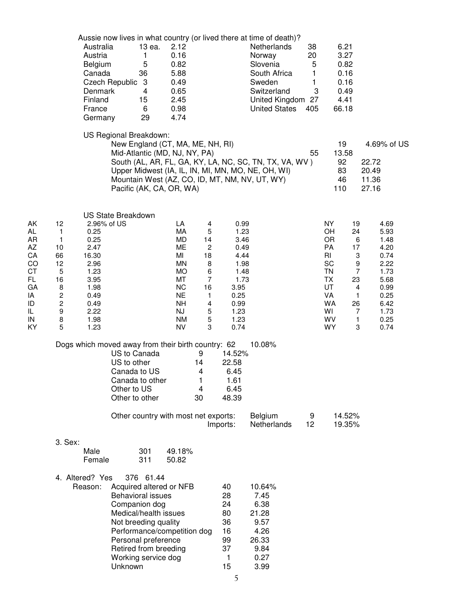|                                                                                   |                                                                                                                     | Australia<br>Austria<br>Belgium<br>Canada<br>Denmark<br>Finland<br>France<br>Germany                                 | <b>Czech Republic</b>                                                        | 13 ea.<br>1<br>5<br>36<br>$\mathbf{3}$<br>4<br>15<br>6<br>29                                                                                                                                                                             | 2.12<br>0.16<br>0.82<br>5.88<br>0.49<br>0.65<br>2.45<br>0.98<br>4.74                                                              |                                                                                                           |                                                                                                              | Aussie now lives in what country (or lived there at time of death)?<br>Netherlands<br>Norway<br>Slovenia<br>South Africa<br>Sweden<br>Switzerland<br>United Kingdom 27<br><b>United States</b> | 38<br>20<br>5<br>1<br>1<br>3<br>405 | 66.18                                                                                           | 6.21<br>3.27<br>0.82<br>0.16<br>0.16<br>0.49<br>4.41                                 |                                                                                                              |
|-----------------------------------------------------------------------------------|---------------------------------------------------------------------------------------------------------------------|----------------------------------------------------------------------------------------------------------------------|------------------------------------------------------------------------------|------------------------------------------------------------------------------------------------------------------------------------------------------------------------------------------------------------------------------------------|-----------------------------------------------------------------------------------------------------------------------------------|-----------------------------------------------------------------------------------------------------------|--------------------------------------------------------------------------------------------------------------|------------------------------------------------------------------------------------------------------------------------------------------------------------------------------------------------|-------------------------------------|-------------------------------------------------------------------------------------------------|--------------------------------------------------------------------------------------|--------------------------------------------------------------------------------------------------------------|
|                                                                                   |                                                                                                                     |                                                                                                                      |                                                                              | US Regional Breakdown:<br>New England (CT, MA, ME, NH, RI)<br>Mid-Atlantic (MD, NJ, NY, PA)<br>Pacific (AK, CA, OR, WA)                                                                                                                  |                                                                                                                                   |                                                                                                           |                                                                                                              | South (AL, AR, FL, GA, KY, LA, NC, SC, TN, TX, VA, WV)<br>Upper Midwest (IA, IL, IN, MI, MN, MO, NE, OH, WI)<br>Mountain West (AZ, CO, ID, MT, NM, NV, UT, WY)                                 | 55                                  | 19<br>13.58<br>92<br>83<br>46<br>110                                                            |                                                                                      | 4.69% of US<br>22.72<br>20.49<br>11.36<br>27.16                                                              |
| AΚ<br>AL<br>AR<br>AΖ<br>СA<br>CO<br>СT<br>FL<br>GА<br>ΙA<br>ID<br>IL.<br>IN<br>ΚY | 12<br>1<br>1<br>10<br>66<br>12<br>5<br>16<br>8<br>$\overline{\mathbf{c}}$<br>$\overline{\mathbf{c}}$<br>9<br>8<br>5 | 2.96% of US<br>0.25<br>0.25<br>2.47<br>16.30<br>2.96<br>1.23<br>3.95<br>1.98<br>0.49<br>0.49<br>2.22<br>1.98<br>1.23 | US State Breakdown                                                           |                                                                                                                                                                                                                                          | LA<br>MA<br>MD<br>ME<br>MI<br>MN<br><b>MO</b><br>MT<br><b>NC</b><br><b>NE</b><br><b>NH</b><br><b>NJ</b><br><b>NM</b><br><b>NV</b> | 4<br>$\overline{5}$<br>14<br>2<br>18<br>8<br>6<br>$\overline{7}$<br>16<br>1<br>4<br>5<br>$\mathbf 5$<br>3 | 0.99<br>1.23<br>3.46<br>0.49<br>4.44<br>1.98<br>1.48<br>1.73<br>3.95<br>0.25<br>0.99<br>1.23<br>1.23<br>0.74 |                                                                                                                                                                                                |                                     | NY.<br>OH<br><b>OR</b><br>PA<br>RI<br>SC<br><b>TN</b><br>TX<br>UT<br>VA<br>WA<br>WI<br>WV<br>WY | 19<br>24<br>6<br>17<br>3<br>9<br>$\overline{7}$<br>23<br>4<br>1<br>26<br>7<br>1<br>3 | 4.69<br>5.93<br>1.48<br>4.20<br>0.74<br>2.22<br>1.73<br>5.68<br>0.99<br>0.25<br>6.42<br>1.73<br>0.25<br>0.74 |
|                                                                                   |                                                                                                                     | Dogs which moved away from their birth country: 62                                                                   | US to Canada<br>US to other<br>Canada to US<br>Other to US<br>Other to other | Canada to other<br>Other country with most net exports:                                                                                                                                                                                  |                                                                                                                                   | 9<br>14<br>$\overline{4}$<br>1<br>4<br>30                                                                 | 14.52%<br>22.58<br>6.45<br>1.61<br>6.45<br>48.39                                                             | 10.08%<br>Belgium                                                                                                                                                                              | 9                                   |                                                                                                 | 14.52%                                                                               |                                                                                                              |
|                                                                                   | 3. Sex:                                                                                                             | Male<br>Female                                                                                                       |                                                                              | 301<br>311                                                                                                                                                                                                                               | 49.18%<br>50.82                                                                                                                   |                                                                                                           | Imports:                                                                                                     | Netherlands                                                                                                                                                                                    | 12                                  |                                                                                                 | 19.35%                                                                               |                                                                                                              |
|                                                                                   |                                                                                                                     | 4. Altered? Yes<br>Reason:                                                                                           | Unknown                                                                      | 376 61.44<br>Acquired altered or NFB<br><b>Behavioral issues</b><br>Companion dog<br>Medical/health issues<br>Not breeding quality<br>Performance/competition dog<br>Personal preference<br>Retired from breeding<br>Working service dog |                                                                                                                                   |                                                                                                           | 40<br>28<br>24<br>80<br>36<br>16<br>99<br>37<br>1<br>15                                                      | 10.64%<br>7.45<br>6.38<br>21.28<br>9.57<br>4.26<br>26.33<br>9.84<br>0.27<br>3.99                                                                                                               |                                     |                                                                                                 |                                                                                      |                                                                                                              |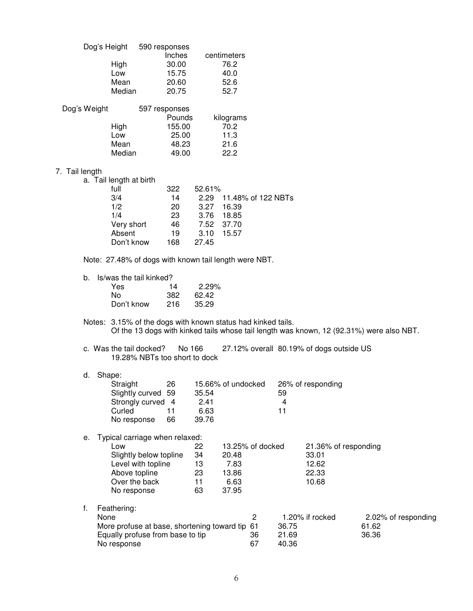| Dog's Height   |                                                                                                                                        | 590 responses                               |                                       |                                                             |                                   |                         |                                                          |                                                                                          |
|----------------|----------------------------------------------------------------------------------------------------------------------------------------|---------------------------------------------|---------------------------------------|-------------------------------------------------------------|-----------------------------------|-------------------------|----------------------------------------------------------|------------------------------------------------------------------------------------------|
|                | High<br>Low<br>Mean<br>Median                                                                                                          | Inches<br>30.00<br>15.75<br>20.60<br>20.75  |                                       | centimeters<br>76.2<br>40.0<br>52.6<br>52.7                 |                                   |                         |                                                          |                                                                                          |
| Dog's Weight   |                                                                                                                                        | 597 responses                               |                                       |                                                             |                                   |                         |                                                          |                                                                                          |
|                | High<br>Low<br>Mean<br>Median                                                                                                          | Pounds<br>155.00<br>25.00<br>48.23<br>49.00 |                                       | kilograms<br>70.2<br>11.3<br>21.6<br>22.2                   |                                   |                         |                                                          |                                                                                          |
|                |                                                                                                                                        |                                             |                                       |                                                             |                                   |                         |                                                          |                                                                                          |
| 7. Tail length | a. Tail length at birth<br>full<br>3/4                                                                                                 | 322<br>14                                   | 52.61%                                | 2.29 11.48% of 122 NBTs                                     |                                   |                         |                                                          |                                                                                          |
|                | 1/2<br>1/4<br>Very short<br>Absent<br>Don't know                                                                                       | 20<br>23<br>46<br>19<br>168                 | 3.27<br>3.76<br>7.52<br>3.10<br>27.45 | 16.39<br>18.85<br>37.70<br>15.57                            |                                   |                         |                                                          |                                                                                          |
|                | Note: 27.48% of dogs with known tail length were NBT.                                                                                  |                                             |                                       |                                                             |                                   |                         |                                                          |                                                                                          |
| b.             | Is/was the tail kinked?                                                                                                                |                                             |                                       |                                                             |                                   |                         |                                                          |                                                                                          |
|                | Yes<br>No<br>Don't know                                                                                                                | 14<br>382<br>216                            | 2.29%<br>62.42<br>35.29               |                                                             |                                   |                         |                                                          |                                                                                          |
|                | Notes: 3.15% of the dogs with known status had kinked tails.                                                                           |                                             |                                       |                                                             |                                   |                         |                                                          | Of the 13 dogs with kinked tails whose tail length was known, 12 (92.31%) were also NBT. |
|                | c. Was the tail docked?<br>19.28% NBTs too short to dock                                                                               |                                             | No 166                                |                                                             |                                   |                         | 27.12% overall 80.19% of dogs outside US                 |                                                                                          |
| d.             | Shape:<br>Straight<br>Slightly curved<br>Strongly curved<br>Curled<br>No response                                                      | 26<br>59<br>$\overline{4}$<br>11<br>66      | 35.54<br>2.41<br>6.63<br>39.76        | 15.66% of undocked                                          |                                   | 59<br>4<br>11           | 26% of responding                                        |                                                                                          |
| е.             | Typical carriage when relaxed:<br>Low<br>Slightly below topline<br>Level with topline<br>Above topline<br>Over the back<br>No response |                                             | 22<br>34<br>13<br>23<br>11<br>63      | 13.25% of docked<br>20.48<br>7.83<br>13.86<br>6.63<br>37.95 |                                   |                         | 21.36% of responding<br>33.01<br>12.62<br>22.33<br>10.68 |                                                                                          |
| f.<br>None     | Feathering:<br>More profuse at base, shortening toward tip<br>Equally profuse from base to tip<br>No response                          |                                             |                                       |                                                             | $\overline{2}$<br>-61<br>36<br>67 | 36.75<br>21.69<br>40.36 | 1.20% if rocked                                          | 2.02% of respor<br>61.62<br>36.36                                                        |

% if rocked 2.02% of responding<br>61.62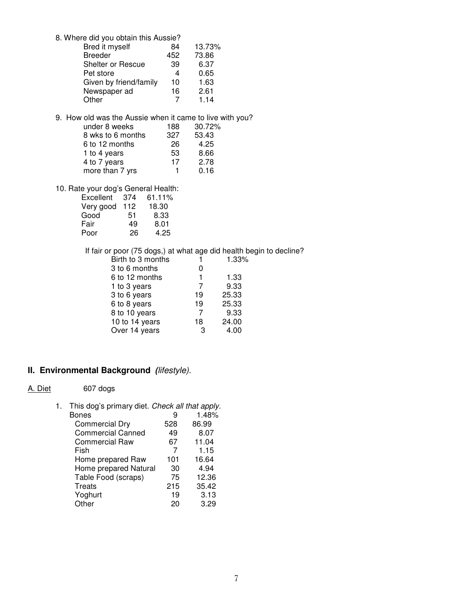| 8. Where did you obtain this Aussie?                     |                 |        |  |
|----------------------------------------------------------|-----------------|--------|--|
| Bred it myself                                           | 84              | 13.73% |  |
| <b>Breeder</b>                                           | 452             | 73.86  |  |
| Shelter or Rescue                                        | 39              | 6.37   |  |
| Pet store                                                | 4               | 0.65   |  |
| Given by friend/family                                   | 10              | 1.63   |  |
| Newspaper ad                                             | 16              | 2.61   |  |
| Other                                                    | 7               | 1.14   |  |
| 9. How old was the Aussie when it came to live with you? |                 |        |  |
| under 8 weeks                                            | 188             | 30.72% |  |
| 8 wks to 6 months                                        | 327             | 53.43  |  |
| 6 to 12 months                                           | 26              | 4.25   |  |
| 1 to 4 years                                             | 53              | 8.66   |  |
| 4 to 7 years                                             | 17 <sup>2</sup> | 2.78   |  |
| more than 7 yrs                                          |                 | 0.16   |  |

10. Rate your dog's General Health:

| 374 | 61.11% |
|-----|--------|
| 112 | 18.30  |
| 51  | 8.33   |
| 49  | 8.01   |
| 26  | 4.25   |
|     |        |

If fair or poor (75 dogs,) at what age did health begin to decline?

| Birth to 3 months |    | 1.33% |
|-------------------|----|-------|
| 3 to 6 months     | 0  |       |
| 6 to 12 months    | 1  | 1.33  |
| 1 to 3 years      | 7  | 9.33  |
| 3 to 6 years      | 19 | 25.33 |
| 6 to 8 years      | 19 | 25.33 |
| 8 to 10 years     | 7  | 9.33  |
| 10 to 14 years    | 18 | 24.00 |
| Over 14 years     | 3  | 4.00  |
|                   |    |       |

# **II. Environmental Background (**lifestyle).

# A. Diet 607 dogs

| This dog's primary diet. Check all that apply. |     |       |
|------------------------------------------------|-----|-------|
| Bones                                          | 9   | 1.48% |
| <b>Commercial Dry</b>                          | 528 | 86.99 |
| <b>Commercial Canned</b>                       | 49  | 8.07  |
| <b>Commercial Raw</b>                          | 67  | 11.04 |
| Fish                                           | 7   | 1.15  |
| Home prepared Raw                              | 101 | 16.64 |
| Home prepared Natural                          | 30  | 4.94  |
| Table Food (scraps)                            | 75  | 12.36 |
| Treats                                         | 215 | 35.42 |
| Yoghurt                                        | 19  | 3.13  |
| <b>Other</b>                                   | 20  | 3.29  |
|                                                |     |       |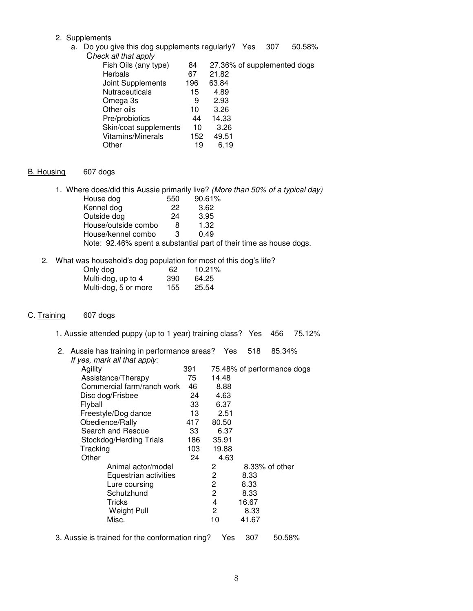## 2. Supplements

 a. Do you give this dog supplements regularly? Yes 307 50.58% Check all that apply

| <i>Officen all that apply</i> |     |                             |
|-------------------------------|-----|-----------------------------|
| Fish Oils (any type)          | 84  | 27.36% of supplemented dogs |
| Herbals                       | 67  | 21.82                       |
| Joint Supplements             | 196 | 63.84                       |
| <b>Nutraceuticals</b>         | 15  | 4.89                        |
| Omega 3s                      | 9   | 2.93                        |
| Other oils                    | 10  | 3.26                        |
| Pre/probiotics                | 44  | 14.33                       |
| Skin/coat supplements         | 10  | 3.26                        |
| Vitamins/Minerals             | 152 | 49.51                       |
| Other                         | 19  | 6.19                        |
|                               |     |                             |

### B. Housing 607 dogs

1. Where does/did this Aussie primarily live? (More than 50% of a typical day)<br>House dog 550 90.61% House dog  $\begin{array}{ccc} 550 & 90.616 \\ 550 & 22 & 3.62 \end{array}$ Kennel dog 22 3.62<br>Outside dog 24 3.95 Outside dog <br>
House/outside combo 8 1.32 House/outside combo 8 1.32<br>House/kennel combo 3 0.49

Note: 92.46% spent a substantial part of their time as house dogs.

2. What was household's dog population for most of this dog's life?

| 2. VIIIAL WAS HUUSEHUIU S UUU PUPUIAIIUH IUI HIUSLU |     |           |
|-----------------------------------------------------|-----|-----------|
| Only dog                                            | 62. | $10.21\%$ |
| Multi-dog, up to 4                                  | 390 | 64.25     |
| Multi-dog, 5 or more                                | 155 | 25.54     |

House/kennel combo

#### C. Training 607 dogs

1. Aussie attended puppy (up to 1 year) training class? Yes 456 75.12%

| 2. | Aussie has training in performance areas? Yes   |     |              | 518   | 85.34%                     |
|----|-------------------------------------------------|-----|--------------|-------|----------------------------|
|    | If yes, mark all that apply:<br>Agility         | 391 |              |       | 75.48% of performance dogs |
|    | Assistance/Therapy                              | 75  | 14.48        |       |                            |
|    | Commercial farm/ranch work                      | 46  | 8.88         |       |                            |
|    | Disc dog/Frisbee                                | 24  | 4.63         |       |                            |
|    | Flyball                                         | 33  | 6.37         |       |                            |
|    | Freestyle/Dog dance                             | 13  | 2.51         |       |                            |
|    | Obedience/Rally                                 | 417 | 80.50        |       |                            |
|    | Search and Rescue                               | 33  | 6.37         |       |                            |
|    | Stockdog/Herding Trials                         | 186 | 35.91        |       |                            |
|    | Tracking                                        | 103 | 19.88        |       |                            |
|    | Other                                           | 24  | 4.63         |       |                            |
|    | Animal actor/model                              |     | 2            |       | 8.33% of other             |
|    | Equestrian activities                           |     | 2            | 8.33  |                            |
|    | Lure coursing                                   |     | 2            | 8.33  |                            |
|    | Schutzhund                                      |     | $\mathbf{2}$ | 8.33  |                            |
|    | Tricks                                          |     | 4            | 16.67 |                            |
|    | <b>Weight Pull</b>                              |     | 2            | 8.33  |                            |
|    | Misc.                                           |     | 10           | 41.67 |                            |
|    | 3. Aussie is trained for the conformation ring? |     | Yes          | 307   | 50.58%                     |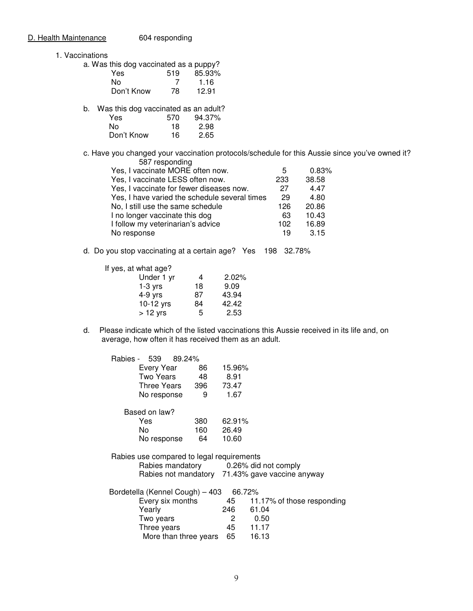D. Health Maintenance 604 responding

- 1. Vaccinations
	- a. Was this dog vaccinated as a puppy?<br>
	Yes
	85.93%

| Yes        | 519 | 85.93% |
|------------|-----|--------|
| No.        |     | 1.16   |
| Don't Know | 78  | 12.91  |

b. Was this dog vaccinated as an adult?

| Yes.       | 570 | 94.37% |
|------------|-----|--------|
| N٥         | 18  | 2.98   |
| Don't Know | 16  | 2.65   |

 c. Have you changed your vaccination protocols/schedule for this Aussie since you've owned it? 587 responding

| Yes, I vaccinate MORE often now.              | 5   | 0.83% |
|-----------------------------------------------|-----|-------|
| Yes, I vaccinate LESS often now.              | 233 | 38.58 |
| Yes, I vaccinate for fewer diseases now.      | 27  | 4.47  |
| Yes, I have varied the schedule several times | 29  | 4.80  |
| No, I still use the same schedule             | 126 | 20.86 |
| I no longer vaccinate this dog                | 63  | 10.43 |
| I follow my veterinarian's advice             | 102 | 16.89 |
| No response                                   | 19  | 3.15  |

d. Do you stop vaccinating at a certain age? Yes 198 32.78%

| If yes, at what age? |    |       |
|----------------------|----|-------|
| Under 1 yr           | 4  | 2.02% |
| $1-3$ yrs            | 18 | 9.09  |
| $4-9$ yrs            | 87 | 43.94 |
| 10-12 yrs            | 84 | 42.42 |
| $> 12$ yrs           | 5  | 2.53  |

d. Please indicate which of the listed vaccinations this Aussie received in its life and, on average, how often it has received them as an adult.

| Rabies - | 539 89.24%                                |       |        |                                                 |
|----------|-------------------------------------------|-------|--------|-------------------------------------------------|
|          | Every Year                                | 86    | 15.96% |                                                 |
|          | Two Years                                 | 48    | 8.91   |                                                 |
|          | Three Years 396                           |       | 73.47  |                                                 |
|          | No response                               | 9     | 1.67   |                                                 |
|          | Based on law?                             |       |        |                                                 |
|          | Yes                                       | 380   | 62.91% |                                                 |
|          | No.                                       | 160 — | 26.49  |                                                 |
|          | No response                               | 64    | 10.60  |                                                 |
|          | Rabies use compared to legal requirements |       |        |                                                 |
|          |                                           |       |        | Rabies mandatory 0.26% did not comply           |
|          |                                           |       |        | Rabies not mandatory 71.43% gave vaccine anyway |
|          | Bordetella (Kennel Cough) - 403           |       | 66.72% |                                                 |
|          | Every six months                          |       | 45     | 11.17% of those responding                      |
|          | Yearly                                    |       | 246    | 61.04                                           |
|          | Two years                                 |       | 2      | 0.50                                            |
|          | Three years                               |       | 45     | 11.17                                           |
|          | More than three years                     |       | 65     | 16.13                                           |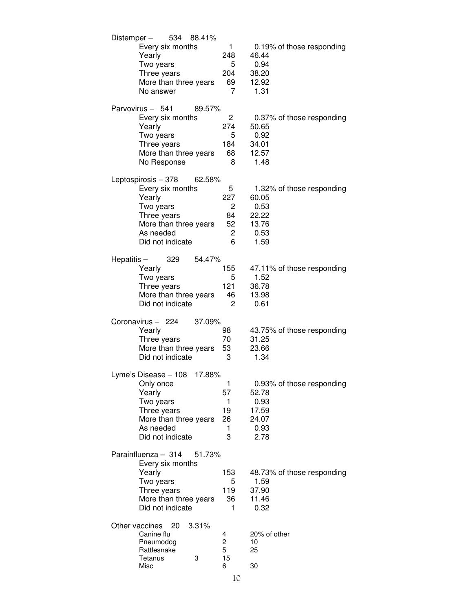| 534 88.41%<br>Distemper-<br>Every six months<br>Yearly<br>Two years<br>Three years<br>More than three years<br>No answer                          | $\mathbf{1}$<br>248<br>5<br>204<br>69<br>7                    | 0.19% of those responding<br>46.44<br>0.94<br>38.20<br>12.92<br>1.31         |
|---------------------------------------------------------------------------------------------------------------------------------------------------|---------------------------------------------------------------|------------------------------------------------------------------------------|
| Parvovirus - 541<br>89.57%<br>Every six months<br>Yearly<br>Two years<br>Three years<br>More than three years<br>No Response                      | $2^{\circ}$<br>274<br>5<br>184<br>68<br>8                     | 0.37% of those responding<br>50.65<br>0.92<br>34.01<br>12.57<br>1.48         |
| Leptospirosis - 378<br>62.58%<br>Every six months<br>Yearly<br>Two years<br>Three years<br>More than three years<br>As needed<br>Did not indicate | 5 <sub>5</sub><br>227<br>2<br>84<br>52<br>$\overline{2}$<br>6 | 1.32% of those responding<br>60.05<br>0.53<br>22.22<br>13.76<br>0.53<br>1.59 |
| 329<br>54.47%<br>Hepatitis $-$<br>Yearly<br>Two years<br>Three years<br>More than three years<br>Did not indicate                                 | 155<br>5<br>121<br>46<br>$\overline{2}$                       | 47.11% of those responding<br>1.52<br>36.78<br>13.98<br>0.61                 |
| Coronavirus - 224<br>37.09%<br>Yearly<br>Three years<br>More than three years<br>Did not indicate                                                 | 98<br>70<br>53<br>3                                           | 43.75% of those responding<br>31.25<br>23.66<br>1.34                         |
| Lyme's Disease - 108 17.88%<br>Only once<br>Yearly<br>Two years<br>Three years<br>More than three years<br>As needed<br>Did not indicate          | 1<br>57<br>$\mathbf{1}$<br>19<br>26<br>$\mathbf{1}$<br>3      | 0.93% of those responding<br>52.78<br>0.93<br>17.59<br>24.07<br>0.93<br>2.78 |
| Parainfluenza - 314<br>51.73%<br>Every six months<br>Yearly<br>Two years<br>Three years<br>More than three years<br>Did not indicate              | 153<br>5<br>119<br>36<br>1                                    | 48.73% of those responding<br>1.59<br>37.90<br>11.46<br>0.32                 |
| Other vaccines<br>20<br>3.31%<br>Canine flu<br>Pneumodog<br>Rattlesnake<br>Tetanus<br>3<br>Misc                                                   | 4<br>$\overline{c}$<br>5<br>15<br>6                           | 20% of other<br>10<br>25<br>30                                               |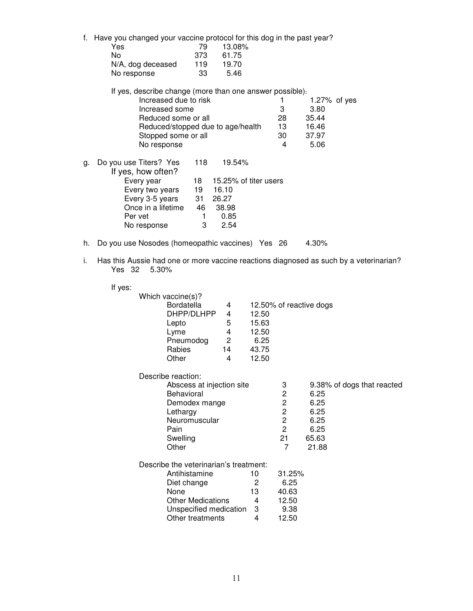|    | f. Have you changed your vaccine protocol for this dog in the past year?<br>Yes<br>79<br>13.08%<br>No<br>373<br>61.75<br>N/A, dog deceased<br>119<br>19.70<br>33<br>5.46<br>No response                                                                                 |                                                   |                                                                          |                                                                                      |
|----|-------------------------------------------------------------------------------------------------------------------------------------------------------------------------------------------------------------------------------------------------------------------------|---------------------------------------------------|--------------------------------------------------------------------------|--------------------------------------------------------------------------------------|
|    | If yes, describe change (more than one answer possible):<br>Increased due to risk<br>Increased some<br>Reduced some or all<br>Reduced/stopped due to age/health<br>Stopped some or all<br>No response                                                                   |                                                   | 1<br>3<br>28<br>13<br>30<br>4                                            | 1.27% of yes<br>3.80<br>35.44<br>16.46<br>37.97<br>5.06                              |
| g. | Do you use Titers? Yes<br>118<br>19.54%<br>If yes, how often?<br>Every year<br>15.25% of titer users<br>18<br>Every two years<br>19<br>16.10<br>Every 3-5 years<br>31<br>26.27<br>Once in a lifetime<br>38.98<br>46<br>0.85<br>Per vet<br>1<br>3<br>2.54<br>No response |                                                   |                                                                          |                                                                                      |
| h. | Do you use Nosodes (homeopathic vaccines) Yes 26                                                                                                                                                                                                                        |                                                   |                                                                          | 4.30%                                                                                |
| i. | Has this Aussie had one or more vaccine reactions diagnosed as such by a veterinarian?<br>Yes 32<br>5.30%                                                                                                                                                               |                                                   |                                                                          |                                                                                      |
|    | If yes:<br>Which vaccine(s)?<br><b>Bordatella</b><br>4<br>DHPP/DLHPP<br>4<br>5<br>Lepto<br>4<br>Lyme<br>Pneumodog<br>2<br>Rabies<br>14<br>Other<br>4                                                                                                                    | 12.50<br>15.63<br>12.50<br>6.25<br>43.75<br>12.50 | 12.50% of reactive dogs                                                  |                                                                                      |
|    | Describe reaction:<br>Abscess at injection site<br>Behavioral<br>Demodex mange<br>Lethargy<br>Neuromuscular<br>Pain<br>Swelling<br>Other                                                                                                                                |                                                   | 3<br>2<br>$\overline{\mathbf{c}}$<br>2<br>2<br>$\overline{c}$<br>21<br>7 | 9.38% of dogs that reacted<br>6.25<br>6.25<br>6.25<br>6.25<br>6.25<br>65.63<br>21.88 |
|    | Describe the veterinarian's treatment:<br>Antihistamine<br>Diet change<br>None<br><b>Other Medications</b><br>Unspecified medication<br>Other treatments                                                                                                                | 10<br>2<br>13<br>4<br>3<br>4                      | 31.25%<br>6.25<br>40.63<br>12.50<br>9.38<br>12.50                        |                                                                                      |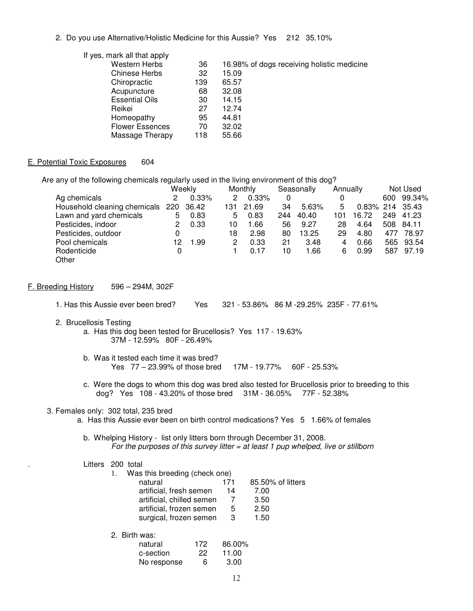2. Do you use Alternative/Holistic Medicine for this Aussie? Yes 212 35.10%

| If yes, mark all that apply |     |                                            |
|-----------------------------|-----|--------------------------------------------|
| Western Herbs               | 36  | 16.98% of dogs receiving holistic medicine |
| Chinese Herbs               | 32  | 15.09                                      |
| Chiropractic                | 139 | 65.57                                      |
| Acupuncture                 | 68  | 32.08                                      |
| <b>Essential Oils</b>       | 30  | 14.15                                      |
| Reikei                      | 27  | 12.74                                      |
| Homeopathy                  | 95  | 44.81                                      |
| <b>Flower Essences</b>      | 70  | 32.02                                      |
| Massage Therapy             | 118 | 55.66                                      |
|                             |     |                                            |

#### E. Potential Toxic Exposures 604

Are any of the following chemicals regularly used in the living environment of this dog?

|                                  |    | Weekly |    | Monthly   |     | Seasonally | Annually |                 |     | Not Used   |
|----------------------------------|----|--------|----|-----------|-----|------------|----------|-----------------|-----|------------|
| Ag chemicals                     | 2  | 0.33%  | 2  | 0.33%     | 0   |            | 0        |                 |     | 600 99.34% |
| Household cleaning chemicals 220 |    | 36.42  |    | 131 21.69 | 34  | 5.63%      | 5        | 0.83% 214 35.43 |     |            |
| Lawn and yard chemicals          | 5  | 0.83   | 5  | 0.83      | 244 | 40.40      | 101      | 16.72           |     | 249 41.23  |
| Pesticides, indoor               | 2  | 0.33   | 10 | 1.66      | 56  | 9.27       | 28       | 4.64            |     | 508 84.11  |
| Pesticides, outdoor              |    |        | 18 | 2.98      | 80  | 13.25      | 29       | 4.80            | 477 | 78.97      |
| Pool chemicals                   | 12 | .99    | 2  | 0.33      | 21  | 3.48       | 4        | 0.66            |     | 565 93.54  |
| Rodenticide                      | 0  |        |    | 0.17      | 10  | 1.66       | 6        | 0.99            | 587 | 97.19      |
| Other                            |    |        |    |           |     |            |          |                 |     |            |

#### F. Breeding History 596 – 294M, 302F

- 1. Has this Aussie ever been bred? Yes 321 53.86% 86 M -29.25% 235F 77.61%
- 2. Brucellosis Testing
	- a. Has this dog been tested for Brucellosis? Yes 117 19.63% 37M - 12.59% 80F - 26.49%
	- b. Was it tested each time it was bred? Yes 77 – 23.99% of those bred 17M - 19.77% 60F - 25.53%
	- c. Were the dogs to whom this dog was bred also tested for Brucellosis prior to breeding to this dog? Yes 108 - 43.20% of those bred 31M - 36.05% 77F - 52.38%

#### 3. Females only: 302 total, 235 bred

- a. Has this Aussie ever been on birth control medications? Yes 5 1.66% of females
	- b. Whelping History list only litters born through December 31, 2008. For the purposes of this survey litter  $=$  at least 1 pup whelped, live or stillborn

#### Litters 200 total

|               | Was this breeding (check one) |      |        |                   |
|---------------|-------------------------------|------|--------|-------------------|
|               | natural                       |      | 171    | 85.50% of litters |
|               | artificial, fresh semen       |      | 14     | 7.00              |
|               | artificial, chilled semen     |      | 7      | 3.50              |
|               | artificial, frozen semen      |      | 5      | 2.50              |
|               | surgical, frozen semen        |      | 3      | 1.50              |
| 2. Birth was: |                               |      |        |                   |
|               | natural                       | 172. | 86.00% |                   |
|               | c-section                     | 22   | 11.00  |                   |

No response 6 3.00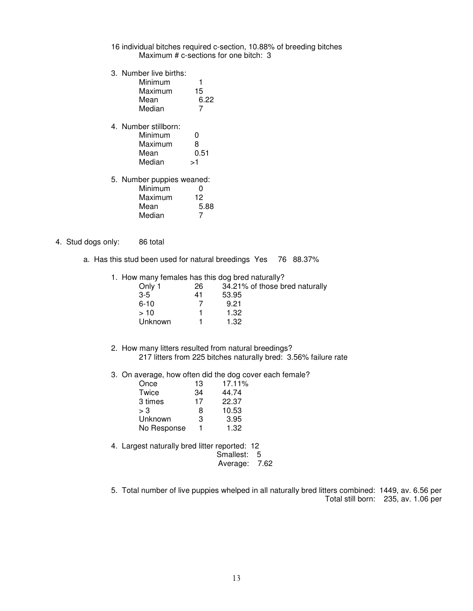- 16 individual bitches required c-section, 10.88% of breeding bitches Maximum # c-sections for one bitch: 3
- 3. Number live births:

| Minimum                   |      |
|---------------------------|------|
| Maximum                   | 15   |
| Mean                      | 6.22 |
| Median                    | 7    |
| 4. Number stillborn:      |      |
| Minimum                   | O    |
| Maximum                   | 8    |
| Mean                      | 0.51 |
| Median                    | >1   |
| 5. Number puppies weaned: |      |
| Minimum                   |      |
| Maximum                   | 12   |
| Mean                      | 5.88 |
| Median                    |      |

- 4. Stud dogs only: 86 total
	- a. Has this stud been used for natural breedings Yes 76 88.37%
		- 1. How many females has this dog bred naturally?

| Only 1         | 26 | 34.21% of those bred naturally |
|----------------|----|--------------------------------|
| $3-5$          | 41 | 53.95                          |
| $6-10$         |    | 9.21                           |
| >10            |    | 1.32                           |
| <b>Unknown</b> |    | 1.32                           |
|                |    |                                |

- 2. How many litters resulted from natural breedings? 217 litters from 225 bitches naturally bred: 3.56% failure rate
- 3. On average, how often did the dog cover each female?

| Once        | 13 | 17.11% |
|-------------|----|--------|
| Twice       | 34 | 44.74  |
| 3 times     | 17 | 22.37  |
| > 3         | 8  | 10.53  |
| Unknown     | 3  | 3.95   |
| No Response | 1  | 1.32   |

4. Largest naturally bred litter reported: 12

Smallest: 5

Average: 7.62

 5. Total number of live puppies whelped in all naturally bred litters combined: 1449, av. 6.56 per Total still born: 235, av. 1.06 per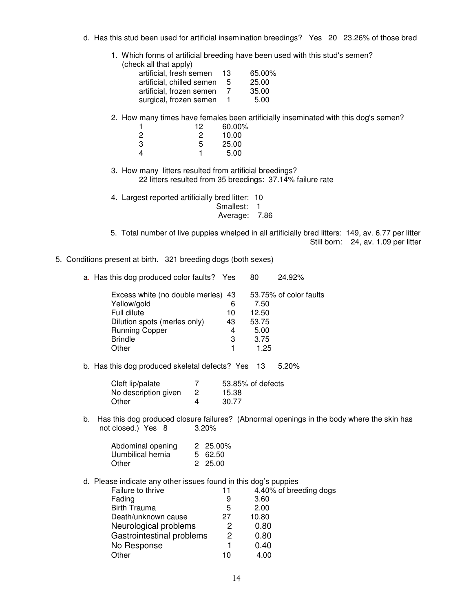d. Has this stud been used for artificial insemination breedings? Yes 20 23.26% of those bred

1. Which forms of artificial breeding have been used with this stud's semen? (check all that apply)

| artificial, fresh semen 13  | 65.00% |
|-----------------------------|--------|
| artificial, chilled semen 5 | 25.00  |
| artificial, frozen semen 7  | 35.00  |
| surgical, frozen semen      | 5.00   |

2. How many times have females been artificially inseminated with this dog's semen?

| 12 | 60.00% |
|----|--------|
| ּפ | 10.00  |
| 5  | 25.00  |
|    | 5.00   |

 3. How many litters resulted from artificial breedings? 22 litters resulted from 35 breedings: 37.14% failure rate

4. Largest reported artificially bred litter: 10

Smallest: 1

Average: 7.86

- 5. Total number of live puppies whelped in all artificially bred litters: 149, av. 6.77 per litter Still born: 24, av. 1.09 per litter
- 5. Conditions present at birth. 321 breeding dogs (both sexes)
	- a. Has this dog produced color faults? Yes 80 24.92%

| Excess white (no double merles) 43 |    | 53.75% of color faults |
|------------------------------------|----|------------------------|
| Yellow/gold                        |    | 7.50                   |
| Full dilute                        | 10 | 12.50                  |
| Dilution spots (merles only)       | 43 | 53.75                  |
| <b>Running Copper</b>              | 4  | 5.00                   |
| <b>Brindle</b>                     | 3  | 3.75                   |
| Other                              |    | 1.25                   |

b. Has this dog produced skeletal defects? Yes 13 5.20%

| Cleft lip/palate     | 53.85% of defects |
|----------------------|-------------------|
| No description given | 15.38             |
| Other                | 30.77             |

b. Has this dog produced closure failures? (Abnormal openings in the body where the skin has not closed.) Yes 8 3.20% not closed.) Yes 8

| Abdominal opening | 2 25.00% |
|-------------------|----------|
| Uumbilical hernia | 5 62.50  |
| Other             | 2 25.00  |

d. Please indicate any other issues found in this dog's puppies

| Failure to thrive         | 11 | 4.40% of breeding dogs |
|---------------------------|----|------------------------|
| Fading                    | 9  | 3.60                   |
| <b>Birth Trauma</b>       | 5  | 2.00                   |
| Death/unknown cause       | 27 | 10.80                  |
| Neurological problems     | 2  | 0.80                   |
| Gastrointestinal problems | 2  | 0.80                   |
| No Response               |    | 0.40                   |
| Other                     | 10 | 4.00                   |
|                           |    |                        |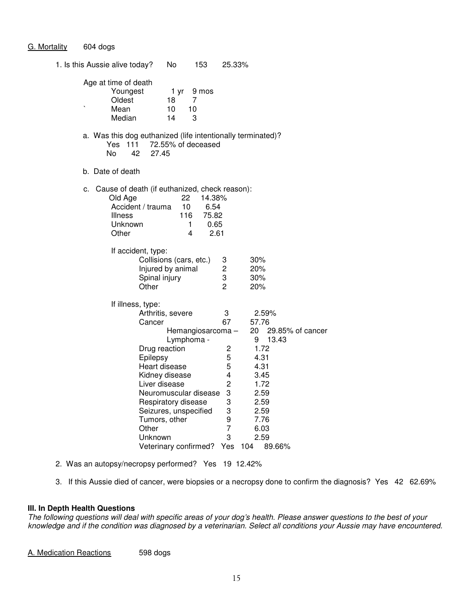## G. Mortality 604 dogs

| 1. Is this Aussie alive today?                   | No                                                                                                                                                                                                                                                                       | 153                                                                  | 25.33%                                                                                                       |                                                                                                                                                    |
|--------------------------------------------------|--------------------------------------------------------------------------------------------------------------------------------------------------------------------------------------------------------------------------------------------------------------------------|----------------------------------------------------------------------|--------------------------------------------------------------------------------------------------------------|----------------------------------------------------------------------------------------------------------------------------------------------------|
| Age at time of death<br>Oldest<br>Mean<br>Median | Youngest<br>1 yr<br>18<br>10<br>14                                                                                                                                                                                                                                       | 9 mos<br>$\overline{7}$<br>10<br>3                                   |                                                                                                              |                                                                                                                                                    |
| Yes<br>No.                                       | a. Was this dog euthanized (life intentionally terminated)?<br>111<br>42<br>27.45                                                                                                                                                                                        | 72.55% of deceased                                                   |                                                                                                              |                                                                                                                                                    |
| b. Date of death                                 |                                                                                                                                                                                                                                                                          |                                                                      |                                                                                                              |                                                                                                                                                    |
| c.<br>Old Age<br><b>Illness</b><br>Other         | Cause of death (if euthanized, check reason):<br>Accident / trauma<br>Unknown                                                                                                                                                                                            | 22<br>14.38%<br>10<br>6.54<br>116<br>75.82<br>1<br>0.65<br>4<br>2.61 |                                                                                                              |                                                                                                                                                    |
|                                                  | If accident, type:<br>Collisions (cars, etc.)<br>Injured by animal<br>Spinal injury<br>Other                                                                                                                                                                             |                                                                      | 3<br>2<br>3<br>2                                                                                             | $30\%$<br>20%<br>30%<br>20%                                                                                                                        |
|                                                  | If illness, type:<br>Arthritis, severe<br>Cancer<br>Drug reaction<br>Epilepsy<br>Heart disease<br>Kidney disease<br>Liver disease<br>Neuromuscular disease<br>Respiratory disease<br>Seizures, unspecified<br>Tumors, other<br>Other<br>Unknown<br>Veterinary confirmed? | Hemangiosarcoma-<br>Lymphoma -                                       | 3<br>67<br>20<br>2<br>5<br>5<br>4<br>$\overline{c}$<br>3<br>3<br>3<br>9<br>$\overline{7}$<br>3<br>Yes<br>104 | 2.59%<br>57.76<br>29.85% of cancer<br>13.43<br>9<br>1.72<br>4.31<br>4.31<br>3.45<br>1.72<br>2.59<br>2.59<br>2.59<br>7.76<br>6.03<br>2.59<br>89.66% |

2. Was an autopsy/necropsy performed? Yes 19 12.42%

3. If this Aussie died of cancer, were biopsies or a necropsy done to confirm the diagnosis? Yes 42 62.69%

#### **III. In Depth Health Questions**

The following questions will deal with specific areas of your dog's health. Please answer questions to the best of your knowledge and if the condition was diagnosed by a veterinarian. Select all conditions your Aussie may have encountered.

A. Medication Reactions 598 dogs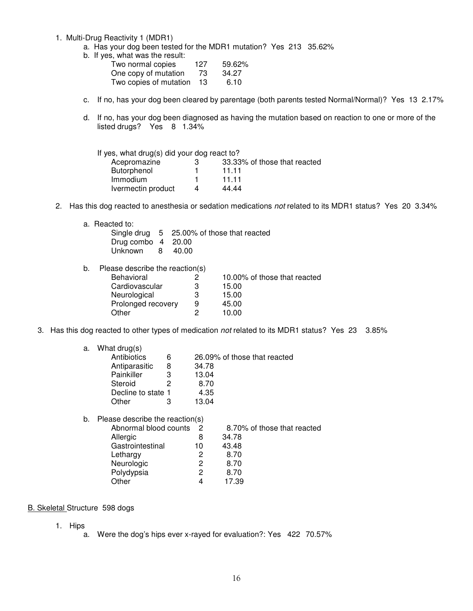1. Multi-Drug Reactivity 1 (MDR1)

a. Has your dog been tested for the MDR1 mutation? Yes 213 35.62%

b. If yes, what was the result:

| Two normal copies      | 127 | 59.62% |
|------------------------|-----|--------|
| One copy of mutation   | 73  | 34.27  |
| Two copies of mutation | 13  | 6.10   |

- c. If no, has your dog been cleared by parentage (both parents tested Normal/Normal)? Yes 13 2.17%
- d. If no, has your dog been diagnosed as having the mutation based on reaction to one or more of the listed drugs? Yes 8 1.34%

| If yes, what drug(s) did your dog react to? |   |                              |
|---------------------------------------------|---|------------------------------|
| Acepromazine                                | 3 | 33.33% of those that reacted |
| Butorphenol                                 |   | 11 11                        |
| <b>Immodium</b>                             |   | 11 11                        |
| Ivermectin product                          | 4 | 44 44                        |

2. Has this dog reacted to anesthesia or sedation medications not related to its MDR1 status? Yes 20 3.34%

a. Reacted to:

|                    | Single drug 5 25.00% of those that reacted |
|--------------------|--------------------------------------------|
| Drug combo 4 20.00 |                                            |
| Unknown 8          | 40.00                                      |

b. Please describe the reaction(s)

| <b>Behavioral</b>  | 2 | 10.00% of those that reacted |
|--------------------|---|------------------------------|
| Cardiovascular     | З | 15.00                        |
| Neurological       | З | 15.00                        |
| Prolonged recovery | 9 | 45.00                        |
| Other              |   | 10.00                        |
|                    |   |                              |

3. Has this dog reacted to other types of medication not related to its MDR1 status? Yes 23 3.85%

| а. | What drug(s) |  |  |  |
|----|--------------|--|--|--|
|    |              |  |  |  |

| Antibiotics        | 6 | 26.09% of those that reacted |
|--------------------|---|------------------------------|
| Antiparasitic      | 8 | 34.78                        |
| Painkiller         | З | 13.04                        |
| Steroid            |   | 8.70                         |
| Decline to state 1 |   | 4.35                         |
| Other              |   | 13.04                        |
|                    |   |                              |
|                    |   |                              |

| b. | Please describe the reaction(s) |    |                             |
|----|---------------------------------|----|-----------------------------|
|    | Abnormal blood counts           | 2  | 8.70% of those that reacted |
|    | Allergic                        | 8  | 34.78                       |
|    | Gastrointestinal                | 10 | 43.48                       |
|    | Lethargy                        | 2  | 8.70                        |
|    | Neurologic                      | 2  | 8.70                        |
|    | Polydypsia                      | 2  | 8.70                        |
|    | Other                           |    | 17.39                       |
|    |                                 |    |                             |

#### B. Skeletal Structure 598 dogs

- 1. Hips
	- a. Were the dog's hips ever x-rayed for evaluation?: Yes 422 70.57%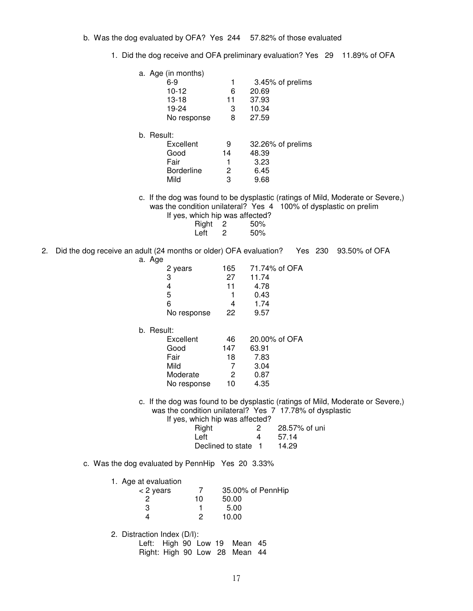# b. Was the dog evaluated by OFA? Yes 244 57.82% of those evaluated

1. Did the dog receive and OFA preliminary evaluation? Yes 29 11.89% of OFA

|                                                                                   | a. Age (in months)<br>$6-9$<br>$10 - 12$<br>$13 - 18$<br>19-24<br>No response | 1<br>6<br>11<br>3<br>8                       | 20.69<br>37.93<br>10.34<br>27.59                       | 3.45% of prelims                                                                                                                                                               |
|-----------------------------------------------------------------------------------|-------------------------------------------------------------------------------|----------------------------------------------|--------------------------------------------------------|--------------------------------------------------------------------------------------------------------------------------------------------------------------------------------|
|                                                                                   | b. Result:<br>Excellent<br>Good<br>Fair<br><b>Borderline</b><br>Mild          | 9<br>14<br>1<br>$\overline{\mathbf{c}}$<br>3 | 48.39<br>3.23<br>6.45<br>9.68                          | 32.26% of prelims                                                                                                                                                              |
|                                                                                   | If yes, which hip was affected?<br>Right<br>Left                              | $\overline{c}$<br>$\overline{c}$             | 50%<br>50%                                             | c. If the dog was found to be dysplastic (ratings of Mild, Moderate or Severe,)<br>was the condition unilateral? Yes 4 100% of dysplastic on prelim                            |
| 2.<br>Did the dog receive an adult (24 months or older) OFA evaluation?           |                                                                               |                                              |                                                        | Yes 230<br>93.50% of OFA                                                                                                                                                       |
|                                                                                   | a. Age<br>2 years<br>3<br>4                                                   | 165<br>27<br>11                              | 71.74% of OFA<br>11.74<br>4.78                         |                                                                                                                                                                                |
|                                                                                   | 5                                                                             | 1                                            | 0.43                                                   |                                                                                                                                                                                |
|                                                                                   | 6<br>No response                                                              | 4<br>22                                      | 1.74<br>9.57                                           |                                                                                                                                                                                |
|                                                                                   |                                                                               |                                              |                                                        |                                                                                                                                                                                |
|                                                                                   | b. Result:<br>Excellent<br>Good<br>Fair<br>Mild<br>Moderate<br>No response    | 46<br>147<br>18<br>7<br>2<br>10              | 20.00% of OFA<br>63.91<br>7.83<br>3.04<br>0.87<br>4.35 |                                                                                                                                                                                |
|                                                                                   | If yes, which hip was affected?<br>Right<br>Left                              | Declined to state                            | 2<br>4<br>- 1                                          | c. If the dog was found to be dysplastic (ratings of Mild, Moderate or Severe,)<br>was the condition unilateral? Yes 7 17.78% of dysplastic<br>28.57% of uni<br>57.14<br>14.29 |
| c. Was the dog evaluated by PennHip Yes 20 3.33%                                  |                                                                               |                                              |                                                        |                                                                                                                                                                                |
|                                                                                   |                                                                               |                                              |                                                        |                                                                                                                                                                                |
| 1. Age at evaluation<br>$\overline{\mathbf{c}}$<br>$\ensuremath{\mathsf{3}}$<br>4 | 7<br>< 2 years<br>10<br>1<br>2                                                | 50.00<br>5.00<br>10.00                       | 35.00% of PennHip                                      |                                                                                                                                                                                |
|                                                                                   | 2. Distraction Index (D/I):                                                   |                                              |                                                        |                                                                                                                                                                                |
| Left:                                                                             | High 90 Low 19<br>Right: High 90 Low 28 Mean 44                               |                                              | Mean 45                                                |                                                                                                                                                                                |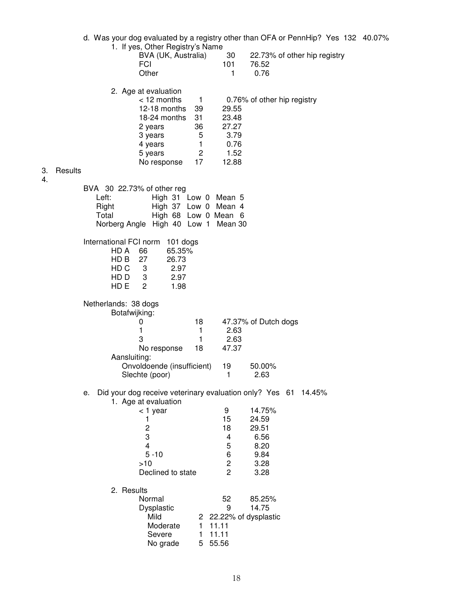d. Was your dog evaluated by a registry other than OFA or PennHip? Yes 132 40.07% 1. If yes, Other Registry's Name<br>BVA (UK, Australia) BVA (UK, Australia) 30 22.73% of other hip registry 76.52 Other 1 0.76 2. Age at evaluation < 12 months 1 0.76% of other hip registry 12-18 months 39 29.55 18-24 months 31 23.48 2 years 36 27.27<br>3 years 5 3.79 3 years 4 years 1 0.76 5 years <br>No response 17 12.88 No response 17 12.88 3. Results 4. BVA 30 22.73% of other reg Left: High 31 Low 0 Mean 5 Right High 37 Low 0 Mean 4 Total High 68 Low 0 Mean 6 Norberg Angle High 40 Low 1 Mean 30 International FCI norm 101 dogs HD A 66 65.35%<br>HD B 27 26.73 HD B 27 26.73<br>HD C 3 2.97  $HD C$ HD D 3 2.97 HD E 2 1.98 Netherlands: 38 dogs Botafwijking: 0 18 47.37% of Dutch dogs<br>1 1 2.63  $1$  1 2.63  $3$  1 2.63 No response 18 47.37 Aansluiting: Onvoldoende (insufficient) 19 50.00%<br>Slechte (poor) 1 2.63 Slechte (poor) e. Did your dog receive veterinary evaluation only? Yes 61 14.45% 1. Age at evaluation < 1 year 9 14.75% 1 15 24.59<br>2 18 29.51 2 18 29.51 3 4 6.56 4 5 8.20 5 -10 6 9.84  $>10$  2 3.28 Declined to state 2 3.28 2. Results Normal 52 85.25% Dysplastic 9 14.75 Mild 2 22.22% of dysplastic Moderate 1 11.11<br>Severe 1 11.11  $11.11$ <br>5 55.56 No grade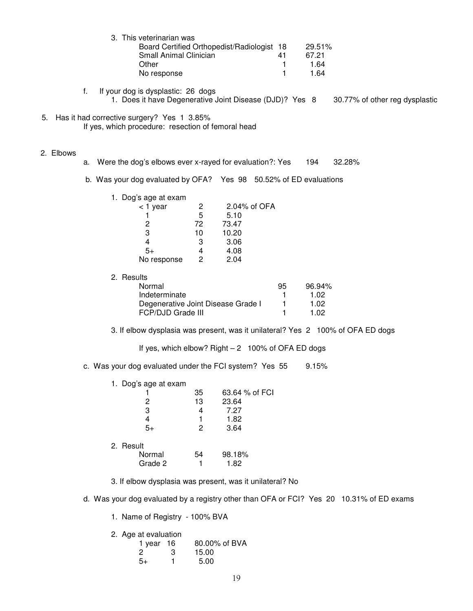|                                                  | 3. This veterinarian was<br>Board Certified Orthopedist/Radiologist 18<br>Small Animal Clinician<br>Other<br>No response                                                    |                                                 | 41<br>1<br>1                | 29.51%<br>67.21<br>1.64<br>1.64 |                                |
|--------------------------------------------------|-----------------------------------------------------------------------------------------------------------------------------------------------------------------------------|-------------------------------------------------|-----------------------------|---------------------------------|--------------------------------|
| f.                                               | If your dog is dysplastic: 26 dogs<br>1. Does it have Degenerative Joint Disease (DJD)? Yes 8                                                                               |                                                 |                             |                                 | 30.77% of other reg dysplastic |
| Has it had corrective surgery? Yes 1 3.85%<br>5. | If yes, which procedure: resection of femoral head                                                                                                                          |                                                 |                             |                                 |                                |
| 2. Elbows                                        | a. Were the dog's elbows ever x-rayed for evaluation?: Yes                                                                                                                  |                                                 |                             | 194                             | 32.28%                         |
|                                                  | b. Was your dog evaluated by OFA? Yes 98 50.52% of ED evaluations                                                                                                           |                                                 |                             |                                 |                                |
|                                                  | 1. Dog's age at exam<br>$\overline{\mathbf{c}}$<br>$<$ 1 year<br>5<br>1<br>2<br>72<br>3<br>10<br>$\overline{\mathbf{4}}$<br>3<br>$5+$<br>4<br>$\overline{2}$<br>No response | 5.10<br>73.47<br>10.20<br>3.06<br>4.08<br>2.04  | 2.04% of OFA                |                                 |                                |
|                                                  | 2. Results<br>Normal<br>Indeterminate<br>Degenerative Joint Disease Grade I<br>FCP/DJD Grade III                                                                            |                                                 | 95<br>1<br>$\mathbf 1$<br>1 | 96.94%<br>1.02<br>1.02<br>1.02  |                                |
|                                                  | 3. If elbow dysplasia was present, was it unilateral? Yes 2 100% of OFA ED dogs                                                                                             |                                                 |                             |                                 |                                |
|                                                  | If yes, which elbow? Right $-2$ 100% of OFA ED dogs                                                                                                                         |                                                 |                             |                                 |                                |
|                                                  | c. Was your dog evaluated under the FCI system? Yes 55                                                                                                                      |                                                 |                             | 9.15%                           |                                |
|                                                  | 1. Dog's age at exam<br>35<br>2<br>13<br>3<br>4<br>4<br>1<br>$5+$<br>$\overline{c}$                                                                                         | 63.64 % of FCI<br>23.64<br>7.27<br>1.82<br>3.64 |                             |                                 |                                |
| 2. Result                                        | Normal<br>54<br>Grade 2<br>$\mathbf{1}$                                                                                                                                     | 98.18%<br>1.82                                  |                             |                                 |                                |
|                                                  | 3. If elbow dysplasia was present, was it unilateral? No                                                                                                                    |                                                 |                             |                                 |                                |

d. Was your dog evaluated by a registry other than OFA or FCI? Yes 20 10.31% of ED exams

1. Name of Registry - 100% BVA

2. Age at evaluation

| 1 year 16 |   | 80.00% of BVA |
|-----------|---|---------------|
|           | З | 15.00         |
| 5+        |   | 5.00          |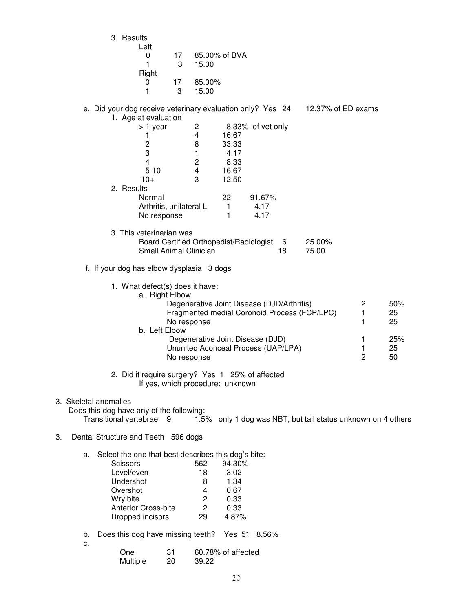| 3. Results                                                                         |                         |                              |                                            |        |           |                                                              |                                |           |
|------------------------------------------------------------------------------------|-------------------------|------------------------------|--------------------------------------------|--------|-----------|--------------------------------------------------------------|--------------------------------|-----------|
| Left<br>0<br>1                                                                     | 17<br>3                 | 15.00                        | 85.00% of BVA                              |        |           |                                                              |                                |           |
| Right<br>0                                                                         | 17                      | 85.00%                       |                                            |        |           |                                                              |                                |           |
| 1                                                                                  | 3                       | 15.00                        |                                            |        |           |                                                              |                                |           |
| e. Did your dog receive veterinary evaluation only? Yes 24<br>1. Age at evaluation |                         |                              |                                            |        |           | 12.37% of ED exams                                           |                                |           |
| > 1 year<br>1                                                                      |                         | 2<br>$\overline{\mathbf{4}}$ | 8.33% of vet only<br>16.67                 |        |           |                                                              |                                |           |
| 2                                                                                  |                         | 8                            | 33.33                                      |        |           |                                                              |                                |           |
| 3<br>4                                                                             |                         | 1<br>$\overline{\mathbf{c}}$ | 4.17<br>8.33                               |        |           |                                                              |                                |           |
| $5 - 10$                                                                           |                         | $\overline{4}$               | 16.67                                      |        |           |                                                              |                                |           |
| $10+$                                                                              |                         | 3                            | 12.50                                      |        |           |                                                              |                                |           |
| 2. Results<br>Normal                                                               |                         |                              | 22                                         | 91.67% |           |                                                              |                                |           |
|                                                                                    | Arthritis, unilateral L |                              | $\mathbf{1}$                               | 4.17   |           |                                                              |                                |           |
|                                                                                    | No response             |                              | 1                                          | 4.17   |           |                                                              |                                |           |
| 3. This veterinarian was                                                           | Small Animal Clinician  |                              | Board Certified Orthopedist/Radiologist    |        | - 6<br>18 | 25.00%<br>75.00                                              |                                |           |
| f. If your dog has elbow dysplasia 3 dogs                                          |                         |                              |                                            |        |           |                                                              |                                |           |
| 1. What defect(s) does it have:                                                    |                         |                              |                                            |        |           |                                                              |                                |           |
|                                                                                    | a. Right Elbow          |                              |                                            |        |           |                                                              |                                |           |
|                                                                                    |                         |                              | Degenerative Joint Disease (DJD/Arthritis) |        |           | Fragmented medial Coronoid Process (FCP/LPC)                 | $\overline{c}$<br>$\mathbf{1}$ | 50%<br>25 |
|                                                                                    | No response             |                              |                                            |        |           |                                                              | 1                              | 25        |
|                                                                                    | b. Left Elbow           |                              | Degenerative Joint Disease (DJD)           |        |           |                                                              | 1                              | 25%       |
|                                                                                    |                         |                              | Ununited Aconceal Process (UAP/LPA)        |        |           |                                                              | 1                              | 25        |
|                                                                                    | No response             |                              |                                            |        |           |                                                              | $\overline{c}$                 | 50        |
| Did it require surgery? Yes 1 25% of affected<br>2.                                |                         |                              | If yes, which procedure: unknown           |        |           |                                                              |                                |           |
| 3. Skeletal anomalies                                                              |                         |                              |                                            |        |           |                                                              |                                |           |
| Does this dog have any of the following:<br>Transitional vertebrae 9               |                         |                              |                                            |        |           | 1.5% only 1 dog was NBT, but tail status unknown on 4 others |                                |           |
|                                                                                    |                         |                              |                                            |        |           |                                                              |                                |           |
| 3.<br>Dental Structure and Teeth 596 dogs                                          |                         |                              |                                            |        |           |                                                              |                                |           |
| a. Select the one that best describes this dog's bite:                             |                         |                              |                                            |        |           |                                                              |                                |           |
| <b>Scissors</b><br>Level/even                                                      |                         | 562<br>18                    | 94.30%<br>3.02                             |        |           |                                                              |                                |           |
| Undershot                                                                          |                         | 8                            | 1.34                                       |        |           |                                                              |                                |           |
| Overshot<br>Wry bite                                                               |                         | 4<br>2                       | 0.67<br>0.33                               |        |           |                                                              |                                |           |
| <b>Anterior Cross-bite</b>                                                         |                         | $\overline{c}$               | 0.33                                       |        |           |                                                              |                                |           |
| Dropped incisors                                                                   |                         | 29                           | 4.87%                                      |        |           |                                                              |                                |           |
| Does this dog have missing teeth? Yes 51 8.56%<br>b.<br>c.                         |                         |                              |                                            |        |           |                                                              |                                |           |
| One<br>Multiple                                                                    | 31<br>20                | 39.22                        | 60.78% of affected                         |        |           |                                                              |                                |           |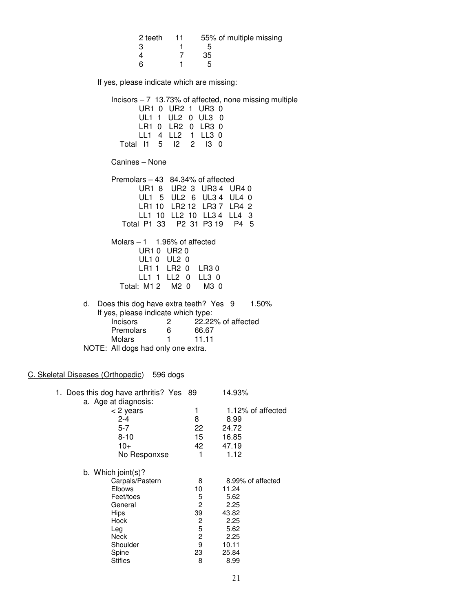|  | 2 teeth 11 55% of multiple missing |
|--|------------------------------------|
|  |                                    |
|  | 35                                 |
|  |                                    |

If yes, please indicate which are missing:

| $Incisors - 7$ 13.73% of affected, none missing multiple<br>UR1 0 UR2 1<br><b>UR3 0</b><br>UL1 1 UL2 0 UL3 0<br>LR1 0 LR2 0 LR3 0<br>LL1 4 LL2 1 LL3 0<br>Total I1 5 I2<br>$\overline{2}$<br>130                                                                                                                                                 |
|--------------------------------------------------------------------------------------------------------------------------------------------------------------------------------------------------------------------------------------------------------------------------------------------------------------------------------------------------|
| Canines - None                                                                                                                                                                                                                                                                                                                                   |
| Premolars $-43$ 84.34% of affected<br>UR1 8 UR2 3 UR3 4 UR4 0<br>UL1 5 UL2 6 UL3 4 UL4 0<br>LR1 10 LR2 12 LR3 7 LR4 2<br>LL1 10 LL2 10 LL3 4 LL4 3<br>Total P1 33 P2 31 P3 19 P4 5                                                                                                                                                               |
| Molars $-1$ 1.96% of affected<br>UR1 0 UR2 0<br>UL10 UL2 0<br>LR1 1 LR2 0<br>LR3 0<br>LL1 1 LL2 0<br>$LL3$ 0<br>Total: M1 2 M2 0<br>M3 0                                                                                                                                                                                                         |
| Does this dog have extra teeth? Yes 9<br>1.50%<br>d.<br>If yes, please indicate which type:<br>Incisors<br>22.22% of affected<br>2<br>6<br><b>Premolars</b><br>66.67<br>1<br>Molars<br>11.11<br>NOTE: All dogs had only one extra.                                                                                                               |
| C. Skeletal Diseases (Orthopedic) 596 dogs                                                                                                                                                                                                                                                                                                       |
| 1. Does this dog have arthritis? Yes 89<br>14.93%<br>a. Age at diagnosis:<br>< 2 years<br>1<br>1.12% of affected<br>$2 - 4$<br>8<br>8.99<br>$5 - 7$<br>22<br>24.72<br>$8 - 10$<br>15<br>16.85<br>10+<br>42<br>47.19<br>1.12<br>No Responxse<br>1                                                                                                 |
| b. Which joint(s)?<br>Carpals/Pastern<br>8<br>8.99% of affected<br><b>Elbows</b><br>10<br>11.24<br>Feet/toes<br>5<br>5.62<br>2<br>General<br>2.25<br>39<br><b>Hips</b><br>43.82<br>Hock<br>2<br>2.25<br>5<br>5.62<br>Leg<br>$\overline{c}$<br>Neck<br>2.25<br>9<br>Shoulder<br>10.11<br>23<br>25.84<br>Spine<br>$C+if _{\triangle,\cap}$<br>0.00 |

| $\overline{1}$ . Does this dog have althillis! Tes ob |    | 14.JJ /0         |
|-------------------------------------------------------|----|------------------|
| a. Age at diagnosis:                                  |    |                  |
| < 2 years                                             |    | 1.12% of affec   |
| $2 - 4$                                               | 8  | 8.99             |
| $5 - 7$                                               | 22 | 24.72            |
| $8 - 10$                                              | 15 | 16.85            |
| 10+                                                   | 42 | 47.19            |
| No Responxse                                          | 1  | 1.12             |
| b. Which joint(s)?                                    |    |                  |
| Carpals/Pastern                                       | 8  | 8.99% of affecte |
| Elbows                                                | 10 | 11.24            |
| Feet/toes                                             | 5  | 5.62             |
| General                                               | 2  | 2.25             |
| <b>Hips</b>                                           | 39 | 43.82            |
| Hock                                                  | 2  | 2.25             |
| Leg                                                   | 5  | 5.62             |
| Neck                                                  | 2  | 2.25             |
| Shoulder                                              | 9  | 10.11            |
| Spine                                                 | 23 | 25.84            |
| <b>Stifles</b>                                        | 8  | 8.99             |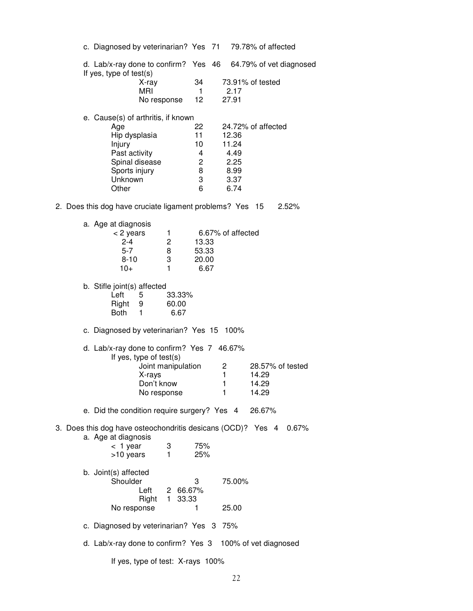| c. Diagnosed by veterinarian? Yes 71 79.78% of affected                                                             |  |
|---------------------------------------------------------------------------------------------------------------------|--|
| d. Lab/x-ray done to confirm? Yes 46<br>64.79% of vet diagnosed<br>If yes, type of test(s)                          |  |
| 34<br>73.91% of tested<br>X-ray                                                                                     |  |
| <b>MRI</b><br>$\mathbf 1$<br>2.17<br>27.91<br>12<br>No response                                                     |  |
| e. Cause(s) of arthritis, if known                                                                                  |  |
| 24.72% of affected<br>Age<br>22<br>11<br>Hip dysplasia<br>12.36                                                     |  |
| 11.24<br>Injury<br>10<br>Past activity<br>4.49<br>4                                                                 |  |
| Spinal disease<br>2<br>2.25<br>8<br>8.99<br>Sports injury                                                           |  |
| Unknown<br>3<br>3.37<br>Other<br>6.74<br>6                                                                          |  |
| 2. Does this dog have cruciate ligament problems? Yes 15<br>2.52%                                                   |  |
| a. Age at diagnosis                                                                                                 |  |
| 6.67% of affected<br>$<$ 2 years<br>1<br>$\overline{2}$<br>$2 - 4$<br>13.33                                         |  |
| $5 - 7$<br>8<br>53.33<br>3<br>$8 - 10$<br>20.00                                                                     |  |
| $10+$<br>1<br>6.67                                                                                                  |  |
| b. Stifle joint(s) affected<br>Left<br>5<br>33.33%                                                                  |  |
| Right<br>9<br>60.00<br><b>Both</b><br>1<br>6.67                                                                     |  |
| c. Diagnosed by veterinarian? Yes 15 100%                                                                           |  |
| d. Lab/x-ray done to confirm? Yes 7 46.67%                                                                          |  |
| If yes, type of test(s)<br>Joint manipulation<br>2<br>28.57% of tested<br>1                                         |  |
| 14.29<br>X-rays<br>Don't know<br>1<br>14.29<br>1                                                                    |  |
| No response<br>14.29<br>26.67%                                                                                      |  |
| e. Did the condition require surgery? Yes 4<br>3. Does this dog have osteochondritis desicans (OCD)? Yes 4<br>0.67% |  |
| a. Age at diagnosis<br>$<$ 1 year<br>75%<br>3                                                                       |  |
| 1<br>>10 years<br>25%                                                                                               |  |
| b. Joint(s) affected<br>Shoulder<br>3<br>75.00%                                                                     |  |
| 2 66.67%<br>Left<br>$\mathbf{1}$<br>33.33<br>Right                                                                  |  |
| No response<br>25.00<br>1                                                                                           |  |
| c. Diagnosed by veterinarian? Yes 3<br>75%                                                                          |  |
| d. Lab/x-ray done to confirm? Yes 3<br>100% of vet diagnosed                                                        |  |

If yes, type of test: X-rays 100%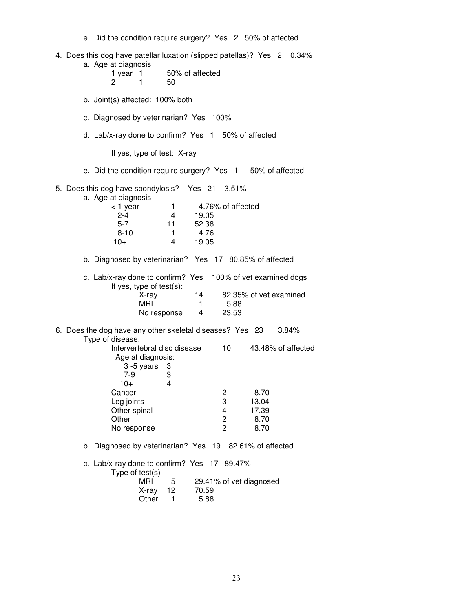| 4. Does this dog have patellar luxation (slipped patellas)? Yes 2 0.34%<br>a. Age at diagnosis<br>50% of affected<br>1 year $1$<br>$\overline{2}$<br>$\mathbf 1$<br>50<br>b. Joint(s) affected: 100% both<br>c. Diagnosed by veterinarian? Yes 100%<br>d. Lab/x-ray done to confirm? Yes 1 50% of affected<br>If yes, type of test: X-ray<br>e. Did the condition require surgery? Yes 1 50% of affected<br>5. Does this dog have spondylosis? Yes 21 3.51%<br>a. Age at diagnosis<br>$<$ 1 year<br>4.76% of affected<br>$\mathbf{1}$<br>$2 - 4$<br>4<br>19.05<br>$5-7$<br>$11 -$<br>52.38<br>$8 - 10$<br>4.76<br>$\blacksquare$ 1<br>19.05<br>$10+$<br>4<br>b. Diagnosed by veterinarian? Yes 17 80.85% of affected<br>c. Lab/x-ray done to confirm? Yes 100% of vet examined dogs<br>If yes, type of test(s):<br>82.35% of vet examined<br>X-ray<br>14<br>MRI<br>$\mathbf{1}$<br>5.88<br>23.53<br>4<br>No response<br>6. Does the dog have any other skeletal diseases? Yes 23 3.84%<br>Type of disease:<br>Intervertebral disc disease<br>10<br>43.48% of affected<br>Age at diagnosis:<br>3 -5 years<br>3<br>3<br>$7-9$<br>$10+$<br>4<br>2<br>Cancer<br>8.70<br>3<br>Leg joints<br>13.04<br>17.39<br>Other spinal<br>4<br>2<br>Other<br>8.70<br>$\overline{c}$<br>No response<br>8.70<br>b. Diagnosed by veterinarian? Yes 19 82.61% of affected<br>c. Lab/x-ray done to confirm? Yes 17 89.47%<br>Type of $test(s)$ | e. Did the condition require surgery? Yes 2 50% of affected |
|--------------------------------------------------------------------------------------------------------------------------------------------------------------------------------------------------------------------------------------------------------------------------------------------------------------------------------------------------------------------------------------------------------------------------------------------------------------------------------------------------------------------------------------------------------------------------------------------------------------------------------------------------------------------------------------------------------------------------------------------------------------------------------------------------------------------------------------------------------------------------------------------------------------------------------------------------------------------------------------------------------------------------------------------------------------------------------------------------------------------------------------------------------------------------------------------------------------------------------------------------------------------------------------------------------------------------------------------------------------------------------------------------------------------------|-------------------------------------------------------------|
|                                                                                                                                                                                                                                                                                                                                                                                                                                                                                                                                                                                                                                                                                                                                                                                                                                                                                                                                                                                                                                                                                                                                                                                                                                                                                                                                                                                                                          |                                                             |
|                                                                                                                                                                                                                                                                                                                                                                                                                                                                                                                                                                                                                                                                                                                                                                                                                                                                                                                                                                                                                                                                                                                                                                                                                                                                                                                                                                                                                          |                                                             |
|                                                                                                                                                                                                                                                                                                                                                                                                                                                                                                                                                                                                                                                                                                                                                                                                                                                                                                                                                                                                                                                                                                                                                                                                                                                                                                                                                                                                                          |                                                             |
|                                                                                                                                                                                                                                                                                                                                                                                                                                                                                                                                                                                                                                                                                                                                                                                                                                                                                                                                                                                                                                                                                                                                                                                                                                                                                                                                                                                                                          |                                                             |
|                                                                                                                                                                                                                                                                                                                                                                                                                                                                                                                                                                                                                                                                                                                                                                                                                                                                                                                                                                                                                                                                                                                                                                                                                                                                                                                                                                                                                          |                                                             |
|                                                                                                                                                                                                                                                                                                                                                                                                                                                                                                                                                                                                                                                                                                                                                                                                                                                                                                                                                                                                                                                                                                                                                                                                                                                                                                                                                                                                                          |                                                             |
|                                                                                                                                                                                                                                                                                                                                                                                                                                                                                                                                                                                                                                                                                                                                                                                                                                                                                                                                                                                                                                                                                                                                                                                                                                                                                                                                                                                                                          |                                                             |
|                                                                                                                                                                                                                                                                                                                                                                                                                                                                                                                                                                                                                                                                                                                                                                                                                                                                                                                                                                                                                                                                                                                                                                                                                                                                                                                                                                                                                          |                                                             |
|                                                                                                                                                                                                                                                                                                                                                                                                                                                                                                                                                                                                                                                                                                                                                                                                                                                                                                                                                                                                                                                                                                                                                                                                                                                                                                                                                                                                                          |                                                             |
|                                                                                                                                                                                                                                                                                                                                                                                                                                                                                                                                                                                                                                                                                                                                                                                                                                                                                                                                                                                                                                                                                                                                                                                                                                                                                                                                                                                                                          |                                                             |
|                                                                                                                                                                                                                                                                                                                                                                                                                                                                                                                                                                                                                                                                                                                                                                                                                                                                                                                                                                                                                                                                                                                                                                                                                                                                                                                                                                                                                          |                                                             |
| MRI<br>29.41% of vet diagnosed<br>5<br>12<br>X-ray<br>70.59                                                                                                                                                                                                                                                                                                                                                                                                                                                                                                                                                                                                                                                                                                                                                                                                                                                                                                                                                                                                                                                                                                                                                                                                                                                                                                                                                              |                                                             |

**Other 1** 5.88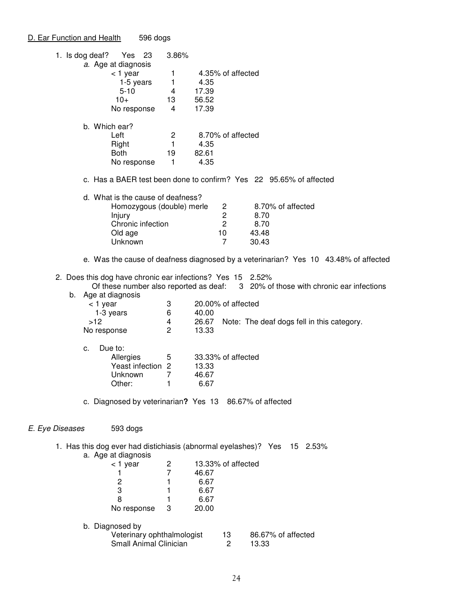# D. Ear Function and Health 596 dogs

|                 | 1. Is dog deaf? Yes 23<br>3.86%<br>a. Age at diagnosis<br>$<$ 1 year<br>1<br>1-5 years<br>1<br>$5 - 10$<br>4<br>$10+$<br>13<br>No response<br>4 | 4.35<br>17.39<br>56.52<br>17.39        | 4.35% of affected                                                                                       |
|-----------------|-------------------------------------------------------------------------------------------------------------------------------------------------|----------------------------------------|---------------------------------------------------------------------------------------------------------|
|                 | b. Which ear?<br>2<br>Left<br>Right<br>$\mathbf{1}$<br>19<br>Both<br>1<br>No response                                                           | 4.35<br>82.61<br>4.35                  | 8.70% of affected                                                                                       |
|                 |                                                                                                                                                 |                                        | c. Has a BAER test been done to confirm? Yes 22 95.65% of affected                                      |
|                 | d. What is the cause of deafness?<br>Homozygous (double) merle<br>Injury<br>Chronic infection<br>Old age<br>Unknown                             |                                        | 8.70% of affected<br>2<br>2<br>8.70<br>$\overline{c}$<br>8.70<br>43.48<br>10<br>$\overline{7}$<br>30.43 |
|                 |                                                                                                                                                 |                                        | e. Was the cause of deafness diagnosed by a veterinarian? Yes 10 43.48% of affected                     |
|                 | 2. Does this dog have chronic ear infections? Yes 15 2.52%                                                                                      |                                        | Of these number also reported as deaf: 3 20% of those with chronic ear infections                       |
|                 | b. Age at diagnosis<br>< 1 year<br>3<br>6<br>1-3 years<br>$>12$<br>4<br>$\overline{2}$<br>No response                                           | 40.00<br>26.67<br>13.33                | 20.00% of affected<br>Note: The deaf dogs fell in this category.                                        |
| c.              | Due to:<br>Allergies<br>5<br>Yeast infection<br>$\overline{2}$<br>Unknown<br>7<br>1<br>Other:                                                   | 13.33<br>46.67<br>6.67                 | 33.33% of affected                                                                                      |
|                 | c. Diagnosed by veterinarian? Yes 13 86.67% of affected                                                                                         |                                        |                                                                                                         |
| E. Eye Diseases | 593 dogs                                                                                                                                        |                                        |                                                                                                         |
|                 | a. Age at diagnosis<br>$<$ 1 year<br>2<br>7<br>1<br>$\overline{c}$<br>1<br>3<br>1<br>8<br>1<br>3<br>No response<br>b. Diagnosed by              | 46.67<br>6.67<br>6.67<br>6.67<br>20.00 | 1. Has this dog ever had distichiasis (abnormal eyelashes)? Yes 15 2.53%<br>13.33% of affected          |
|                 | Veterinary ophthalmologist<br>Small Animal Clinician                                                                                            |                                        | 13<br>86.67% of affected<br>$\overline{2}$<br>13.33                                                     |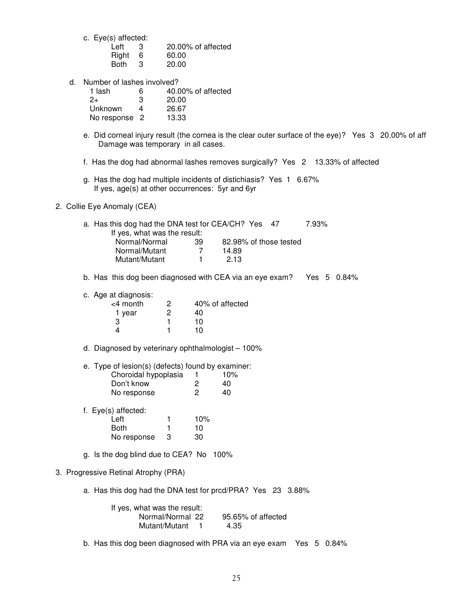c. Eye(s) affected:

| $Left$ 3 | 20.00% of affected |
|----------|--------------------|
| Right 6  | 60.00              |
| Both 3   | 20.00              |

d. Number of lashes involved?

| 1 lash        | 6 | 40.00% of affected |
|---------------|---|--------------------|
| 2+            | з | 20.00              |
| Unknown       | 4 | 26.67              |
| No response 2 |   | 13.33              |

- e. Did corneal injury result (the cornea is the clear outer surface of the eye)? Yes 3 20.00% of aff Damage was temporary in all cases.
- f. Has the dog had abnormal lashes removes surgically? Yes 2 13.33% of affected
- g. Has the dog had multiple incidents of distichiasis? Yes 1 6.67% If yes, age(s) at other occurrences: 5yr and 6yr
- 2. Collie Eye Anomaly (CEA)

| a. Has this dog had the DNA test for CEA/CH? Yes 47 |      |        |                        | 7.93% |
|-----------------------------------------------------|------|--------|------------------------|-------|
| If yes, what was the result:                        |      |        |                        |       |
| Normal/Normal                                       | -39. |        | 82.98% of those tested |       |
| Normal/Mutant                                       |      | 14 89. |                        |       |
| Mutant/Mutant                                       |      | 2.13   |                        |       |

- b. Has this dog been diagnosed with CEA via an eye exam? Yes 5 0.84%
- c. Age at diagnosis:

| <4 month | 2 | 40% of affected |
|----------|---|-----------------|
| 1 year   | ヮ | 40              |
|          |   | 10              |
|          |   | 10              |

- d. Diagnosed by veterinary ophthalmologist 100%
- e. Type of lesion(s) (defects) found by examiner:

| Choroidal hypoplasia |   | 10% |
|----------------------|---|-----|
| Don't know           | 2 | 40  |
| No response          | 2 | 40  |

f. Eye(s) affected:

| Left        |   | 10% |
|-------------|---|-----|
| <b>Both</b> |   | 10  |
| No response | З | 30  |

- g. Is the dog blind due to CEA? No 100%
- 3. Progressive Retinal Atrophy (PRA)
	- a. Has this dog had the DNA test for prcd/PRA? Yes 23 3.88%

| If yes, what was the result: |                    |
|------------------------------|--------------------|
| Normal/Normal 22             | 95.65% of affected |
| Mutant/Mutant                | 4.35               |

b. Has this dog been diagnosed with PRA via an eye exam Yes 5 0.84%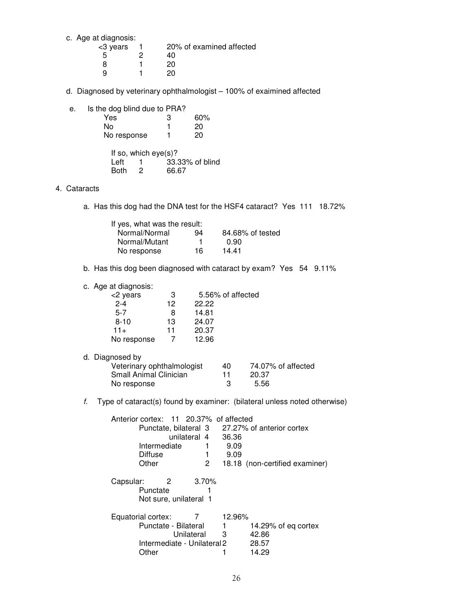c. Age at diagnosis:

| 20% of examined affected<br>40. |
|---------------------------------|
|                                 |
| 20                              |
| 20                              |
|                                 |

d. Diagnosed by veterinary ophthalmologist – 100% of exaimined affected

e. Is the dog blind due to PRA?

| Yes         | З | 60% |
|-------------|---|-----|
| N٥          |   | 20  |
| No response |   | 20  |

If so, which  $eye(s)?$ <br>Left  $1$  33.3 Left 1 33.33% of blind<br>Both 2 66.67 66.67

## 4. Cataracts

a. Has this dog had the DNA test for the HSF4 cataract? Yes 111 18.72%

| If yes, what was the result: |    |                  |
|------------------------------|----|------------------|
| Normal/Normal                | 94 | 84.68% of tested |
| Normal/Mutant                |    | 0.90             |
| No response                  | 16 | 14.41            |

b. Has this dog been diagnosed with cataract by exam? Yes 54 9.11%

|  | c. Age at diagnosis: |  |
|--|----------------------|--|
|  |                      |  |
|  |                      |  |

| <2 years    | 3  | 5.56% of affected |
|-------------|----|-------------------|
| $2 - 4$     | 12 | 22.22             |
| $5 - 7$     | 8  | 14.81             |
| $8 - 10$    | 13 | 24.07             |
| $11+$       | 11 | 20.37             |
| No response |    | 12.96             |

d. Diagnosed by

| Veterinary ophthalmologist | 40 | 74.07% of affected |
|----------------------------|----|--------------------|
| Small Animal Clinician     |    | 20.37              |
| No response                |    | 5.56               |

f. Type of cataract(s) found by examiner: (bilateral unless noted otherwise)

|           | Anterior cortex: 11 20.37% of affected                        |              |        |                                                 |
|-----------|---------------------------------------------------------------|--------------|--------|-------------------------------------------------|
|           |                                                               |              |        | Punctate, bilateral 3 27.27% of anterior cortex |
|           |                                                               | unilateral 4 | 36.36  |                                                 |
|           | Intermediate                                                  |              | 9.09   |                                                 |
|           | <b>Diffuse</b>                                                |              | 9.09   |                                                 |
|           | Other                                                         | 2            |        | 18.18 (non-certified examiner)                  |
| Capsular: | $\overline{\mathbf{2}}$<br>Punctate<br>Not sure, unilateral 1 | 3.70%        |        |                                                 |
|           | Equatorial cortex:                                            | 7            | 12.96% |                                                 |
|           | Punctate - Bilateral                                          |              |        | 14.29% of eq cortex                             |
|           |                                                               | Unilateral   | 3      | 42.86                                           |
|           | Intermediate - Unilateral 2                                   |              |        | 28.57                                           |
|           | Other                                                         |              |        | 14.29                                           |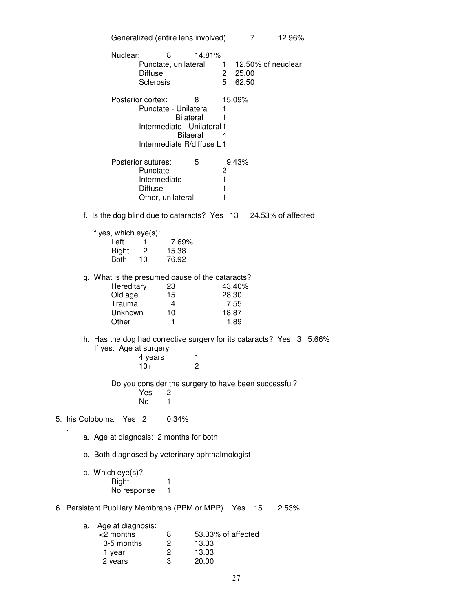Generalized (entire lens involved) 7 12.96% Nuclear: 8 14.81% Punctate, unilateral 1 12.50% of neuclear Diffuse 2 25.00 Sclerosis 5 62.50 Posterior cortex: 8 15.09% Punctate - Unilateral 1 Bilateral 1 Intermediate - Unilateral 1 Bilaeral 4 Intermediate R/diffuse L 1 Posterior sutures: 5 9.43% Punctate 2 Intermediate 1 Diffuse 1 Other, unilateral 1 f. Is the dog blind due to cataracts? Yes 13 24.53% of affected If yes, which eye(s): Left 1 7.69%<br>Right 2 15.38 Right 2 15.38 Both 10 76.92 g. What is the presumed cause of the cataracts? Hereditary 23 43.40% Old age 15 28.30 Trauma 4 7.55 Unknown 10 18.87 **Other** 1 1.89 h. Has the dog had corrective surgery for its cataracts? Yes 3 5.66% If yes: Age at surgery  $4 \text{ years}$  1<br> $10+$  2  $10^{+}$  2 Do you consider the surgery to have been successful? Yes 2 No 1 5. Iris Coloboma Yes 2 0.34% . a. Age at diagnosis: 2 months for both b. Both diagnosed by veterinary ophthalmologist c. Which eye(s)? Right 1 No response 1 6. Persistent Pupillary Membrane (PPM or MPP) Yes 15 2.53% a. Age at diagnosis: 8 53.33% of affected<br>2 13.33 3-5 months 2 13.33 1 year  $\begin{array}{ccc} 2 & 13.33 \\ 2 \text{ years} & 3 & 20.00 \end{array}$ 2 years 3 20.00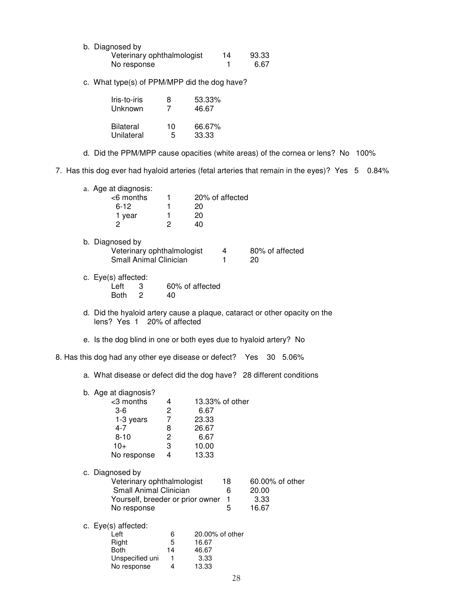| b. Diagnosed by            |    |       |
|----------------------------|----|-------|
| Veterinary ophthalmologist | 14 | 93.33 |
| No response                |    | 6.67  |

c. What type(s) of PPM/MPP did the dog have?

| Iris-to-iris<br><b>Unknown</b> | 8  | 53.33%<br>46.67 |
|--------------------------------|----|-----------------|
| <b>Bilateral</b>               | 10 | 66.67%          |
| Unilateral                     | 5  | 33.33           |

- d. Did the PPM/MPP cause opacities (white areas) of the cornea or lens? No 100%
- 7. Has this dog ever had hyaloid arteries (fetal arteries that remain in the eyes)? Yes 5 0.84%

| a. Age at diagnosis:<br><6 months<br>$6 - 12$<br>1 year<br>$\overline{c}$                                                  | 1<br>1<br>1<br>$\overline{2}$                | 20% of affected<br>20<br>20<br>40                                   |                              |                                                                            |
|----------------------------------------------------------------------------------------------------------------------------|----------------------------------------------|---------------------------------------------------------------------|------------------------------|----------------------------------------------------------------------------|
| b. Diagnosed by<br>Veterinary ophthalmologist<br>Small Animal Clinician                                                    |                                              |                                                                     | 4<br>1                       | 80% of affected<br>20                                                      |
| c. Eye(s) affected:<br>Left<br>3<br>2<br><b>Both</b>                                                                       | 40                                           | 60% of affected                                                     |                              |                                                                            |
| lens? Yes 1 20% of affected                                                                                                |                                              |                                                                     |                              | d. Did the hyaloid artery cause a plaque, cataract or other opacity on the |
| e. Is the dog blind in one or both eyes due to hyaloid artery? No                                                          |                                              |                                                                     |                              |                                                                            |
| 8. Has this dog had any other eye disease or defect?                                                                       |                                              |                                                                     |                              | Yes<br>30 5.06%                                                            |
| a. What disease or defect did the dog have? 28 different conditions                                                        |                                              |                                                                     |                              |                                                                            |
| b. Age at diagnosis?<br><3 months<br>3-6<br>1-3 years<br>4-7<br>$8 - 10$<br>$10+$<br>No response                           | 4<br>2<br>$\overline{7}$<br>8<br>2<br>3<br>4 | 13.33% of other<br>6.67<br>23.33<br>26.67<br>6.67<br>10.00<br>13.33 |                              |                                                                            |
| c. Diagnosed by<br>Veterinary ophthalmologist<br>Small Animal Clinician<br>Yourself, breeder or prior owner<br>No response |                                              |                                                                     | 18<br>6<br>$\mathbf{1}$<br>5 | 60.00% of other<br>20.00<br>3.33<br>16.67                                  |
| c. Eye(s) affected:<br>Left<br>Right<br>Both<br>Unspecified uni<br>No response                                             | 6<br>5<br>14<br>$\mathbf{1}$<br>4            | 20.00% of other<br>16.67<br>46.67<br>3.33<br>13.33                  | 28                           |                                                                            |
|                                                                                                                            |                                              |                                                                     |                              |                                                                            |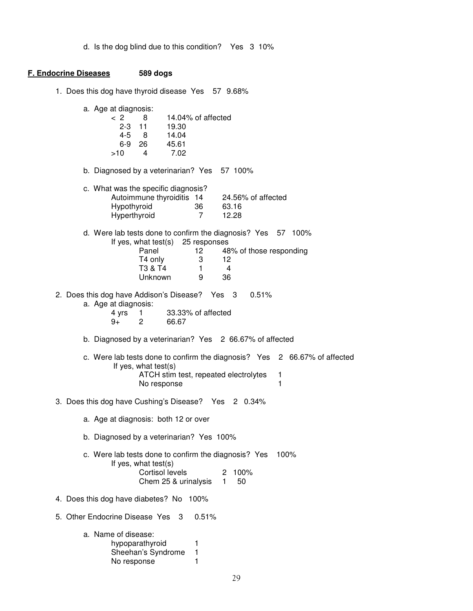d. Is the dog blind due to this condition? Yes 3 10%

#### **F. Endocrine Diseases 589 dogs**

1. Does this dog have thyroid disease Yes 57 9.68% a. Age at diagnosis: < 2 8 14.04% of affected 2-3 11 19.30 14.04<br>45.61 6-9 26 >10 4 7.02 b. Diagnosed by a veterinarian? Yes 57 100% c. What was the specific diagnosis? Autoimmune thyroiditis 14 24.56% of affected Hypothyroid 36 63.16<br>
Hyperthyroid 7 12.28 Hyperthyroid 7 12.28 d. Were lab tests done to confirm the diagnosis? Yes 57 100% If yes, what test(s) 25 responses Panel 12 48% of those responding T4 only 3 12<br>T3 & T4 1 4 T3 & T4 1 4 Unknown 9 36 2. Does this dog have Addison's Disease? Yes 3 0.51% a. Age at diagnosis: 4 yrs 1 33.33% of affected<br>9+ 2 66.67 66.67 b. Diagnosed by a veterinarian? Yes 2 66.67% of affected c. Were lab tests done to confirm the diagnosis? Yes 2 66.67% of affected If yes, what test(s) ATCH stim test, repeated electrolytes 1 No response and the set of the set of the set of the set of the set of the set of the set of the set of the set of the set of the set of the set of the set of the set of the set of the set of the set of the set of the set 3. Does this dog have Cushing's Disease? Yes 2 0.34% a. Age at diagnosis: both 12 or over b. Diagnosed by a veterinarian? Yes 100% c. Were lab tests done to confirm the diagnosis? Yes 100% If yes, what test(s) Cortisol levels 2 100%<br>Chem 25 & urinalysis 1 50 Chem 25 & urinalysis 4. Does this dog have diabetes? No 100% 5. Other Endocrine Disease Yes 3 0.51% a. Name of disease: hypoparathyroid 1 Sheehan's Syndrome 1 No response 1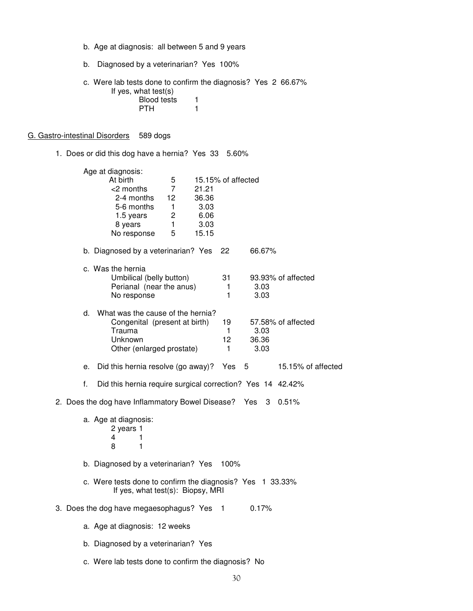- b. Age at diagnosis: all between 5 and 9 years
- b. Diagnosed by a veterinarian? Yes 100%

c. Were lab tests done to confirm the diagnosis? Yes 2 66.67% If yes, what test(s) Blood tests 1<br>PTH 1 **PTH** 1

## G. Gastro-intestinal Disorders 589 dogs

1. Does or did this dog have a hernia? Yes 33 5.60%

|    | Age at diagnosis:<br>At birth<br><2 months<br>2-4 months<br>5-6 months<br>1.5 years<br>8 years<br>No response               | 5<br>7<br>12<br>$\mathbf{1}$<br>2<br>1<br>5 | 21.21<br>36.36<br>3.03<br>6.06<br>3.03<br>15.15 | 15.15% of affected  |                       |                    |  |
|----|-----------------------------------------------------------------------------------------------------------------------------|---------------------------------------------|-------------------------------------------------|---------------------|-----------------------|--------------------|--|
|    | b. Diagnosed by a veterinarian? Yes                                                                                         |                                             |                                                 | 22                  | 66.67%                |                    |  |
|    | c. Was the hernia<br>Umbilical (belly button)<br>Perianal (near the anus)<br>No response                                    |                                             |                                                 | 31<br>1<br>1        | 3.03<br>3.03          | 93.93% of affected |  |
| d. | What was the cause of the hernia?<br>Congenital (present at birth)<br>Trauma<br><b>Unknown</b><br>Other (enlarged prostate) |                                             |                                                 | 19<br>1.<br>12<br>1 | 3.03<br>36.36<br>3.03 | 57.58% of affected |  |
| е. | Did this hernia resolve (go away)?                                                                                          |                                             |                                                 | Yes 5               |                       | 15.15% of affected |  |
| f. | Did this hernia require surgical correction? Yes 14 42.42%                                                                  |                                             |                                                 |                     |                       |                    |  |
|    | 2. Does the dog have Inflammatory Bowel Disease? Yes 3 0.51%                                                                |                                             |                                                 |                     |                       |                    |  |
|    | a. Age at diagnosis:<br>2 years 1<br>4<br>1<br>8<br>1                                                                       |                                             |                                                 |                     |                       |                    |  |
|    | b. Diagnosed by a veterinarian? Yes                                                                                         |                                             |                                                 | 100%                |                       |                    |  |
|    | c. Were tests done to confirm the diagnosis? Yes 1 33.33%<br>If yes, what test(s): Biopsy, MRI                              |                                             |                                                 |                     |                       |                    |  |
|    | 3. Does the dog have megaesophagus? Yes 1                                                                                   |                                             |                                                 |                     | 0.17%                 |                    |  |
|    | a. Age at diagnosis: 12 weeks                                                                                               |                                             |                                                 |                     |                       |                    |  |
|    | b. Diagnosed by a veterinarian? Yes                                                                                         |                                             |                                                 |                     |                       |                    |  |
|    | c. Were lab tests done to confirm the diagnosis? No                                                                         |                                             |                                                 |                     |                       |                    |  |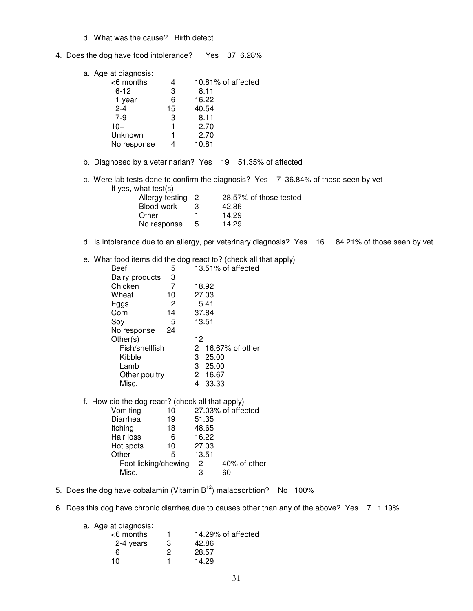- d. What was the cause? Birth defect
- 4. Does the dog have food intolerance? Yes 37 6.28%

| a. Age at diagnosis: |    |                    |
|----------------------|----|--------------------|
| <6 months            |    | 10.81% of affected |
| $6 - 12$             | 3  | 8.11               |
| 1 year               | 6  | 16.22              |
| $2 - 4$              | 15 | 40.54              |
| $7-9$                | 3  | 8.11               |
| $10+$                | 1  | 2.70               |
| Unknown              |    | 2.70               |
| No response          |    | 10.81              |
|                      |    |                    |

- b. Diagnosed by a veterinarian? Yes 19 51.35% of affected
- c. Were lab tests done to confirm the diagnosis? Yes 7 36.84% of those seen by vet If yes, what test(s)

|       | Allergy testing 2 | 28.57% of those tested |  |
|-------|-------------------|------------------------|--|
|       | Blood work        | 42.86                  |  |
| Other |                   | 14.29                  |  |
|       | No response 5     | 14.29                  |  |

- d. Is intolerance due to an allergy, per veterinary diagnosis? Yes 16 84.21% of those seen by vet
- e. What food items did the dog react to? (check all that apply)

| <b>Beef</b>    | 5  | 13.51% of affected            |
|----------------|----|-------------------------------|
| Dairy products | 3  |                               |
| Chicken        |    | 18.92                         |
| Wheat          | 10 | 27.03                         |
| Eggs           | 2  | 5.41                          |
| Corn           | 14 | 37.84                         |
| Soy            | 5  | 13.51                         |
| No response    | 24 |                               |
| Other(s)       |    | 12                            |
| Fish/shellfish |    | 2 16.67% of other             |
| Kibble         |    | 3 25.00                       |
| Lamb           |    | 25.00<br>3                    |
| Other poultry  |    | $\mathbf{2}^{\circ}$<br>16.67 |
| Misc.          |    | 33.33<br>4                    |
|                |    |                               |

f. How did the dog react? (check all that apply)

| Vomiting             | 10 |       | 27.03% of affected |
|----------------------|----|-------|--------------------|
| Diarrhea             | 19 | 51.35 |                    |
| Itching              | 18 | 48.65 |                    |
| Hair loss            | 6  | 16.22 |                    |
| Hot spots            | 10 | 27.03 |                    |
| Other                | 5  | 13.51 |                    |
| Foot licking/chewing |    | 2     | 40% of other       |
| Misc.                |    | 3     | 60                 |
|                      |    |       |                    |

- 5. Does the dog have cobalamin (Vitamin  $B<sup>12</sup>$ ) malabsorbtion? No 100%
- 6. Does this dog have chronic diarrhea due to causes other than any of the above? Yes 7 1.19%

| a. Age at diagnosis: |   |                    |
|----------------------|---|--------------------|
| $<$ 6 months         |   | 14.29% of affected |
| 2-4 years            | З | 42.86              |
| ิค                   | 2 | 28.57              |
| 10                   |   | 14.29              |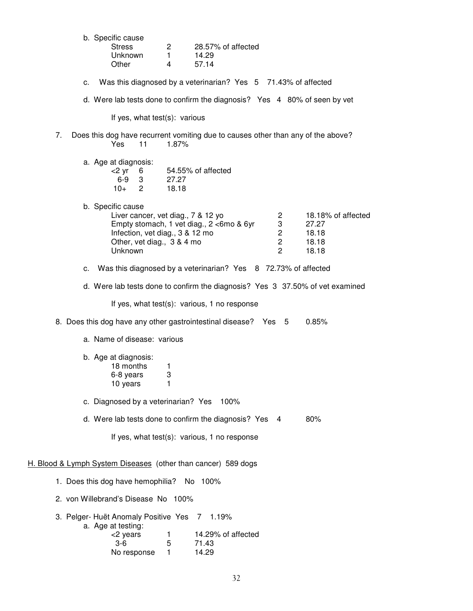b. Specific cause

| <b>Stress</b> |   | 28.57% of affected |
|---------------|---|--------------------|
| Unknown       |   | 14.29              |
| Other         | 4 | 57 14              |

- c. Was this diagnosed by a veterinarian? Yes 5 71.43% of affected
- d. Were lab tests done to confirm the diagnosis? Yes 4 80% of seen by vet

If yes, what test(s): various

- 7. Does this dog have recurrent vomiting due to causes other than any of the above? Yes 11 1.87%
	- a. Age at diagnosis:

| $<$ 2 vr 6 | 54.55% of affected |
|------------|--------------------|
| 6-9 3      | - 27 27            |
| $10+2$     | 18.18              |

b. Specific cause

| Liver cancer, vet diag., 7 & 12 yo       | 18.18% of affected |
|------------------------------------------|--------------------|
| Empty stomach, 1 vet diag., 2 <6mo & 6yr | 27.27              |
| Infection, vet diag., 3 & 12 mo          | 18.18              |
| Other, vet diag., 3 & 4 mo               | 18.18              |
| <b>Unknown</b>                           | 18.18              |

- c. Was this diagnosed by a veterinarian? Yes 8 72.73% of affected
- d. Were lab tests done to confirm the diagnosis? Yes 3 37.50% of vet examined

If yes, what test(s): various, 1 no response

- 8. Does this dog have any other gastrointestinal disease? Yes 5 0.85%
	- a. Name of disease: various
	- b. Age at diagnosis:
		- $18$  months  $1$ <br>6-8 vears  $3$ 6-8 years 3<br>10 years 1 10 years

c. Diagnosed by a veterinarian? Yes 100%

d. Were lab tests done to confirm the diagnosis? Yes 4 80%

If yes, what test(s): various, 1 no response

H. Blood & Lymph System Diseases (other than cancer) 589 dogs

- 1. Does this dog have hemophilia? No 100%
- 2. von Willebrand's Disease No 100%
- 3. Pelger- Huët Anomaly Positive Yes 7 1.19% a. Age at testing:  $\frac{1}{2}$  years  $\frac{1}{5}$  14.29% of affected  $\frac{3-6}{5}$  71.43 71.43 No response 1 14.29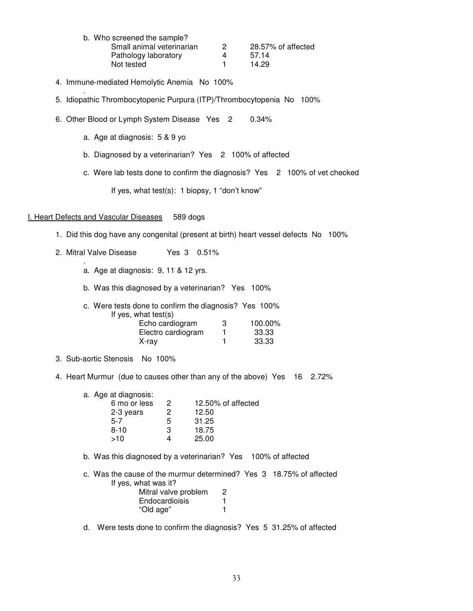| b. Who screened the sample? |   |                    |
|-----------------------------|---|--------------------|
| Small animal veterinarian   | 2 | 28.57% of affected |
| Pathology laboratory        | Δ | 57.14              |
| Not tested                  |   | 14.29              |
|                             |   |                    |

- 4. Immune-mediated Hemolytic Anemia No 100%
- . 5. Idiopathic Thrombocytopenic Purpura (ITP)/Thrombocytopenia No 100%
- 6. Other Blood or Lymph System Disease Yes 2 0.34%
	- a. Age at diagnosis: 5 & 9 yo
	- b. Diagnosed by a veterinarian? Yes 2 100% of affected
	- c. Were lab tests done to confirm the diagnosis? Yes 2 100% of vet checked

If yes, what test(s): 1 biopsy, 1 "don't know"

#### I. Heart Defects and Vascular Diseases 589 dogs

.

- 1. Did this dog have any congenital (present at birth) heart vessel defects No 100%
- 2. Mitral Valve Disease Yes 3 0.51%
	- a. Age at diagnosis: 9, 11 & 12 yrs.
	- b. Was this diagnosed by a veterinarian? Yes 100%

| c. Were tests done to confirm the diagnosis? Yes 100% |   |         |
|-------------------------------------------------------|---|---------|
| If yes, what test(s)                                  |   |         |
| Echo cardiogram                                       | 3 | 100.00% |
| Electro cardiogram                                    |   | 33.33   |
| X-ray                                                 |   | 33.33   |

- 3. Sub-aortic Stenosis No 100%
- 4. Heart Murmur (due to causes other than any of the above) Yes 16 2.72%

| 6 mo or less | 2                    | 12.50% of affected |
|--------------|----------------------|--------------------|
| 2-3 years    | 2                    | 12.50              |
| $5 - 7$      | 5                    | 31.25              |
| $8 - 10$     | З                    | 18.75              |
| >10          |                      | 25.00              |
|              | a. Age at diagnosis: |                    |

- b. Was this diagnosed by a veterinarian? Yes 100% of affected
- c. Was the cause of the murmur determined? Yes 3 18.75% of affected If yes, what was it? Mitral valve problem 2

| Endocardioisis |  |
|----------------|--|
| "Old age"      |  |

d. Were tests done to confirm the diagnosis? Yes 5 31.25% of affected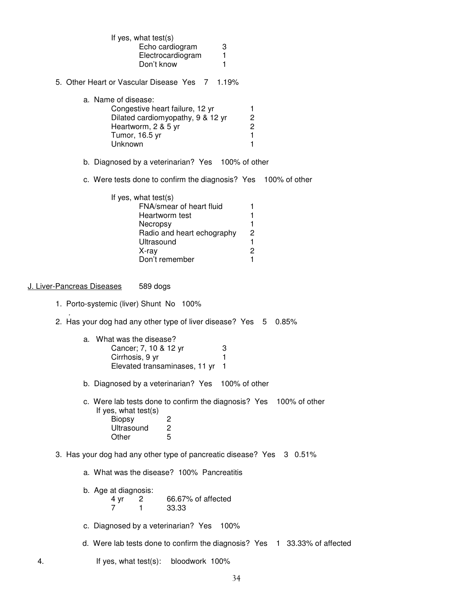If yes, what test(s) Echo cardiogram 3 Electrocardiogram 1 Don't know 1

- 5. Other Heart or Vascular Disease Yes 7 1.19%
	- a. Name of disease:

| Congestive heart failure, 12 yr   |   |
|-----------------------------------|---|
| Dilated cardiomyopathy, 9 & 12 yr |   |
| Heartworm, 2 & 5 yr               | 2 |
| Tumor, 16.5 yr                    |   |
| <b>Unknown</b>                    |   |

- b. Diagnosed by a veterinarian? Yes 100% of other
- c. Were tests done to confirm the diagnosis? Yes 100% of other

| If yes, what test(s)       |   |
|----------------------------|---|
| FNA/smear of heart fluid   |   |
| Heartworm test             |   |
| Necropsy                   |   |
| Radio and heart echography | 2 |
| Ultrasound                 |   |
| X-ray                      |   |
| Don't remember             |   |

### J. Liver-Pancreas Diseases 589 dogs

.

- 1. Porto-systemic (liver) Shunt No 100%
- 2. Has your dog had any other type of liver disease? Yes 5 0.85%
	- a. What was the disease? Cancer; 7, 10 & 12 yr 3 Cirrhosis, 9 yr 1 Elevated transaminases, 11 yr 1
	- b. Diagnosed by a veterinarian? Yes 100% of other

c. Were lab tests done to confirm the diagnosis? Yes 100% of other If yes, what test(s) Biopsy 2<br>Ultrasound 2 Ultrasound 2<br>Other 5 **Other** 

- 3. Has your dog had any other type of pancreatic disease? Yes 3 0.51%
	- a. What was the disease? 100% Pancreatitis
	- b. Age at diagnosis: 4 yr 2 66.67% of affected<br>7 1 33.33 33.33
	- c. Diagnosed by a veterinarian? Yes 100%
	- d. Were lab tests done to confirm the diagnosis? Yes 1 33.33% of affected
- 4. If yes, what test(s): bloodwork 100%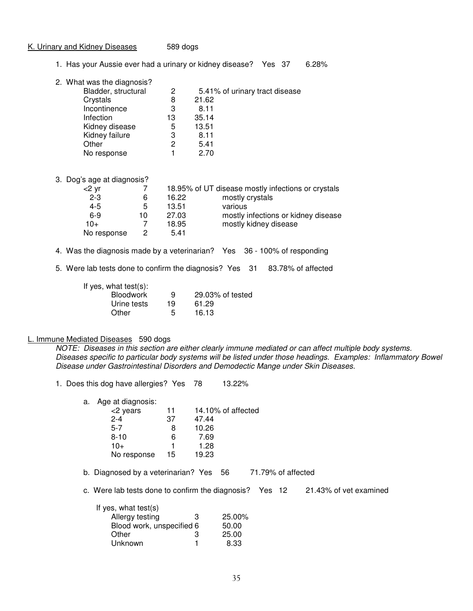## K. Urinary and Kidney Diseases 589 dogs

- 1. Has your Aussie ever had a urinary or kidney disease? Yes 37 6.28%
- 2. What was the diagnosis?

| Bladder, structural | 2  | 5.41% of urinary tract disease |
|---------------------|----|--------------------------------|
| Crystals            | 8  | 21.62                          |
| Incontinence        | 3  | 8.11                           |
| Infection           | 13 | 35.14                          |
| Kidney disease      | 5  | 13.51                          |
| Kidney failure      | 3  | 8.11                           |
| Other               | 2  | 5.41                           |
| No response         |    | 2.70                           |

3. Dog's age at diagnosis?

| $<$ 2 $\vee$ r |    |       | 18.95% of UT disease mostly infections or crystals |
|----------------|----|-------|----------------------------------------------------|
| $2 - 3$        | 6  | 16.22 | mostly crystals                                    |
| 4-5            | 5  | 13.51 | various                                            |
| $6-9$          | 10 | 27.03 | mostly infections or kidney disease                |
| $10+$          |    | 18.95 | mostly kidney disease                              |
| No response    |    | 5.41  |                                                    |

- 4. Was the diagnosis made by a veterinarian? Yes 36 100% of responding
- 5. Were lab tests done to confirm the diagnosis? Yes 31 83.78% of affected

| If yes, what $test(s)$ : |    |                  |
|--------------------------|----|------------------|
| <b>Bloodwork</b>         | q  | 29.03% of tested |
| Urine tests              | 19 | 61.29            |
| Other                    | 5  | 16.13            |

#### L. Immune Mediated Diseases 590 dogs

NOTE: Diseases in this section are either clearly immune mediated or can affect multiple body systems. Diseases specific to particular body systems will be listed under those headings. Examples: Inflammatory Bowel Disease under Gastrointestinal Disorders and Demodectic Mange under Skin Diseases.

1. Does this dog have allergies? Yes 78 13.22%

| a. | Age at diagnosis: |    |                    |
|----|-------------------|----|--------------------|
|    | <2 years          | 11 | 14.10% of affected |
|    | $2 - 4$           | 37 | 47.44              |
|    | $5 - 7$           | 8  | 10.26              |
|    | $8 - 10$          | 6  | 7.69               |
|    | $10+$             |    | 1.28               |
|    | No response       | 15 | 19.23              |
|    |                   |    |                    |

- b. Diagnosed by a veterinarian? Yes 56 71.79% of affected
- c. Were lab tests done to confirm the diagnosis? Yes 12 21.43% of vet examined

| If yes, what test(s)      |   |        |
|---------------------------|---|--------|
| Allergy testing           | 3 | 25.00% |
| Blood work, unspecified 6 |   | 50.00  |
| Other                     | З | 25.00  |
| Unknown                   |   | 8.33   |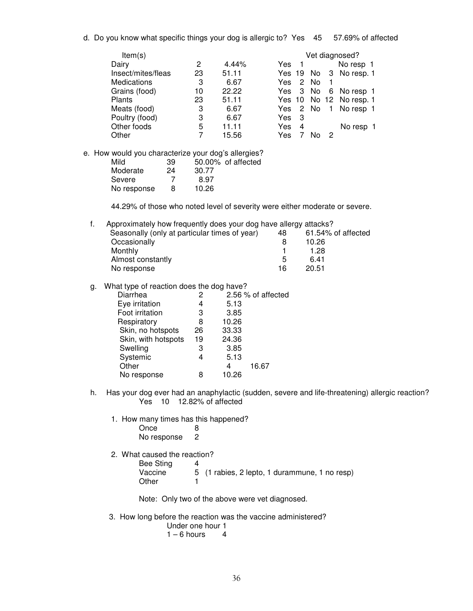d. Do you know what specific things your dog is allergic to? Yes 45 57.69% of affected

| Item(s)            |    |       | Vet diagnosed?                           |
|--------------------|----|-------|------------------------------------------|
| Dairy              | 2  | 4.44% | No resp 1<br>Yes                         |
| Insect/mites/fleas | 23 | 51.11 | No resp. 1<br>Yes 19<br>3<br>No.         |
| Medications        | 3  | 6.67  | 2<br>No<br>Yes                           |
| Grains (food)      | 10 | 22.22 | 3<br>No<br>Yes.<br>6<br>No resp 1        |
| Plants             | 23 | 51.11 | Yes 10 No 12 No resp. 1                  |
| Meats (food)       | 3  | 6.67  | $\mathbf{2}$<br>No resp 1<br>No.<br>Yes: |
| Poultry (food)     | 3  | 6.67  | Yes<br>- 3                               |
| Other foods        | 5  | 11.11 | Yes<br>No resp 1<br>4                    |
| Other              |    | 15.56 | Yes<br>2                                 |

e. How would you characterize your dog's allergies?  $39$  50.00% of affected

| აყ | 30.00% ( |
|----|----------|
| 24 | 30.77    |
| 7  | 8.97     |
| 8  | 10.26    |
|    |          |

44.29% of those who noted level of severity were either moderate or severe.

f. Approximately how frequently does your dog have allergy attacks?

| Seasonally (only at particular times of year) | 48           | 61.54% of affected |
|-----------------------------------------------|--------------|--------------------|
| Occasionally                                  |              | 10.26              |
| Monthly                                       |              | 1.28               |
| Almost constantly                             | $\mathbf{b}$ | 6 41               |
| No response                                   | 16           | 20.51              |
|                                               |              |                    |

g. What type of reaction does the dog have?

|  | Diarrhea            | 2  |       | 2.56 % of affected |
|--|---------------------|----|-------|--------------------|
|  | Eye irritation      | 4  | 5.13  |                    |
|  | Foot irritation     | 3  | 3.85  |                    |
|  | Respiratory         | 8  | 10.26 |                    |
|  | Skin, no hotspots   | 26 | 33.33 |                    |
|  | Skin, with hotspots | 19 | 24.36 |                    |
|  | Swelling            | 3  | 3.85  |                    |
|  | Systemic            | 4  | 5.13  |                    |
|  | Other               |    | 4     | 16.67              |
|  | No response         | 8  | 10.26 |                    |
|  |                     |    |       |                    |

- h. Has your dog ever had an anaphylactic (sudden, severe and life-threatening) allergic reaction? Yes 10 12.82% of affected
	- 1. How many times has this happened? Once
		- No response 2
	- 2. What caused the reaction?

| Bee Sting |                                               |
|-----------|-----------------------------------------------|
| Vaccine   | 5 (1 rabies, 2 lepto, 1 durammune, 1 no resp) |
| Other     |                                               |

Note: Only two of the above were vet diagnosed.

3. How long before the reaction was the vaccine administered?

Under one hour 1<br> $1 - 6$  hours 4  $1 - 6$  hours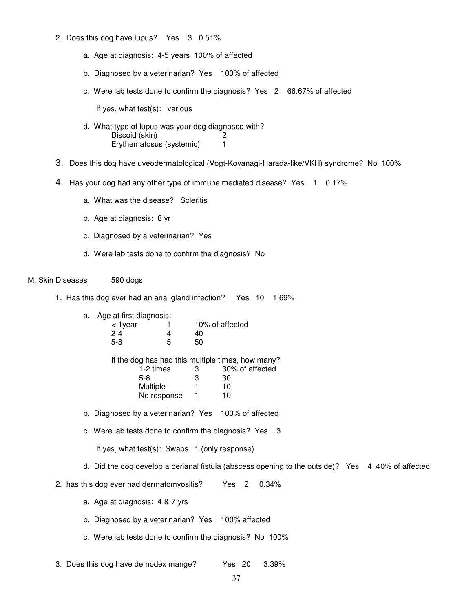## 2. Does this dog have lupus? Yes 3 0.51%

- a. Age at diagnosis: 4-5 years 100% of affected
- b. Diagnosed by a veterinarian? Yes 100% of affected
- c. Were lab tests done to confirm the diagnosis? Yes 2 66.67% of affected

If yes, what test(s): various

- d. What type of lupus was your dog diagnosed with? Discoid (skin) 2 Erythematosus (systemic) 1
- 3. Does this dog have uveodermatological (Vogt-Koyanagi-Harada-like/VKH) syndrome? No 100%
- 4. Has your dog had any other type of immune mediated disease? Yes 1 0.17%
	- a. What was the disease? Scleritis
	- b. Age at diagnosis: 8 yr
	- c. Diagnosed by a veterinarian? Yes
	- d. Were lab tests done to confirm the diagnosis? No

## M. Skin Diseases 590 dogs

- 1. Has this dog ever had an anal gland infection? Yes 10 1.69%
	- a. Age at first diagnosis:

| lyear   | . . | 10% of affected |
|---------|-----|-----------------|
| $2 - 4$ |     | 40              |
| $5-8$   |     | 50              |

 If the dog has had this multiple times, how many? 1-2 times 3 30% of affected<br>5-8 3 30 5-8 3 30 Multiple 1 10 No response 1 10

- b. Diagnosed by a veterinarian? Yes 100% of affected
- c. Were lab tests done to confirm the diagnosis? Yes 3

If yes, what test(s): Swabs 1 (only response)

- d. Did the dog develop a perianal fistula (abscess opening to the outside)? Yes 4 40% of affected
- 2. has this dog ever had dermatomyositis? Yes 2 0.34%
	- a. Age at diagnosis: 4 & 7 yrs
	- b. Diagnosed by a veterinarian? Yes 100% affected
	- c. Were lab tests done to confirm the diagnosis? No 100%
- 3. Does this dog have demodex mange? Yes 20 3.39%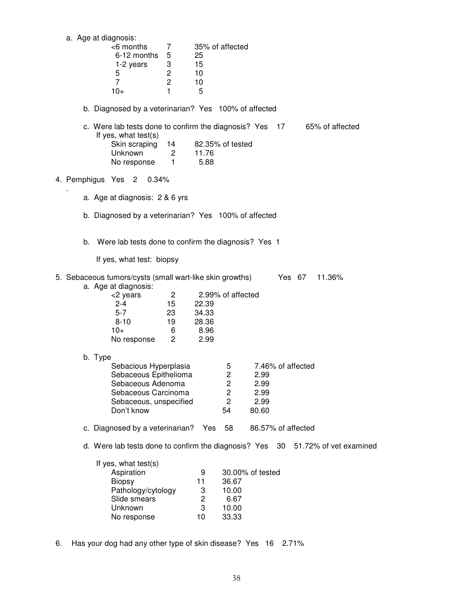a. Age at diagnosis: <6 months 7 35% of affected 6-12 months 5 25 1-2 years 3 15 5 2 10 7 2 10  $10+$  1 5 b. Diagnosed by a veterinarian? Yes 100% of affected c. Were lab tests done to confirm the diagnosis? Yes 17 65% of affected If yes, what test(s) Skin scraping 14 82.35% of tested Unknown 2 11.76<br>No response 1 5.88 No response 1 4. Pemphigus Yes 2 0.34% . a. Age at diagnosis: 2 & 6 yrs b. Diagnosed by a veterinarian? Yes 100% of affected b. Were lab tests done to confirm the diagnosis? Yes 1 If yes, what test: biopsy 5. Sebaceous tumors/cysts (small wart-like skin growths) Yes 67 11.36% a. Age at diagnosis: <2 years 2 2.99% of affected 2-4 15 22.39<br>5-7 23 34.33 5-7 23 34.33 9 28.36<br>6 8.96 10+ 6 8.96<br>No response 2 2.99 No response 2 b. Type Sebacious Hyperplasia  $5$  7.46% of affected<br>Sebaceous Epithelioma 2 2.99 Sebaceous Epithelioma 2 2.99 Sebaceous Adenoma 2 2.99 Sebaceous Carcinoma 2 2.99 Sebaceous, unspecified 2 2.99 Don't know 54 80.60 c. Diagnosed by a veterinarian? Yes 58 86.57% of affected d. Were lab tests done to confirm the diagnosis? Yes 30 51.72% of vet examined If yes, what test(s) Aspiration 5 9 30.00% of tested<br>Biopsy 5 11 36.67 **Biopsy**  Pathology/cytology 3 10.00 Slide smears 2 6.67 Unknown 3 10.00 No response 10 33.33

6. Has your dog had any other type of skin disease? Yes 16 2.71%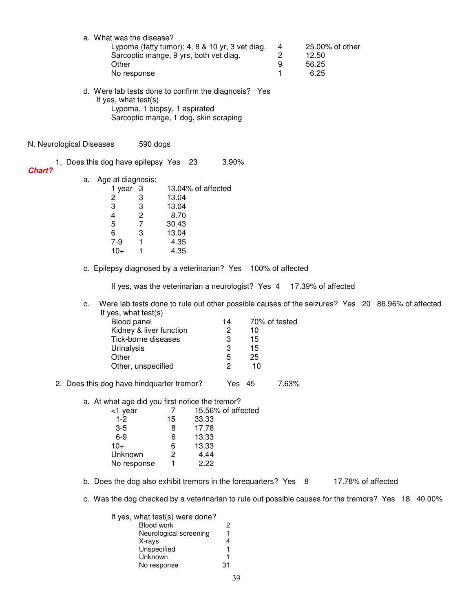| a. What was the disease?<br>Lypoma (fatty tumor); 4, 8 & 10 yr, 3 vet diag.<br>Sarcoptic mange, 9 yrs, both vet diag.<br>Other<br>No response<br>d. Were lab tests done to confirm the diagnosis? Yes<br>If yes, what test(s)<br>Lypoma, 1 biopsy, 1 aspirated<br>Sarcoptic mange, 1 dog, skin scraping |                                                                        |          | 4<br>$\overline{c}$<br>9<br>1 | 25.00% of other<br>12.50<br>56.25<br>6.25 |  |
|---------------------------------------------------------------------------------------------------------------------------------------------------------------------------------------------------------------------------------------------------------------------------------------------------------|------------------------------------------------------------------------|----------|-------------------------------|-------------------------------------------|--|
| N. Neurological Diseases<br>590 dogs                                                                                                                                                                                                                                                                    |                                                                        |          |                               |                                           |  |
| 1. Does this dog have epilepsy Yes 23<br><b>Chart?</b>                                                                                                                                                                                                                                                  | 3.90%                                                                  |          |                               |                                           |  |
| a. Age at diagnosis:                                                                                                                                                                                                                                                                                    |                                                                        |          |                               |                                           |  |
| 13.04% of affected<br>1 year 3                                                                                                                                                                                                                                                                          |                                                                        |          |                               |                                           |  |
| 2<br>3<br>13.04                                                                                                                                                                                                                                                                                         |                                                                        |          |                               |                                           |  |
| 3<br>13.04<br>3                                                                                                                                                                                                                                                                                         |                                                                        |          |                               |                                           |  |
| 2<br>4<br>8.70<br>7<br>5<br>30.43                                                                                                                                                                                                                                                                       |                                                                        |          |                               |                                           |  |
| 6<br>3<br>13.04                                                                                                                                                                                                                                                                                         |                                                                        |          |                               |                                           |  |
| $7-9$<br>1<br>4.35                                                                                                                                                                                                                                                                                      |                                                                        |          |                               |                                           |  |
| $10+$<br>1<br>4.35                                                                                                                                                                                                                                                                                      |                                                                        |          |                               |                                           |  |
| c. Epilepsy diagnosed by a veterinarian? Yes 100% of affected<br>If yes, was the veterinarian a neurologist? Yes 4 17.39% of affected                                                                                                                                                                   |                                                                        |          |                               |                                           |  |
| Were lab tests done to rule out other possible causes of the seizures? Yes 20 86.96% of affected<br>c.                                                                                                                                                                                                  |                                                                        |          |                               |                                           |  |
| If yes, what test(s)                                                                                                                                                                                                                                                                                    |                                                                        |          |                               |                                           |  |
| Blood panel                                                                                                                                                                                                                                                                                             | 14                                                                     |          | 70% of tested                 |                                           |  |
| Kidney & liver function                                                                                                                                                                                                                                                                                 | $\overline{c}$                                                         | 10       |                               |                                           |  |
| Tick-borne diseases                                                                                                                                                                                                                                                                                     | 3<br>$\ensuremath{\mathsf{3}}$                                         | 15<br>15 |                               |                                           |  |
| Urinalysis<br>Other                                                                                                                                                                                                                                                                                     | 5                                                                      | 25       |                               |                                           |  |
| Other, unspecified                                                                                                                                                                                                                                                                                      | 2                                                                      | 10       |                               |                                           |  |
| 2. Does this dog have hindquarter tremor?                                                                                                                                                                                                                                                               | Yes 45                                                                 |          | 7.63%                         |                                           |  |
| a. At what age did you first notice the tremor?<br>$\overline{7}$<br><1 year<br>$1 - 2$<br>15<br>$3-5$<br>8<br>$6-9$<br>6<br>6<br>$10+$<br>2<br>Unknown<br>$\mathbf{1}$<br>No response                                                                                                                  | 15.56% of affected<br>33.33<br>17.78<br>13.33<br>13.33<br>4.44<br>2.22 |          |                               |                                           |  |
| b. Does the dog also exhibit tremors in the forequarters? Yes 8                                                                                                                                                                                                                                         |                                                                        |          |                               | 17.78% of affected                        |  |
| c. Was the dog checked by a veterinarian to rule out possible causes for the tremors? Yes 18 40.00%                                                                                                                                                                                                     |                                                                        |          |                               |                                           |  |

| If yes, what test(s) were done? |    |
|---------------------------------|----|
| <b>Blood work</b>               | 2  |
| Neurological screening          |    |
| X-rays                          |    |
| Unspecified                     |    |
| Unknown                         |    |
| No response                     | 31 |
|                                 |    |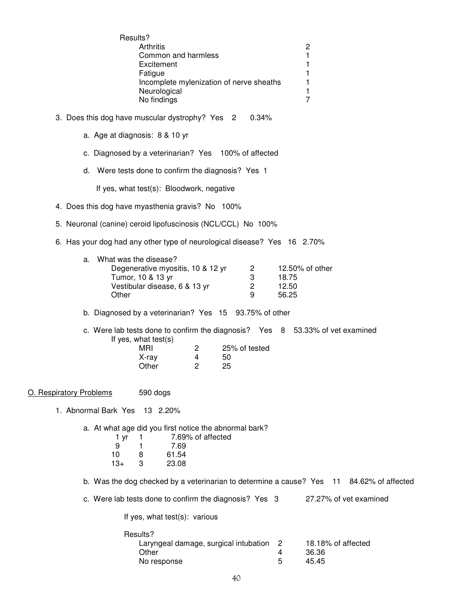| Results?                                                                           | Arthritis<br>Common and harmless<br>Excitement<br>Fatigue<br>Incomplete mylenization of nerve sheaths<br>Neurological<br>No findings |                                                           |                           |                                            |                         | $\overline{c}$<br>1<br>1<br>1<br>1<br>1<br>7                                             |
|------------------------------------------------------------------------------------|--------------------------------------------------------------------------------------------------------------------------------------|-----------------------------------------------------------|---------------------------|--------------------------------------------|-------------------------|------------------------------------------------------------------------------------------|
| 3. Does this dog have muscular dystrophy? Yes 2                                    |                                                                                                                                      |                                                           |                           | 0.34%                                      |                         |                                                                                          |
| a. Age at diagnosis: 8 & 10 yr                                                     |                                                                                                                                      |                                                           |                           |                                            |                         |                                                                                          |
| c. Diagnosed by a veterinarian? Yes 100% of affected                               |                                                                                                                                      |                                                           |                           |                                            |                         |                                                                                          |
| d. Were tests done to confirm the diagnosis? Yes 1                                 |                                                                                                                                      |                                                           |                           |                                            |                         |                                                                                          |
|                                                                                    | If yes, what test(s): Bloodwork, negative                                                                                            |                                                           |                           |                                            |                         |                                                                                          |
| 4. Does this dog have myasthenia gravis? No 100%                                   |                                                                                                                                      |                                                           |                           |                                            |                         |                                                                                          |
| 5. Neuronal (canine) ceroid lipofuscinosis (NCL/CCL) No 100%                       |                                                                                                                                      |                                                           |                           |                                            |                         |                                                                                          |
| 6. Has your dog had any other type of neurological disease? Yes 16 2.70%           |                                                                                                                                      |                                                           |                           |                                            |                         |                                                                                          |
| What was the disease?                                                              |                                                                                                                                      |                                                           |                           |                                            |                         |                                                                                          |
| a.<br>Other                                                                        | Degenerative myositis, 10 & 12 yr<br>Tumor, 10 & 13 yr<br>Vestibular disease, 6 & 13 yr                                              |                                                           |                           | $\overline{c}$<br>3<br>$\overline{c}$<br>9 | 18.75<br>12.50<br>56.25 | 12.50% of other                                                                          |
| b. Diagnosed by a veterinarian? Yes 15 93.75% of other                             |                                                                                                                                      |                                                           |                           |                                            |                         |                                                                                          |
|                                                                                    | If yes, what test(s)<br>MRI<br>X-ray<br>Other                                                                                        | $\mathbf{2}$<br>$\overline{\mathbf{4}}$<br>$\overline{2}$ | 25% of tested<br>50<br>25 |                                            |                         | c. Were lab tests done to confirm the diagnosis? Yes 8 53.33% of vet examined            |
| O. Respiratory Problems                                                            | 590 dogs                                                                                                                             |                                                           |                           |                                            |                         |                                                                                          |
| 1. Abnormal Bark Yes 13 2.20%                                                      |                                                                                                                                      |                                                           |                           |                                            |                         |                                                                                          |
| a. At what age did you first notice the abnormal bark?<br>1 yr<br>9<br>10<br>$13+$ | 1<br>7.69<br>8<br>61.54<br>3<br>23.08                                                                                                | 7.69% of affected                                         |                           |                                            |                         |                                                                                          |
|                                                                                    |                                                                                                                                      |                                                           |                           |                                            |                         | b. Was the dog checked by a veterinarian to determine a cause? Yes 11 84.62% of affected |
| c. Were lab tests done to confirm the diagnosis? Yes 3                             |                                                                                                                                      |                                                           |                           |                                            |                         | 27.27% of vet examined                                                                   |
|                                                                                    | If yes, what test(s): various                                                                                                        |                                                           |                           |                                            |                         |                                                                                          |
|                                                                                    | Results?<br>Laryngeal damage, surgical intubation<br>Other<br>No response                                                            |                                                           |                           |                                            | 2<br>4<br>5             | 18.18% of affected<br>36.36<br>45.45                                                     |
|                                                                                    |                                                                                                                                      |                                                           | 40                        |                                            |                         |                                                                                          |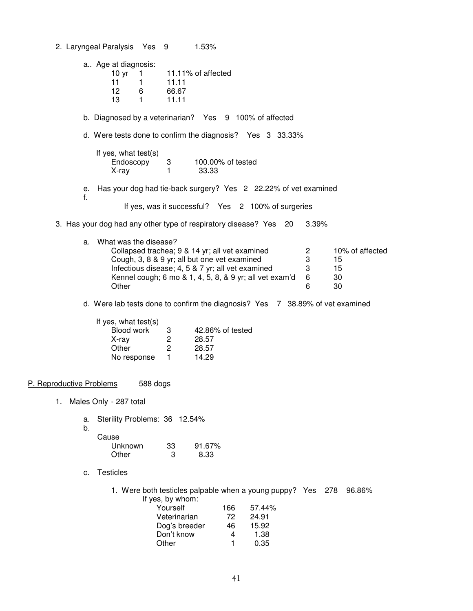2. Laryngeal Paralysis Yes 9 1.53% a.. Age at diagnosis: 10 yr 1 11.11% of affected 11 1 11.11 12 6 66.67 13 1 11.11 b. Diagnosed by a veterinarian? Yes 9 100% of affected d. Were tests done to confirm the diagnosis? Yes 3 33.33% If yes, what test(s) Endoscopy 3 100.00% of tested X-ray 1 33.33 e. Has your dog had tie-back surgery? Yes 2 22.22% of vet examined f. If yes, was it successful? Yes 2 100% of surgeries 3. Has your dog had any other type of respiratory disease? Yes 20 3.39% a. What was the disease? Collapsed trachea; 9 & 14 yr; all vet examined 2 10% of affected Cough, 3, 8 & 9 yr; all but one vet examined 3 15<br>
Infectious disease: 4, 5 & 7 yr: all vet examined 3 15 Infectious disease;  $4, 5, 8, 7$  yr; all vet examined Kennel cough; 6 mo  $\& 1, 4, 5, 8, \& 9$  yr; all vet exam'd 6 30 Other 6 30 d. Were lab tests done to confirm the diagnosis? Yes 7 38.89% of vet examined If yes, what test(s) 3 42.86% of tested<br>2 28.57 X-ray 2<br>Other 2 Other 2 28.57<br>No response 1 14.29 No response 1 P. Reproductive Problems 588 dogs 1. Males Only - 287 total a. Sterility Problems: 36 12.54% b. Cause Unknown 33 91.67% Other 3 8.33 c. Testicles 1. Were both testicles palpable when a young puppy? Yes 278 96.86% If yes, by whom: 166 57.44% Veterinarian 72 24.91 Dog's breeder  $46$  15.92<br>Don't know  $4$  1.38 Don't know  $\begin{array}{cc} 4 & 1.38 \\ \text{Other} & 1 & 0.35 \end{array}$ Other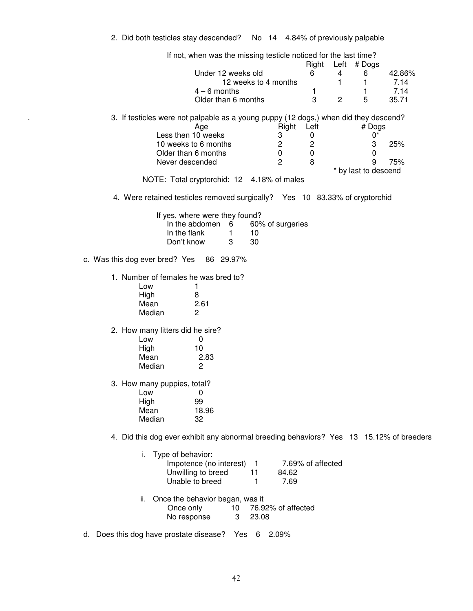| If not, when was the missing testicle noticed for the last time?                            |                          |                   |                |                      |        |
|---------------------------------------------------------------------------------------------|--------------------------|-------------------|----------------|----------------------|--------|
| Under 12 weeks old                                                                          |                          | Right<br>6        | Left<br>4      | # Dogs<br>6          | 42.86% |
|                                                                                             | 12 weeks to 4 months     |                   | 1              | 1                    | 7.14   |
| $4 - 6$ months                                                                              |                          | 1                 |                | 1                    | 7.14   |
| Older than 6 months                                                                         |                          | 3                 | $\overline{c}$ | 5                    | 35.71  |
|                                                                                             |                          |                   |                |                      |        |
| 3. If testicles were not palpable as a young puppy (12 dogs,) when did they descend?<br>Age | Right                    | Left              |                | # Dogs               |        |
| Less then 10 weeks                                                                          | 3                        | 0                 |                | $0^*$                |        |
| 10 weeks to 6 months<br>Older than 6 months                                                 | $\overline{c}$<br>0      | $\overline{c}$    |                | 3<br>0               | 25%    |
| Never descended                                                                             | 2                        | 0<br>8            |                | 9                    | 75%    |
|                                                                                             |                          |                   |                | * by last to descend |        |
| NOTE: Total cryptorchid: 12 4.18% of males                                                  |                          |                   |                |                      |        |
| 4. Were retained testicles removed surgically? Yes 10 83.33% of cryptorchid                 |                          |                   |                |                      |        |
| If yes, where were they found?                                                              |                          |                   |                |                      |        |
| In the abdomen<br>6                                                                         | 60% of surgeries         |                   |                |                      |        |
| In the flank<br>$\mathbf{1}$                                                                | 10                       |                   |                |                      |        |
| Don't know<br>3                                                                             | 30                       |                   |                |                      |        |
| c. Was this dog ever bred? Yes<br>86 29.97%                                                 |                          |                   |                |                      |        |
| 1. Number of females he was bred to?                                                        |                          |                   |                |                      |        |
| Low<br>1                                                                                    |                          |                   |                |                      |        |
| High<br>8                                                                                   |                          |                   |                |                      |        |
| Mean<br>2.61                                                                                |                          |                   |                |                      |        |
| Median<br>2                                                                                 |                          |                   |                |                      |        |
| 2. How many litters did he sire?                                                            |                          |                   |                |                      |        |
| Low<br>0                                                                                    |                          |                   |                |                      |        |
| High<br>10                                                                                  |                          |                   |                |                      |        |
| Mean<br>2.83                                                                                |                          |                   |                |                      |        |
| Median<br>$\overline{c}$                                                                    |                          |                   |                |                      |        |
|                                                                                             |                          |                   |                |                      |        |
| 3. How many puppies, total?                                                                 |                          |                   |                |                      |        |
| 0<br>Low                                                                                    |                          |                   |                |                      |        |
| High<br>99                                                                                  |                          |                   |                |                      |        |
| 18.96<br>Mean                                                                               |                          |                   |                |                      |        |
| 32<br>Median                                                                                |                          |                   |                |                      |        |
| 4. Did this dog ever exhibit any abnormal breeding behaviors? Yes 13 15.12% of breeders     |                          |                   |                |                      |        |
| Type of behavior:<br>i.                                                                     |                          |                   |                |                      |        |
| Impotence (no interest)                                                                     | $\overline{\phantom{a}}$ | 7.69% of affected |                |                      |        |
| Unwilling to breed                                                                          | 11<br>84.62              |                   |                |                      |        |
| Unable to breed                                                                             | $\mathbf{1}$<br>7.69     |                   |                |                      |        |
|                                                                                             |                          |                   |                |                      |        |
| Once the behavior began, was it<br>ii.                                                      |                          |                   |                |                      |        |
| Once only<br>10                                                                             | 76.92% of affected       |                   |                |                      |        |
| No response<br>3                                                                            | 23.08                    |                   |                |                      |        |

2. Did both testicles stay descended? No 14 4.84% of previously palpable

d. Does this dog have prostate disease? Yes 6 2.09%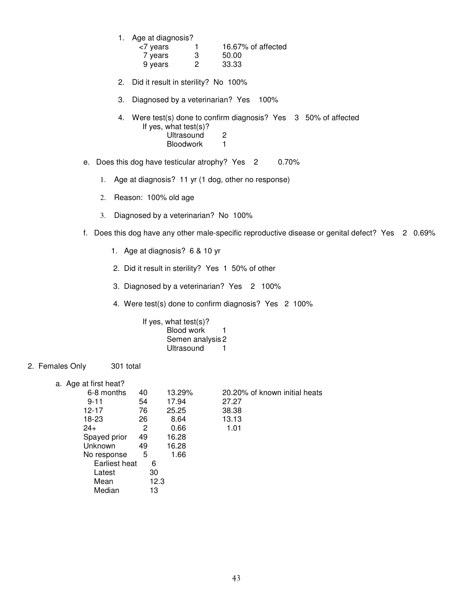1. Age at diagnosis?

| <7 years |   | 16.67% of affected |
|----------|---|--------------------|
| 7 years  | 3 | 50.00              |
| 9 years  | 2 | 33.33              |

- 2. Did it result in sterility? No 100%
- 3. Diagnosed by a veterinarian? Yes 100%

4. Were test(s) done to confirm diagnosis? Yes 3 50% of affected If yes, what test(s)? Ultrasound<sub>2</sub> Bloodwork 1

- e. Does this dog have testicular atrophy? Yes 2 0.70%
	- 1. Age at diagnosis? 11 yr (1 dog, other no response)
	- 2. Reason: 100% old age
	- 3. Diagnosed by a veterinarian? No 100%
- f. Does this dog have any other male-specific reproductive disease or genital defect? Yes 2 0.69%
	- 1. Age at diagnosis? 6 & 10 yr
	- 2. Did it result in sterility? Yes 1 50% of other
	- 3. Diagnosed by a veterinarian? Yes 2 100%
	- 4. Were test(s) done to confirm diagnosis? Yes 2 100%

If yes, what test(s)? Blood work 1 Semen analysis 2 Ultrasound 1

## 2. Females Only 301 total

a. Age at first heat?

| 6-8 months    | 40 | 13.29% | 20.20% of known initial heats |
|---------------|----|--------|-------------------------------|
| $9 - 11$      | 54 | 17.94  | 27.27                         |
| 12-17         | 76 | 25.25  | 38.38                         |
| 18-23         | 26 | 8.64   | 13.13                         |
| $24+$         | 2  | 0.66   | 1.01                          |
| Spayed prior  | 49 | 16.28  |                               |
| Unknown       | 49 | 16.28  |                               |
| No response   | 5  | 1.66   |                               |
| Earliest heat | 6  |        |                               |
| Latest        | 30 |        |                               |
| Mean          |    | 12.3   |                               |
| Median        | 13 |        |                               |
|               |    |        |                               |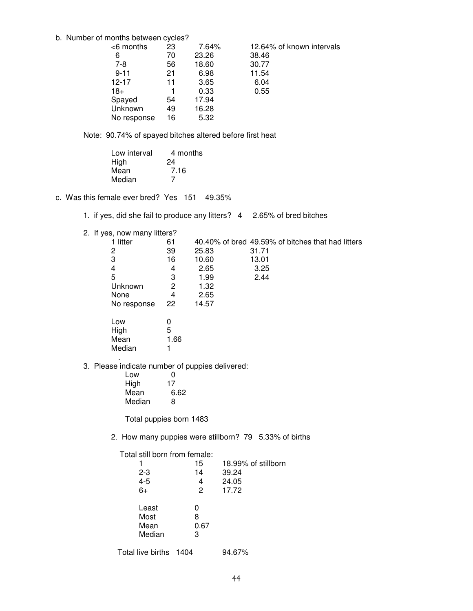#### b. Number of months between cycles?

| $<$ 6 months | 23 | 7.64% | 12.64% of known intervals |
|--------------|----|-------|---------------------------|
| 6            | 70 | 23.26 | 38.46                     |
| $7-8$        | 56 | 18.60 | 30.77                     |
| $9 - 11$     | 21 | 6.98  | 11.54                     |
| $12 - 17$    | 11 | 3.65  | 6.04                      |
| $18+$        |    | 0.33  | 0.55                      |
| Spayed       | 54 | 17.94 |                           |
| Unknown      | 49 | 16.28 |                           |
| No response  | 16 | 5.32  |                           |
|              |    |       |                           |

Note: 90.74% of spayed bitches altered before first heat

| Low interval | 4 months |
|--------------|----------|
| High         | 24       |
| Mean         | 7.16     |
| Median       | 7        |

- c. Was this female ever bred? Yes 151 49.35%
	- 1. if yes, did she fail to produce any litters? 4 2.65% of bred bitches
	- 2. If yes, now many litters?

| 1 litter    | 61   |       | 40.40% of bred 49.59% of bitches that had litters |
|-------------|------|-------|---------------------------------------------------|
| 2           | 39   | 25.83 | 31.71                                             |
| 3           | 16   | 10.60 | 13.01                                             |
| 4           | 4    | 2.65  | 3.25                                              |
| 5           | 3    | 1.99  | 2.44                                              |
| Unknown     | 2    | 1.32  |                                                   |
| None        | 4    | 2.65  |                                                   |
| No response | 22   | 14.57 |                                                   |
| Low         | 0    |       |                                                   |
| High        | 5    |       |                                                   |
| Mean        | 1.66 |       |                                                   |
| Median      |      |       |                                                   |
| ٠           |      |       |                                                   |

3. Please indicate number of puppies delivered:

| $\mathbf{0}$ |
|--------------|
| 17           |
| 6.62         |
| 8            |
|              |

Total puppies born 1483

2. How many puppies were stillborn? 79 5.33% of births

Total still born from female:

|                   | 15   | 18.99% of stillborn |
|-------------------|------|---------------------|
| $2 - 3$           | 14   | 39.24               |
| $4 - 5$           | 4    | 24.05               |
| $6+$              | 2    | 17.72               |
| Least             | 0    |                     |
| Most              | 8    |                     |
| Mean              | 0.67 |                     |
| Median            | 3    |                     |
| Total live births | 1404 | 94.67%              |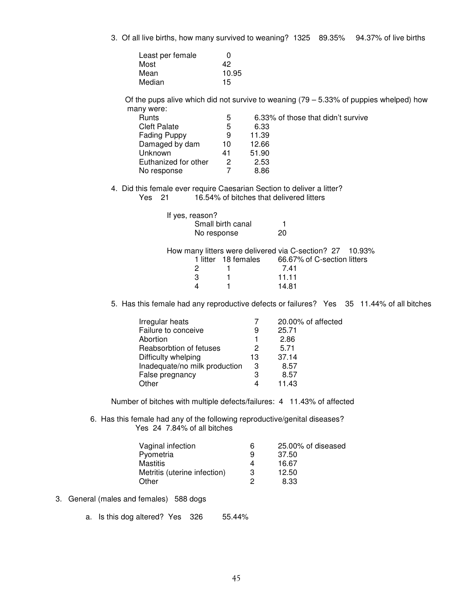3. Of all live births, how many survived to weaning? 1325 89.35% 94.37% of live births

| Least per female | 0     |
|------------------|-------|
| Most             | 42    |
| Mean             | 10.95 |
| Median           | 15    |

Of the pups alive which did not survive to weaning  $(79 - 5.33\%)$  of puppies whelped) how many were:

| <b>Runts</b>         | 5  | 6.33% of those that didn't survive |
|----------------------|----|------------------------------------|
| <b>Cleft Palate</b>  | 5  | 6.33                               |
| <b>Fading Puppy</b>  | 9  | 11.39                              |
| Damaged by dam       | 10 | 12.66                              |
| Unknown              | 41 | 51.90                              |
| Euthanized for other | 2  | 2.53                               |
| No response          |    | 8.86                               |
|                      |    |                                    |

4. Did this female ever require Caesarian Section to deliver a litter? Yes 21 16.54% of bitches that delivered litters

| If yes, reason?   |                      |
|-------------------|----------------------|
| Small birth canal | $\blacktriangleleft$ |
| No response       | 20                   |

|                     | How many litters were delivered via C-section? 27 10.93% |
|---------------------|----------------------------------------------------------|
| 1 litter 18 females | 66.67% of C-section litters                              |
|                     | 741                                                      |
|                     | 11 11                                                    |
|                     | 14.81                                                    |

5. Has this female had any reproductive defects or failures? Yes 35 11.44% of all bitches

|    | 20.00% of affected |
|----|--------------------|
| 9  | 25.71              |
|    | 2.86               |
| 2  | 5.71               |
| 13 | 37.14              |
| 3  | 8.57               |
| З  | 8.57               |
|    | 11.43              |
|    |                    |

Number of bitches with multiple defects/failures: 4 11.43% of affected

6. Has this female had any of the following reproductive/genital diseases? Yes 24 7.84% of all bitches

| Vaginal infection            | 6 | 25.00% of diseased |
|------------------------------|---|--------------------|
| Pyometria                    | 9 | 37.50              |
| Mastitis                     | 4 | 16.67              |
| Metritis (uterine infection) |   | 12.50              |
| Other                        |   | 8.33               |

- 3. General (males and females) 588 dogs
	- a. Is this dog altered? Yes 326 55.44%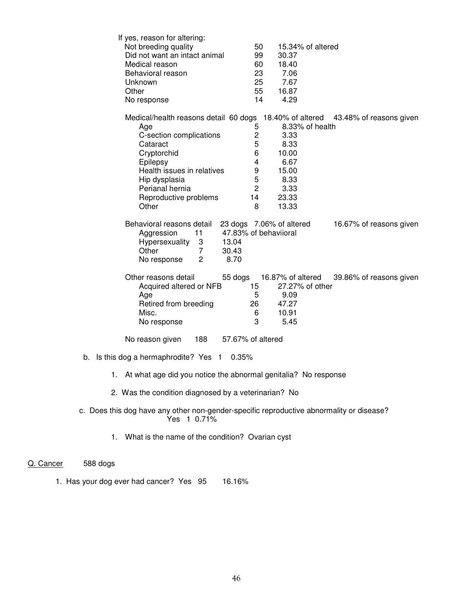| If yes, reason for altering:<br>Not breeding quality<br>Did not want an intact animal<br>Medical reason<br>Behavioral reason<br>Unknown<br>Other<br>No response                                 | 50<br>99<br>60<br>23<br>25<br>55<br>14                                             | 15.34% of altered<br>30.37<br>18.40<br>7.06<br>7.67<br>16.87<br>4.29                                                                                                           |  |
|-------------------------------------------------------------------------------------------------------------------------------------------------------------------------------------------------|------------------------------------------------------------------------------------|--------------------------------------------------------------------------------------------------------------------------------------------------------------------------------|--|
| Age<br>C-section complications<br>Cataract<br>Cryptorchid<br>Epilepsy<br>Health issues in relatives<br>Hip dysplasia<br>Perianal hernia<br>Reproductive problems<br>Other                       | 5<br>$\overline{\mathbf{c}}$<br>5<br>6<br>4<br>9<br>5<br>$\overline{c}$<br>14<br>8 | Medical/health reasons detail 60 dogs 18.40% of altered 43.48% of reasons given<br>8.33% of health<br>3.33<br>8.33<br>10.00<br>6.67<br>15.00<br>8.33<br>3.33<br>23.33<br>13.33 |  |
| Behavioral reasons detail 23 dogs 7.06% of altered<br>Aggression<br>11<br>47.83% of behaviioral<br>Hypersexuality<br>13.04<br>3<br>Other<br>$\overline{7}$<br>30.43<br>2<br>8.70<br>No response |                                                                                    | 16.67% of reasons given                                                                                                                                                        |  |
| Other reasons detail<br>55 dogs<br>Acquired altered or NFB<br>Age<br>Retired from breeding<br>Misc.<br>No response                                                                              | 15<br>5<br>26<br>6<br>3                                                            | 16.87% of altered<br>39.86% of reasons given<br>27.27% of other<br>9.09<br>47.27<br>10.91<br>5.45                                                                              |  |
| 188<br>57.67% of altered<br>No reason given                                                                                                                                                     |                                                                                    |                                                                                                                                                                                |  |
| b. Is this dog a hermaphrodite? Yes 1<br>0.35%                                                                                                                                                  |                                                                                    |                                                                                                                                                                                |  |
| 1. At what age did you notice the abnormal genitalia? No response                                                                                                                               |                                                                                    |                                                                                                                                                                                |  |
| 2. Was the condition diagnosed by a veterinarian? No                                                                                                                                            |                                                                                    |                                                                                                                                                                                |  |
| Does this dog have any other non-gender-specific reproductive abnormality or disease?                                                                                                           |                                                                                    |                                                                                                                                                                                |  |

- er-specitic reproductive abnormality or disease c. Does this dog have any other non-yencom-
	- 1. What is the name of the condition? Ovarian cyst

## Q. Cancer 588 dogs

1. Has your dog ever had cancer? Yes 95 16.16%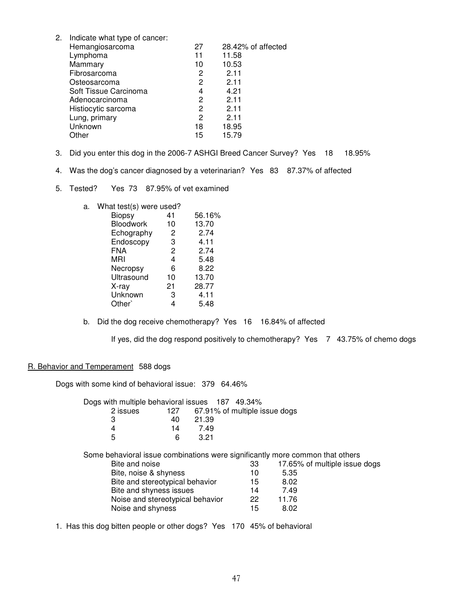| Indicate what type of cancer: |    |       |                    |
|-------------------------------|----|-------|--------------------|
| Hemangiosarcoma               | 27 |       | 28.42% of affected |
| Lymphoma                      | 11 | 11.58 |                    |
| Mammary                       | 10 | 10.53 |                    |
| Fibrosarcoma                  | 2  | 2.11  |                    |
| Osteosarcoma                  | 2  | 2.11  |                    |
| Soft Tissue Carcinoma         | 4  | 4.21  |                    |
| Adenocarcinoma                | 2  | 2.11  |                    |
| Histiocytic sarcoma           | 2  | 2.11  |                    |
| Lung, primary                 | 2  | 2.11  |                    |
| Unknown                       | 18 | 18.95 |                    |
| <b>Other</b>                  | 15 | 15.79 |                    |
|                               |    |       |                    |

- 3. Did you enter this dog in the 2006-7 ASHGI Breed Cancer Survey? Yes 18 18.95%
- 4. Was the dog's cancer diagnosed by a veterinarian? Yes 83 87.37% of affected
- 5. Tested? Yes 73 87.95% of vet examined

| a. | What test(s) were used? |    |        |
|----|-------------------------|----|--------|
|    | Biopsy                  | 41 | 56.16% |
|    | Bloodwork               | 10 | 13.70  |
|    | Echography              | 2  | 2.74   |
|    | Endoscopy               | 3  | 4.11   |
|    | FNA                     | 2  | 2.74   |
|    | MRI                     | 4  | 5.48   |
|    | Necropsy                | 6  | 8.22   |
|    | Ultrasound              | 10 | 13.70  |
|    | X-ray                   | 21 | 28.77  |
|    | Unknown                 | 3  | 4.11   |
|    | Other`                  | 4  | 5.48   |
|    |                         |    |        |

b. Did the dog receive chemotherapy? Yes 16 16.84% of affected

If yes, did the dog respond positively to chemotherapy? Yes 7 43.75% of chemo dogs

## R. Behavior and Temperament 588 dogs

Dogs with some kind of behavioral issue: 379 64.46%

| Dogs with multiple behavioral issues 187 49.34% |    |       |                                   |
|-------------------------------------------------|----|-------|-----------------------------------|
| 2 issues                                        |    |       | 127 67.91% of multiple issue dogs |
|                                                 | 40 | 21.39 |                                   |
|                                                 | 14 | 749   |                                   |
| 5                                               |    | 3.21  |                                   |

Some behavioral issue combinations were significantly more common that others

| 17.65% of multiple issue dogs |
|-------------------------------|
| 5.35                          |
| 8.02                          |
| 7.49                          |
| 11.76                         |
| 8.02                          |
|                               |

1. Has this dog bitten people or other dogs? Yes 170 45% of behavioral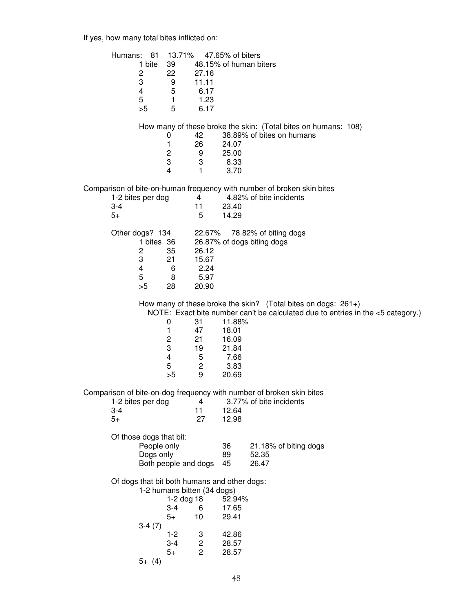If yes, how many total bites inflicted on:

| Humans:<br>81<br>1 bite<br>2<br>3<br>$\overline{\mathbf{4}}$<br>5<br>>5                 | 13.71%<br>39<br>22<br>27.16<br>11.11<br>9<br>5<br>6.17<br>1.23<br>1<br>5<br>6.17                             | 47.65% of biters<br>48.15% of human biters                 |                                                                                                                                                     |  |
|-----------------------------------------------------------------------------------------|--------------------------------------------------------------------------------------------------------------|------------------------------------------------------------|-----------------------------------------------------------------------------------------------------------------------------------------------------|--|
|                                                                                         | 42<br>0<br>1<br>26<br>$\mathbf 2$<br>9<br>3<br>3<br>4<br>1                                                   | 24.07<br>25.00<br>8.33<br>3.70                             | How many of these broke the skin: (Total bites on humans: 108)<br>38.89% of bites on humans                                                         |  |
| 1-2 bites per dog<br>$3 - 4$<br>$5+$                                                    | 4<br>11<br>5                                                                                                 | 23.40<br>14.29                                             | Comparison of bite-on-human frequency with number of broken skin bites<br>4.82% of bite incidents                                                   |  |
| Other dogs? 134<br>1 bites 36<br>$\mathbf 2$<br>3<br>$\overline{\mathbf{4}}$<br>5<br>>5 | 22.67%<br>35<br>26.12<br>15.67<br>21<br>2.24<br>6<br>5.97<br>8<br>28<br>20.90                                |                                                            | 78.82% of biting dogs<br>26.87% of dogs biting dogs                                                                                                 |  |
|                                                                                         | 0<br>31<br>1<br>47<br>$\boldsymbol{2}$<br>21<br>3<br>19<br>4<br>5<br>5<br>$\overline{\mathbf{c}}$<br>9<br>>5 | 11.88%<br>18.01<br>16.09<br>21.84<br>7.66<br>3.83<br>20.69 | How many of these broke the skin? (Total bites on dogs: $261+$ )<br>NOTE: Exact bite number can't be calculated due to entries in the <5 category.) |  |
| 1-2 bites per dog<br>$3 - 4$<br>$5+$                                                    | 4<br>11<br>27                                                                                                | 12.64<br>12.98                                             | Comparison of bite-on-dog frequency with number of broken skin bites<br>3.77% of bite incidents                                                     |  |
| Of those dogs that bit:<br>People only<br>Dogs only                                     | Both people and dogs                                                                                         | 36<br>89<br>45                                             | 21.18% of biting dogs<br>52.35<br>26.47                                                                                                             |  |
| Of dogs that bit both humans and other dogs:<br>$3-4(7)$                                | 1-2 humans bitten (34 dogs)<br>1-2 dog 18<br>$3 - 4$<br>6<br>$5+$<br>10                                      | 52.94%<br>17.65<br>29.41                                   |                                                                                                                                                     |  |
| $5+ (4)$                                                                                | 3<br>$1-2$<br>$\overline{c}$<br>$3 - 4$<br>$\overline{c}$<br>$5+$                                            | 42.86<br>28.57<br>28.57                                    |                                                                                                                                                     |  |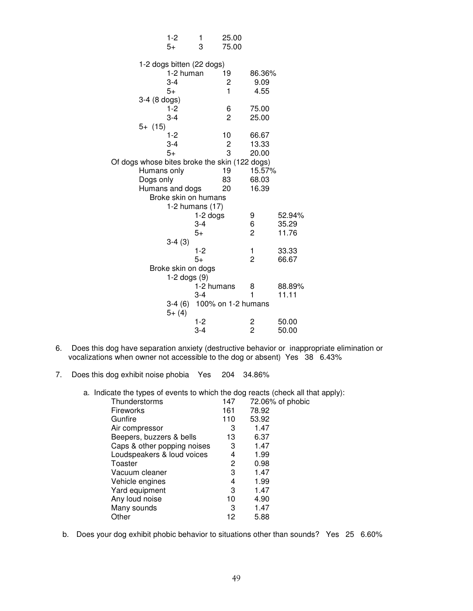|                                               | $1 - 2$                   | 1               | 25.00                   |                |        |
|-----------------------------------------------|---------------------------|-----------------|-------------------------|----------------|--------|
|                                               | $5+$                      | 3               | 75.00                   |                |        |
|                                               |                           |                 |                         |                |        |
|                                               | 1-2 dogs bitten (22 dogs) |                 |                         |                |        |
|                                               | 1-2 human                 |                 | 19                      | 86.36%         |        |
|                                               | $3 - 4$                   |                 | 2                       | 9.09           |        |
|                                               | $5+$                      |                 | $\overline{1}$          | 4.55           |        |
| 3-4 (8 dogs)                                  |                           |                 |                         |                |        |
|                                               | $1 - 2$                   |                 | 6                       | 75.00          |        |
|                                               | $3 - 4$                   |                 | $\overline{c}$          | 25.00          |        |
| $5+$ (15)                                     |                           |                 |                         |                |        |
|                                               | 1-2                       |                 | 10                      | 66.67          |        |
|                                               | $3 - 4$                   |                 | $\overline{\mathbf{c}}$ | 13.33          |        |
|                                               | $5+$                      |                 | 3                       | 20.00          |        |
| Of dogs whose bites broke the skin (122 dogs) |                           |                 |                         |                |        |
|                                               | Humans only               |                 | 19                      | 15.57%         |        |
| Dogs only                                     |                           |                 | 83                      | 68.03          |        |
|                                               | Humans and dogs           |                 | 20                      | 16.39          |        |
|                                               | Broke skin on humans      |                 |                         |                |        |
|                                               |                           | 1-2 humans (17) |                         |                |        |
|                                               |                           | $1-2$ dogs      |                         | 9              | 52.94% |
|                                               |                           | 3-4             |                         | 6              | 35.29  |
|                                               |                           | $5+$            |                         | $\overline{c}$ | 11.76  |
|                                               | $3-4(3)$                  |                 |                         |                |        |
|                                               |                           | $1 - 2$         |                         | 1              | 33.33  |
|                                               |                           | $5+$            |                         | 2              | 66.67  |
|                                               | Broke skin on dogs        |                 |                         |                |        |
|                                               | $1-2$ dogs $(9)$          |                 |                         |                |        |
|                                               |                           | 1-2 humans      |                         | 8              | 88.89% |
|                                               |                           | $3 - 4$         |                         | 1              | 11.11  |
|                                               | $3-4(6)$                  |                 | 100% on 1-2 humans      |                |        |
|                                               | $5+ (4)$                  |                 |                         |                |        |
|                                               |                           | $1 - 2$         |                         | 2              | 50.00  |
|                                               |                           | $3 - 4$         |                         | $\overline{2}$ | 50.00  |
|                                               |                           |                 |                         |                |        |

- 6. Does this dog have separation anxiety (destructive behavior or inappropriate elimination or vocalizations when owner not accessible to the dog or absent) Yes 38 6.43%
- 7. Does this dog exhibit noise phobia Yes 204 34.86%

a. Indicate the types of events to which the dog reacts (check all that apply):

| .                           |     |                  |
|-----------------------------|-----|------------------|
| Thunderstorms               | 147 | 72.06% of phobic |
| <b>Fireworks</b>            | 161 | 78.92            |
| Gunfire                     | 110 | 53.92            |
| Air compressor              | 3   | 1.47             |
| Beepers, buzzers & bells    | 13  | 6.37             |
| Caps & other popping noises | 3   | 1.47             |
| Loudspeakers & loud voices  | 4   | 1.99             |
| Toaster                     | 2   | 0.98             |
| Vacuum cleaner              | 3   | 1.47             |
| Vehicle engines             | 4   | 1.99             |
| Yard equipment              | З   | 1.47             |
| Any loud noise              | 10  | 4.90             |
| Many sounds                 | 3   | 1.47             |
| Other                       | 12  | 5.88             |
|                             |     |                  |

b. Does your dog exhibit phobic behavior to situations other than sounds? Yes 25 6.60%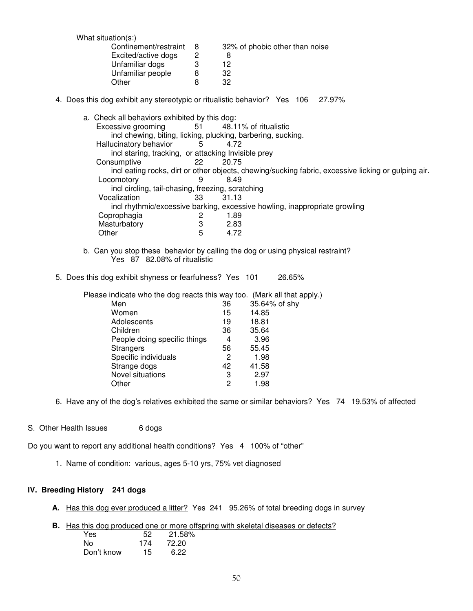What situation(s:) Confinement/restraint 8 32% of phobic other than noise Excited/active dogs 2 8 Unfamiliar dogs 3 12 Unfamiliar people 8 32<br>Other 8 32 Other 8 32

- 4. Does this dog exhibit any stereotypic or ritualistic behavior? Yes 106 27.97%
- a. Check all behaviors exhibited by this dog: Excessive grooming 51 48.11% of ritualistic incl chewing, biting, licking, plucking, barbering, sucking. Hallucinatory behavior 5 4.72 incl staring, tracking, or attacking Invisible prey Consumptive 22 20.75 incl eating rocks, dirt or other objects, chewing/sucking fabric, excessive licking or gulping air. Locomotory 9 8.49 incl circling, tail-chasing, freezing, scratching Vocalization 33 31.13 incl rhythmic/excessive barking, excessive howling, inappropriate growling Coprophagia 2 1.89 Masturbatory 3 2.83 Other 5 4.72
	- b. Can you stop these behavior by calling the dog or using physical restraint? Yes 87 82.08% of ritualistic
- 5. Does this dog exhibit shyness or fearfulness? Yes 101 26.65%

| Please indicate who the dog reacts this way too. (Mark all that apply.) |    |               |
|-------------------------------------------------------------------------|----|---------------|
| Men                                                                     | 36 | 35.64% of shy |
| Women                                                                   | 15 | 14.85         |
| Adolescents                                                             | 19 | 18.81         |
| Children                                                                | 36 | 35.64         |
| People doing specific things                                            | 4  | 3.96          |
| <b>Strangers</b>                                                        | 56 | 55.45         |
| Specific individuals                                                    | 2  | 1.98          |
| Strange dogs                                                            | 42 | 41.58         |
| Novel situations                                                        | 3  | 2.97          |
| Other                                                                   | 2  | 1.98          |
|                                                                         |    |               |

- 6. Have any of the dog's relatives exhibited the same or similar behaviors? Yes 74 19.53% of affected
- S. Other Health Issues 6 dogs

Do you want to report any additional health conditions? Yes 4 100% of "other"

1. Name of condition: various, ages 5-10 yrs, 75% vet diagnosed

#### **IV. Breeding History 241 dogs**

- **A.** Has this dog ever produced a litter? Yes 241 95.26% of total breeding dogs in survey
- **B.** Has this dog produced one or more offspring with skeletal diseases or defects?

| Yes        | 52  | 21.58% |
|------------|-----|--------|
| N٥         | 174 | 72.20  |
| Don't know | 15  | 6.22   |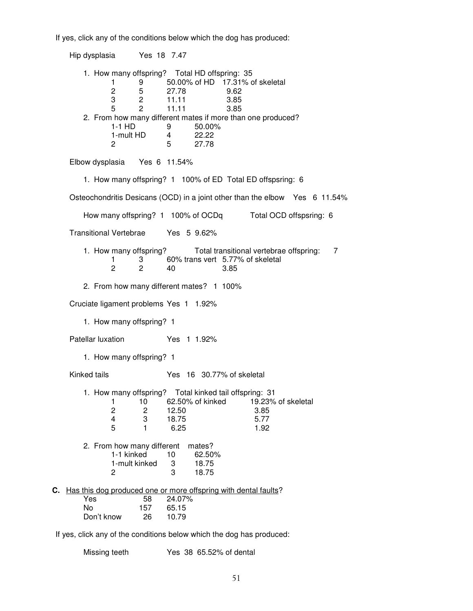If yes, click any of the conditions below which the dog has produced:

Hip dysplasia Yes 18 7.47 1. How many offspring? Total HD offspring: 35 1 9 50.00% of HD 17.31% of skeletal<br>2 5 27.78 9.62 27.78 9.62 3 2 11.11 3.85 5 2 11.11 3.85 2. From how many different mates if more than one produced? 1-1 HD 9 50.00%<br>1-mult HD 4 22.22 1-mult HD 4<br>2 5 2 5 27.78 Elbow dysplasia Yes 6 11.54% 1. How many offspring? 1 100% of ED Total ED offspsring: 6 Osteochondritis Desicans (OCD) in a joint other than the elbow Yes 6 11.54% How many offspring? 1 100% of OCDq Total OCD offspsring: 6 Transitional Vertebrae Yes 5 9.62% 1. How many offspring? Total transitional vertebrae offspring: 7 1 3 60% trans vert 5.77% of skeletal<br>2 2 40 3.85 2 2 40 3.85 2. From how many different mates? 1 100% Cruciate ligament problems Yes 1 1.92% 1. How many offspring? 1 Patellar luxation **Yes** 1 1.92% 1. How many offspring? 1 Kinked tails Yes 16 30.77% of skeletal 1. How many offspring? Total kinked tail offspring: 31 1 10 62.50% of kinked 19.23% of skeletal 2 2 12.50 3.85 4 3 18.75 5.77 5 1 6.25 1.92 2. From how many different mates? 1-1 kinked 10 62.50% 1-mult kinked 3 2 3 18.75 **C.** Has this dog produced one or more offspring with dental faults? Yes 58 24.07% No 157 65.15 Don't know 26 10.79

If yes, click any of the conditions below which the dog has produced:

Missing teeth Yes 38 65.52% of dental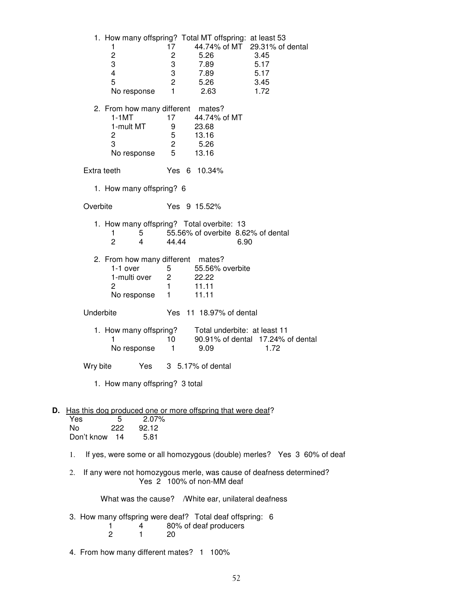1. How many offspring? Total MT offspring: at least 53 1 17 44.74% of MT 29.31% of dental<br>2 2 5.26 3.45 2 2 5.26 3.45 3 3 7.89 5.17 4 3 7.89 5.17 5 2 5.26 3.45 No response  $1$  2.63 1.72 2. From how many different mates? 1-1MT 17 44.74% of MT 1-mult MT  $\begin{array}{ccc} 9 & 23.68 \\ 2 & 5 & 13.16 \end{array}$ 5 13.16<br>2 5.26 3 2 5.26 No response 5 13.16 Extra teeth Yes 6 10.34% 1. How many offspring? 6 Overbite Yes 9 15.52% 1. How many offspring? Total overbite: 13 1 5 55.56% of overbite 8.62% of dental<br>2 4 44.44 6.90 2 4 44.44 6.90 2. From how many different mates?<br>1-1 over 5 55.56% c 55.56% overbite 1-multi over 2 22.22 2 1 11.11 No response 1 11.11 Underbite Yes 11 18.97% of dental 1. How many offspring? Total underbite: at least 11 1 10 90.91% of dental 17.24% of dental No response  $1$  9.09 1.72 Wry bite Yes 3 5.17% of dental 1. How many offspring? 3 total **D.** Has this dog produced one or more offspring that were deaf? Yes 5 2.07%<br>No 222 92.12  $92.12$ <br>5.81 Don't know 14 1. If yes, were some or all homozygous (double) merles? Yes 3 60% of deaf 2. If any were not homozygous merle, was cause of deafness determined? Yes 2 100% of non-MM deaf What was the cause? /White ear, unilateral deafness 3. How many offspring were deaf? Total deaf offspring: 6 1 4 80% of deaf producers<br>2 1 20 2 1 20 4. From how many different mates? 1 100%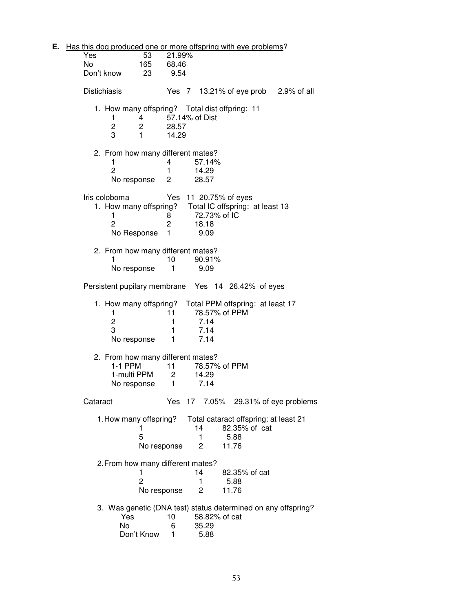**E.** Has this dog produced one or more offspring with eye problems?<br>Yes 53 21.99% 53 21.99%<br>165 68.46 No 165 68.46<br>Don't know 23 9.54 Don't know 23 Distichiasis Yes 7 13.21% of eye prob 2.9% of all 1. How many offspring? Total dist offpring: 11 1 4 57.14% of Dist<br>2 2 28.57 2 2 28.57<br>3 1 14.29 14.29 2. From how many different mates?  $\begin{array}{cccc} 1 & 4 & 57.14\% \\ 2 & 1 & 14.29 \end{array}$ 14.29 No response 2 28.57 Iris coloboma Yes 11 20.75% of eyes 1. How many offspring? Total IC offspring: at least 13 1 8 72.73% of IC 2 2 18.18 No Response 1 9.09 2. From how many different mates? 1 10 90.91%<br>No response 1 9.09 No response Persistent pupilary membrane Yes 14 26.42% of eyes 1. How many offspring? Total PPM offspring: at least 17 1 11 78.57% of PPM<br>2 1 7.14 2 1 7.14<br>3 1 7.14 3 1 7.14 No response 1 7.14 2. From how many different mates?<br>1-1 PPM 11 78.57% 11 78.57% of PPM<br>2 14.29 1-multi PPM 2 14.29<br>No response 1 7.14 No response 1 Cataract Yes 17 7.05% 29.31% of eye problems 1. How many offspring? Total cataract offspring: at least 21 1 14 82.35% of cat<br>5 1 5.88 1 5.88<br>2 11.76 No response 2 11.76 2. From how many different mates? 1 14 82.35% of cat<br>2 1 5.88 2 1 5.88 No response 2 11.76 3. Was genetic (DNA test) status determined on any offspring? Yes 10 58.82% of cat No 6 35.29<br>Don't Know 1 5.88 Don't Know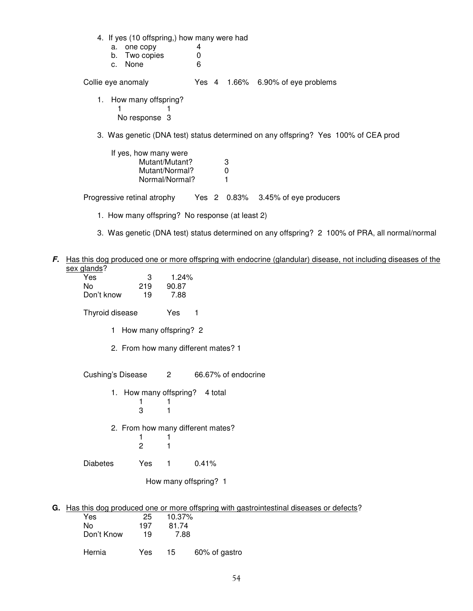|    |    | 4. If yes (10 offspring,) how many were had       |       |  |                                                                                    |  |
|----|----|---------------------------------------------------|-------|--|------------------------------------------------------------------------------------|--|
|    |    | a. one copy                                       | 4     |  |                                                                                    |  |
|    |    | b. Two copies                                     |       |  |                                                                                    |  |
|    | C. | None                                              | 6     |  |                                                                                    |  |
|    |    | Collie eye anomaly                                | Yes 4 |  | 1.66% 6.90% of eye problems                                                        |  |
| 1. |    | How many offspring?                               |       |  |                                                                                    |  |
|    |    | No response 3                                     |       |  |                                                                                    |  |
|    |    |                                                   |       |  | 3. Was genetic (DNA test) status determined on any offspring? Yes 100% of CEA prod |  |
|    |    | If yes, how many were<br>$M$ utant/ $M$ utant $2$ |       |  |                                                                                    |  |

Mutant/Mutant? 3 Mutant/Normal? Normal/Normal? 1

Progressive retinal atrophy Yes 2 0.83% 3.45% of eye producers

- 1. How many offspring? No response (at least 2)
- 3. Was genetic (DNA test) status determined on any offspring? 2 100% of PRA, all normal/normal

## **F.** Has this dog produced one or more offspring with endocrine (glandular) disease, not including diseases of the sex glands?

| Yes<br>No<br>Don't know | З     | 1.24%<br>219 90.87<br>19 7.88 |                                     |
|-------------------------|-------|-------------------------------|-------------------------------------|
| Thyroid disease         |       | Yes                           | 1                                   |
| 1.                      |       | How many offspring? 2         |                                     |
|                         |       |                               | 2. From how many different mates? 1 |
| Cushing's Disease       |       | $\overline{2}$                | 66.67% of endocrine                 |
|                         | 3     |                               | 1. How many offspring? 4 total      |
|                         | 2     |                               | 2. From how many different mates?   |
| Diabetes                | Yes 1 |                               | 0.41%                               |
|                         |       |                               | How many offspring? 1               |

**G.** Has this dog produced one or more offspring with gastrointestinal diseases or defects?

| Yes        | 25  | 10.37% |               |
|------------|-----|--------|---------------|
| No         | 197 | 81.74  |               |
| Don't Know | 19  | 7.88   |               |
| Hernia     | Yes | 15     | 60% of gastro |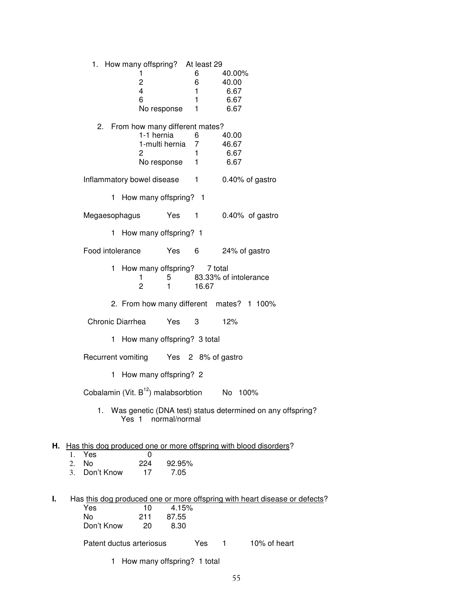|    | 1. How many offspring? At least 29                                                         |
|----|--------------------------------------------------------------------------------------------|
|    | 6<br>40.00%<br>1                                                                           |
|    | 2<br>6<br>40.00                                                                            |
|    | 4<br>6.67<br>1.                                                                            |
|    | 6<br>1<br>6.67                                                                             |
|    | No response<br>1<br>6.67                                                                   |
|    | 2. From how many different mates?                                                          |
|    | 1-1 hernia<br>6<br>40.00                                                                   |
|    | 1-multi hernia<br>7<br>46.67                                                               |
|    | $\overline{c}$<br>6.67<br>1.                                                               |
|    | No response 1<br>6.67                                                                      |
|    |                                                                                            |
|    | Inflammatory bowel disease 1<br>0.40% of gastro                                            |
|    | How many offspring? 1<br>1                                                                 |
|    | Megaesophagus<br>Yes<br>0.40% of gastro<br>$\sim$ 1 $\sim$ $\sim$                          |
|    | How many offspring? 1<br>1.                                                                |
|    | Food intolerance<br>Yes<br>24% of gastro<br>6                                              |
|    |                                                                                            |
|    | How many offspring? 7 total<br>1                                                           |
|    | 83.33% of intolerance<br>1<br>5<br>$\overline{2}$<br>1<br>16.67                            |
|    |                                                                                            |
|    | 2. From how many different mates? 1 100%                                                   |
|    | Chronic Diarrhea<br>Yes<br>3<br>12%                                                        |
|    | 1 How many offspring? 3 total                                                              |
|    | Recurrent vomiting Yes 2 8% of gastro                                                      |
|    | How many offspring? 2<br>1                                                                 |
|    | Cobalamin (Vit. B <sup>12</sup> ) malabsorbtion<br>No 100%                                 |
|    |                                                                                            |
|    | Was genetic (DNA test) status determined on any offspring?<br>1.<br>normal/normal<br>Yes 1 |
|    |                                                                                            |
| Η. | Has this dog produced one or more offspring with blood disorders?                          |
|    | Yes<br>1.<br>0                                                                             |
|    | <b>No</b><br>224<br>2.<br>92.95%                                                           |
|    | Don't Know<br>7.05<br>3.<br>17                                                             |
|    |                                                                                            |
|    |                                                                                            |
| L. | Has this dog produced one or more offspring with heart disease or defects?                 |
|    | Yes<br>4.15%<br>10                                                                         |
|    | No<br>211<br>87.55                                                                         |
|    | Don't Know<br>8.30<br>20                                                                   |
|    | Patent ductus arteriosus<br>Yes<br>10% of heart<br>1                                       |

1 How many offspring? 1 total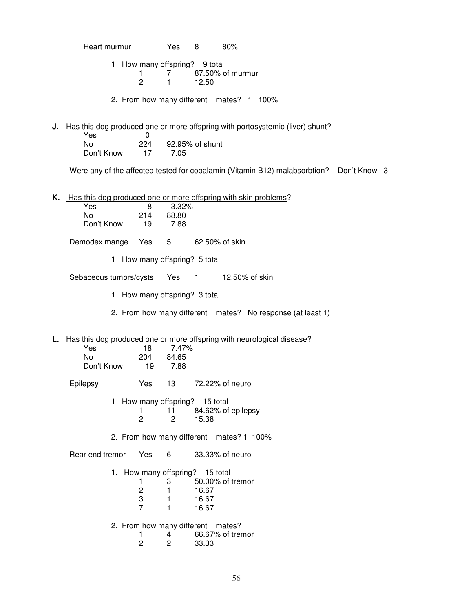Heart murmur Yes 8 80%

- 1 How many offspring? 9 total<br>1 7 87.50% c  $\begin{array}{cc} 1 & 7 & 87.50\% \text{ of } \text{murmur} \\ 2 & 1 & 12.50 \end{array}$  $12.50$
- 2. From how many different mates? 1 100%
- **J.** Has this dog produced one or more offspring with portosystemic (liver) shunt? Yes 0<br>No 224 92.95% of shunt Don't Know 17 7.05

Were any of the affected tested for cobalamin (Vitamin B12) malabsorbtion? Don't Know 3

**K.** Has this dog produced one or more offspring with skin problems?

| Yes        | 8   | 3.32% |
|------------|-----|-------|
| N٥         | 214 | 88.80 |
| Don't Know | 19  | 7.88  |

Demodex mange Yes 5 62.50% of skin

1 How many offspring? 5 total

Sebaceous tumors/cysts Yes 1 12.50% of skin

1 How many offspring? 3 total

2. From how many different mates? No response (at least 1)

**L.** Has this dog produced one or more offspring with neurological disease?

| Yes        | 18  | 7.47% |
|------------|-----|-------|
| No         | 204 | 84.65 |
| Don't Know | 19  | 7.88  |

Epilepsy Yes 13 72.22% of neuro

1 How many offspring? 15 total<br>11 84.62% of 1 11 84.62% of epilepsy<br>2 2 15.38 15.38

2. From how many different mates? 1 100%

Rear end tremor Yes 6 33.33% of neuro

|   |   | 1. How many offspring? 15 total   |
|---|---|-----------------------------------|
|   | з | 50.00% of tremor                  |
| 2 |   | 16.67                             |
| 3 |   | 16.67                             |
|   |   | 16.67                             |
|   |   | 2. From how many different mates? |
|   |   | 66.67% of tremor                  |
|   |   | 33.33                             |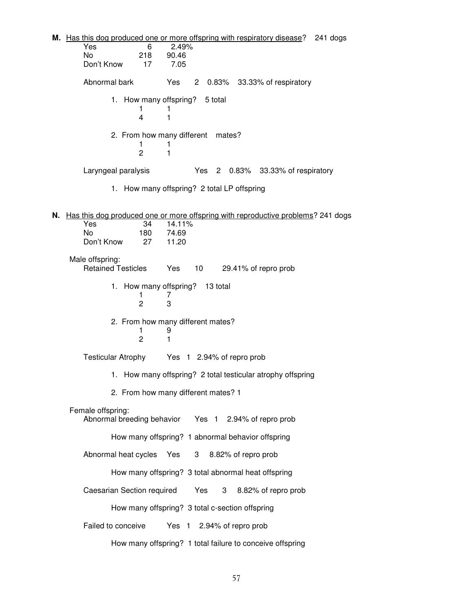**M.** Has this dog produced one or more offspring with respiratory disease? 241 dogs Yes 6 2.49%<br>No 218 90.46 No 218 90.46<br>Don't Know 17 7.05 Don't Know Abnormal bark Yes 2 0.83% 33.33% of respiratory 1. How many offspring? 5 total 1 1 4 1 2. From how many different mates? 1 1 1 2 1 Laryngeal paralysis Yes 2 0.83% 33.33% of respiratory 1. How many offspring? 2 total LP offspring **N.** Has this dog produced one or more offspring with reproductive problems? 241 dogs Yes 34 14.11% No 180 74.69<br>Don't Know 27 11.20 Don't Know Male offspring:<br>Retained Testicles Yes 10 29.41% of repro prob 1. How many offspring? 13 total 1 7 2 3 2. From how many different mates?  $\begin{array}{ccc} 1 & 9 \\ 2 & 1 \end{array}$ 2 1 Testicular Atrophy Yes 1 2.94% of repro prob 1. How many offspring? 2 total testicular atrophy offspring 2. From how many different mates? 1 Female offspring: Abnormal breeding behavior Yes 1 2.94% of repro prob How many offspring? 1 abnormal behavior offspring Abnormal heat cycles Yes 3 8.82% of repro prob How many offspring? 3 total abnormal heat offspring Caesarian Section required Yes 3 8.82% of repro prob How many offspring? 3 total c-section offspring Failed to conceive Yes 1 2.94% of repro prob How many offspring? 1 total failure to conceive offspring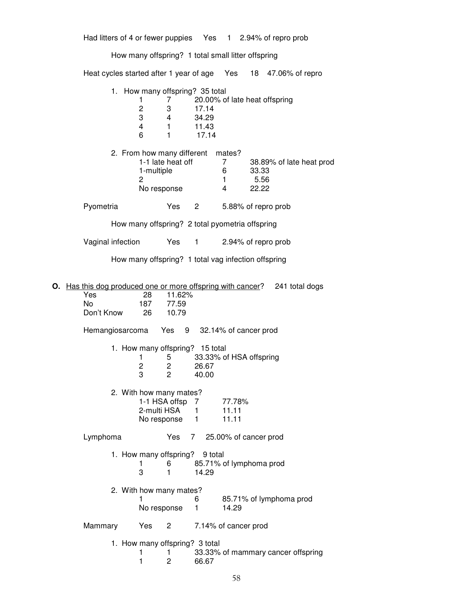Had litters of 4 or fewer puppies Yes 1 2.94% of repro prob

How many offspring? 1 total small litter offspring

Heat cycles started after 1 year of age Yes 18 47.06% of repro

|    | 1.                      | How many offspring? 35 total<br>1<br>7<br>$\overline{c}$<br>3<br>3<br>4<br>4<br>1<br>6<br>1 | 17.14<br>34.29<br>11.43<br>17.14 |                                          | 20.00% of late heat offspring                                           |  |
|----|-------------------------|---------------------------------------------------------------------------------------------|----------------------------------|------------------------------------------|-------------------------------------------------------------------------|--|
|    |                         | 2. From how many different<br>1-1 late heat off<br>1-multiple<br>2<br>No response           |                                  | mates?<br>7<br>6<br>1.<br>$\overline{4}$ | 38.89% of late heat prod<br>33.33<br>5.56<br>22.22                      |  |
|    | Pyometria               | Yes                                                                                         | $\mathbf{2}$                     |                                          | 5.88% of repro prob                                                     |  |
|    |                         | How many offspring? 2 total pyometria offspring                                             |                                  |                                          |                                                                         |  |
|    | Vaginal infection       | Yes                                                                                         | 1                                |                                          | 2.94% of repro prob                                                     |  |
|    |                         | How many offspring? 1 total vag infection offspring                                         |                                  |                                          |                                                                         |  |
| О. | Yes<br>No<br>Don't Know | 28<br>11.62%<br>187<br>77.59<br>26<br>10.79                                                 |                                  |                                          | Has this dog produced one or more offspring with cancer? 241 total dogs |  |
|    | Hemangiosarcoma         | Yes                                                                                         |                                  |                                          | 9 32.14% of cancer prod                                                 |  |
|    |                         | 1. How many offspring? 15 total<br>1<br>5<br>2<br>$\mathbf{2}^{\circ}$<br>3<br>2            | 26.67<br>40.00                   |                                          | 33.33% of HSA offspring                                                 |  |
|    |                         | 2. With how many mates?<br>1-1 HSA offsp<br>2-multi HSA<br>No response                      | 7<br>1<br>1                      | 77.78%<br>11.11<br>11.11                 |                                                                         |  |
|    | Lymphoma                | Yes                                                                                         | 7                                |                                          | 25.00% of cancer prod                                                   |  |
|    |                         | 1. How many offspring?<br>1<br>6<br>3<br>1                                                  | 9 total<br>14.29                 |                                          | 85.71% of lymphoma prod                                                 |  |
|    |                         | 2. With how many mates?<br>1<br>No response                                                 | 6<br>1                           | 14.29                                    | 85.71% of lymphoma prod                                                 |  |
|    | Mammary                 | Yes<br>$\mathbf{2}$                                                                         |                                  | 7.14% of cancer prod                     |                                                                         |  |
|    |                         | 1. How many offspring? 3 total<br>1<br>1<br>1<br>2                                          | 66.67                            |                                          | 33.33% of mammary cancer offspring                                      |  |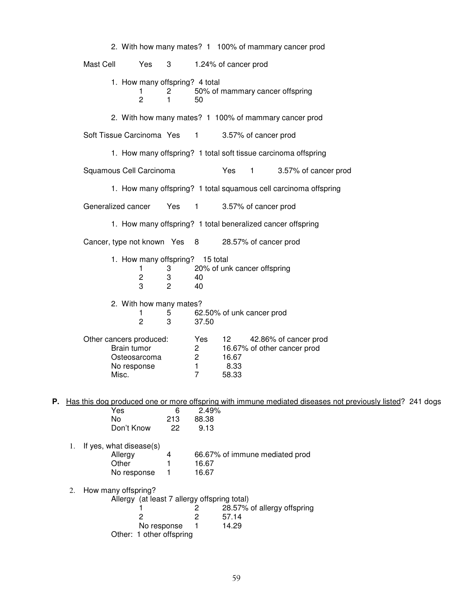|    |    |                              |                                     |                          |                                                                          |                                                                         |                              |                             | 2. With how many mates? 1 100% of mammary cancer prod            |                                                                                                           |  |
|----|----|------------------------------|-------------------------------------|--------------------------|--------------------------------------------------------------------------|-------------------------------------------------------------------------|------------------------------|-----------------------------|------------------------------------------------------------------|-----------------------------------------------------------------------------------------------------------|--|
|    |    | Mast Cell                    |                                     | Yes                      | 3                                                                        |                                                                         | 1.24% of cancer prod         |                             |                                                                  |                                                                                                           |  |
|    |    |                              |                                     | 1.<br>$\overline{2}$     | 1. How many offspring? 4 total<br>2<br>1                                 | 50                                                                      |                              |                             | 50% of mammary cancer offspring                                  |                                                                                                           |  |
|    |    |                              |                                     |                          |                                                                          |                                                                         |                              |                             | 2. With how many mates? 1 100% of mammary cancer prod            |                                                                                                           |  |
|    |    | Soft Tissue Carcinoma Yes    |                                     |                          |                                                                          | $\blacksquare$ 1                                                        |                              | 3.57% of cancer prod        |                                                                  |                                                                                                           |  |
|    |    |                              |                                     |                          |                                                                          |                                                                         |                              |                             | 1. How many offspring? 1 total soft tissue carcinoma offspring   |                                                                                                           |  |
|    |    | Squamous Cell Carcinoma      |                                     |                          |                                                                          |                                                                         | Yes                          | $\mathbf{1}$                | 3.57% of cancer prod                                             |                                                                                                           |  |
|    |    |                              |                                     |                          |                                                                          |                                                                         |                              |                             | 1. How many offspring? 1 total squamous cell carcinoma offspring |                                                                                                           |  |
|    |    | Generalized cancer           |                                     |                          | Yes                                                                      | $\mathbf{1}$                                                            |                              | 3.57% of cancer prod        |                                                                  |                                                                                                           |  |
|    |    |                              |                                     |                          |                                                                          |                                                                         |                              |                             | 1. How many offspring? 1 total beneralized cancer offspring      |                                                                                                           |  |
|    |    | Cancer, type not known Yes 8 |                                     |                          |                                                                          |                                                                         |                              | 28.57% of cancer prod       |                                                                  |                                                                                                           |  |
|    |    |                              |                                     | 1<br>$\overline{c}$<br>3 | 1. How many offspring? 15 total<br>3<br>3<br>2                           | 40<br>40                                                                |                              | 20% of unk cancer offspring |                                                                  |                                                                                                           |  |
|    |    |                              |                                     | 1<br>$\overline{2}$      | 2. With how many mates?<br>5<br>3                                        | 37.50                                                                   |                              | 62.50% of unk cancer prod   |                                                                  |                                                                                                           |  |
|    |    | Other cancers produced:      | Brain tumor<br>No response<br>Misc. | Osteosarcoma             |                                                                          | Yes<br>$\mathbf{2}$<br>$\overline{c}$<br>$\mathbf{1}$<br>$\overline{7}$ | 12<br>16.67<br>8.33<br>58.33 |                             | 42.86% of cancer prod<br>16.67% of other cancer prod             |                                                                                                           |  |
| Ρ. |    |                              |                                     |                          |                                                                          |                                                                         |                              |                             |                                                                  | Has this dog produced one or more offspring with immune mediated diseases not previously listed? 241 dogs |  |
|    |    |                              | Yes<br>No<br>Don't Know             |                          | 6<br>213<br>22                                                           | 2.49%<br>88.38<br>9.13                                                  |                              |                             |                                                                  |                                                                                                           |  |
|    | 1. | If yes, what disease(s)      | Allergy<br>Other<br>No response     |                          | 4<br>1<br>1                                                              | 16.67<br>16.67                                                          |                              |                             | 66.67% of immune mediated prod                                   |                                                                                                           |  |
|    | 2. | How many offspring?          |                                     | 2<br>No response         | Allergy (at least 7 allergy offspring total)<br>Other: 1 other offspring | 2<br>2<br>1                                                             | 57.14<br>14.29               |                             | 28.57% of allergy offspring                                      |                                                                                                           |  |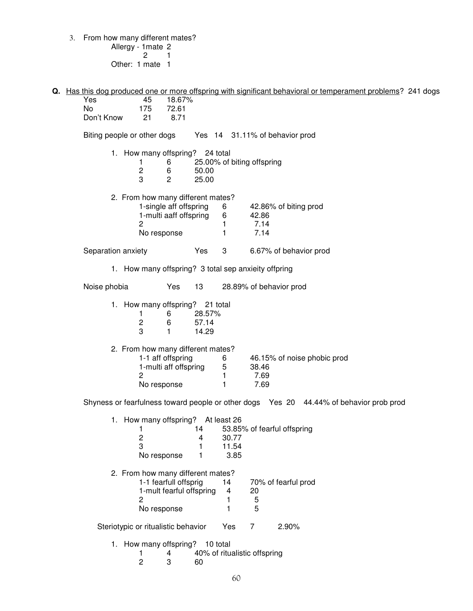3. From how many different mates? Allergy - 1mate 2 2 1 Other: 1 mate 1

**Q.** Has this dog produced one or more offspring with significant behavioral or temperament problems? 241 dogs Yes 45 18.67% No 175 72.61<br>Don't Know 21 8.71 Don't Know 21 Biting people or other dogs Yes 14 31.11% of behavior prod 1. How many offspring? 24 total 1 6 25.00% of biting offspring<br>2 6 50.00 2 6 50.00 3 2 25.00 2. From how many different mates? 1-single aff offspring 6 42.86% of biting prod 1-multi aaff offspring 6 42.86 2 1 7.14 No response  $1$  7.14 Separation anxiety Yes 3 6.67% of behavior prod 1. How many offspring? 3 total sep anxieity offpring Noise phobia Yes 13 28.89% of behavior prod 1. How many offspring? 21 total 1 6 28.57%<br>2 6 57.14  $\begin{array}{cccc} 2 & 6 & 57.14 \\ 3 & 1 & 14.29 \end{array}$ 14.29 2. From how many different mates?<br>1-1 aff offspring 6 6 46.15% of noise phobic prod 1-multi aff offspring 5 38.46 2 1 7.69 No response 1 7.69 Shyness or fearfulness toward people or other dogs Yes 20 44.44% of behavior prob prod 1. How many offspring? At least 26 1 14 53.85% of fearful offspring<br>2 4 30.77 2 4 30.77<br>3 1 11.54 11.54 No response 1 3.85 2. From how many different mates? 1-1 fearfull offsprig 14 70% of fearful prod 1-mult fearful offspring 4 20 2 1 5 No response  $1$  5 Steriotypic or ritualistic behavior Yes 7 2.90% 1. How many offspring? 10 total<br>1 4 40% of riture  $\begin{array}{cc}\n 1 & 4 \\
 2 & 3\n \end{array}$  60 2 3 60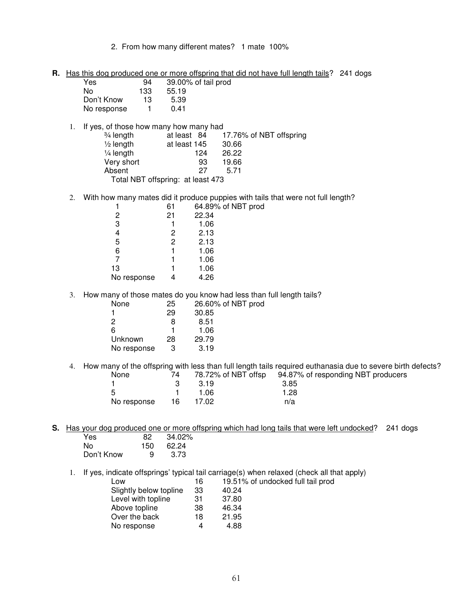- 2. From how many different mates? 1 mate 100%
- **R.** Has this dog produced one or more offspring that did not have full length tails? 241 dogs of tail prod

| <b>Yes</b>  | 94  | 39.00% |
|-------------|-----|--------|
| N٥          | 133 | 55.19  |
| Don't Know  | 13  | 5.39   |
| No response | 1   | 0.41   |

1. If yes, of those how many how many had

| $\frac{3}{4}$ length | at least 84                       |       | 17.76% of NBT offspring |
|----------------------|-----------------------------------|-------|-------------------------|
| $\frac{1}{2}$ length | at least 145                      | 30.66 |                         |
| $\frac{1}{4}$ length | 124                               | 26.22 |                         |
| Very short           | 93                                | 19.66 |                         |
| Absent               | 27                                | 5 7 1 |                         |
|                      | Total NBT offspring: at least 473 |       |                         |

2. With how many mates did it produce puppies with tails that were not full length? NBT prod

|             | 61 | 64.89% of |
|-------------|----|-----------|
| 2           | 21 | 22.34     |
| 3           |    | 1.06      |
| 4           | 2  | 2.13      |
| 5           | 2  | 2.13      |
| 6           |    | 1.06      |
| 7           |    | 1.06      |
| 13          |    | 1.06      |
| No response |    | 4.26      |
|             |    |           |

3. How many of those mates do you know had less than full length tails?

| None        | 25 | 26.60% of NBT prod |
|-------------|----|--------------------|
|             | 29 | 30.85              |
| 2           | 8  | 8.51               |
| 6           |    | 1.06               |
| Unknown     | 28 | 29.79              |
| No response |    | 3.19               |
|             |    |                    |

4. How many of the offspring with less than full length tails required euthanasia due to severe birth defects?<br>None 74 78.72% of NBT offsp 94.87% of responding NBT producers None  $\begin{array}{r} 74 & 78.72\% \text{ of NBT of fsp} & 94.87\% \text{ of } \text{responding NBT produces} \\ 3 & 3.19 & 3.85 \end{array}$ 1 3 3.19 3.85  $5$  1 1.06 1.28 No response 16 17.02 n/a

**S.** Has your dog produced one or more offspring which had long tails that were left undocked? 241 dogs

| Yes        | 82  | 34.02% |
|------------|-----|--------|
| N٥         | 150 | 62.24  |
| Don't Know | 9   | 3.73   |

1. If yes, indicate offsprings' typical tail carriage(s) when relaxed (check all that apply)

| Low                    | 16 | 19.51% of undocked full tail prod |
|------------------------|----|-----------------------------------|
| Slightly below topline | 33 | 40.24                             |
| Level with topline     | 31 | 37.80                             |
| Above topline          | 38 | 46.34                             |
| Over the back          | 18 | 21.95                             |
| No response            |    | 4.88                              |